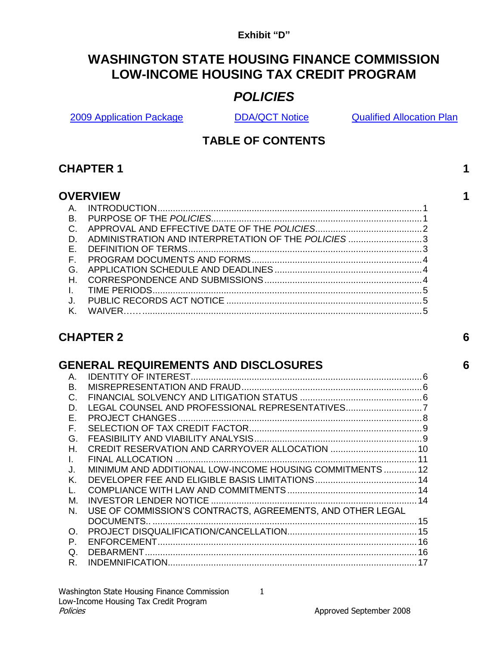#### **Exhibit "D"**

# **WASHINGTON STATE HOUSING FINANCE COMMISSION LOW-INCOME HOUSING TAX CREDIT PROGRAM**

# *POLICIES*

[2009 Application Package](http://www.wshfc.org/tax-credits/application/index.htm) [DDA/QCT Notice](http://www.wshfc.org/tax-credits/DDA_QCT2009.htm) [Qualified Allocation Plan](http://www.wshfc.org/tax-credits/application/b_QAP.pdf)

## **TABLE OF CONTENTS**

# **CHAPTER 1 1**

### **OVERVIEW 1**

| D. ADMINISTRATION AND INTERPRETATION OF THE POLICIES 3 |  |
|--------------------------------------------------------|--|
|                                                        |  |
|                                                        |  |
|                                                        |  |
|                                                        |  |
|                                                        |  |
|                                                        |  |
|                                                        |  |
|                                                        |  |

# **CHAPTER 2 6**

# **GENERAL REQUIREMENTS AND DISCLOSURES 6**

| Α. |                                                            |    |
|----|------------------------------------------------------------|----|
| В. |                                                            |    |
| C. |                                                            |    |
| D. | LEGAL COUNSEL AND PROFESSIONAL REPRESENTATIVES             |    |
| Е. |                                                            |    |
| F. |                                                            |    |
| G. |                                                            |    |
| Н. |                                                            |    |
| L. |                                                            |    |
| J. | MINIMUM AND ADDITIONAL LOW-INCOME HOUSING COMMITMENTS 12   |    |
| Κ. |                                                            |    |
|    |                                                            |    |
| M. |                                                            | 14 |
| N. | USE OF COMMISSION'S CONTRACTS, AGREEMENTS, AND OTHER LEGAL |    |
|    |                                                            | 15 |
| O. |                                                            | 15 |
| P. |                                                            | 16 |
| O. | <b>DEBARMENT</b>                                           | 16 |
| R. | INDEMNIFICATION                                            |    |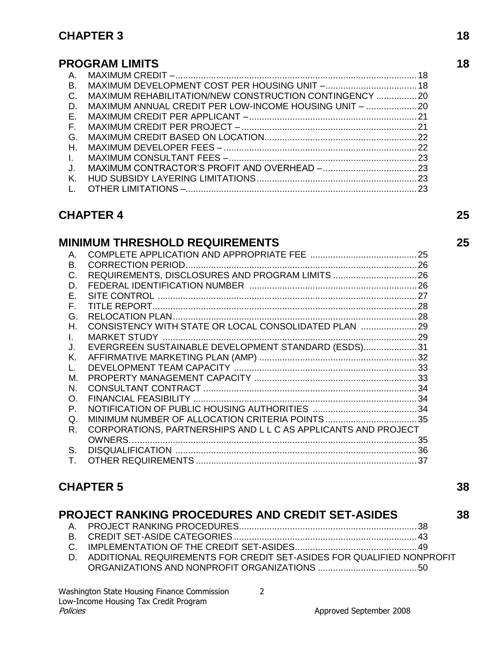## **CHAPTER 3 18**

## **PROGRAM LIMITS 18**

| B. MAXIMUM DEVELOPMENT COST PER HOUSING UNIT - 18          |  |
|------------------------------------------------------------|--|
| C. MAXIMUM REHABILITATION/NEW CONSTRUCTION CONTINGENCY 20  |  |
| D. MAXIMUM ANNUAL CREDIT PER LOW-INCOME HOUSING UNIT -  20 |  |
|                                                            |  |
|                                                            |  |
|                                                            |  |
|                                                            |  |
|                                                            |  |
|                                                            |  |
|                                                            |  |
|                                                            |  |
|                                                            |  |

# **CHAPTER 4 25**

|                | <b>MINIMUM THRESHOLD REQUIREMENTS</b>                        |  |
|----------------|--------------------------------------------------------------|--|
| Α.             |                                                              |  |
| $\mathsf{B}$   | <b>CORRECTION PERIOD.</b>                                    |  |
| C.             |                                                              |  |
| D.             |                                                              |  |
| F.             |                                                              |  |
| F.             |                                                              |  |
| G.             |                                                              |  |
| Н.             | CONSISTENCY WITH STATE OR LOCAL CONSOLIDATED PLAN 29         |  |
| L.             |                                                              |  |
| $\mathbf{J}$ . | EVERGREEN SUSTAINABLE DEVELOPMENT STANDARD (ESDS)31          |  |
| K.             |                                                              |  |
| $\mathbf{L}$   |                                                              |  |
| M              |                                                              |  |
| N.             |                                                              |  |
| $\Omega$       |                                                              |  |
| P.             |                                                              |  |
| Q.             |                                                              |  |
| R.             | CORPORATIONS, PARTNERSHIPS AND LLC AS APPLICANTS AND PROJECT |  |
|                |                                                              |  |
| S.             |                                                              |  |
| T.             |                                                              |  |
|                |                                                              |  |

# **CHAPTER 5 38**

| <b>PROJECT RANKING PROCEDURES AND CREDIT SET-ASIDES</b>                  | 38 |
|--------------------------------------------------------------------------|----|
|                                                                          |    |
|                                                                          |    |
|                                                                          |    |
| D. ADDITIONAL REQUIREMENTS FOR CREDIT SET-ASIDES FOR QUALIFIED NONPROFIT |    |
|                                                                          |    |
|                                                                          |    |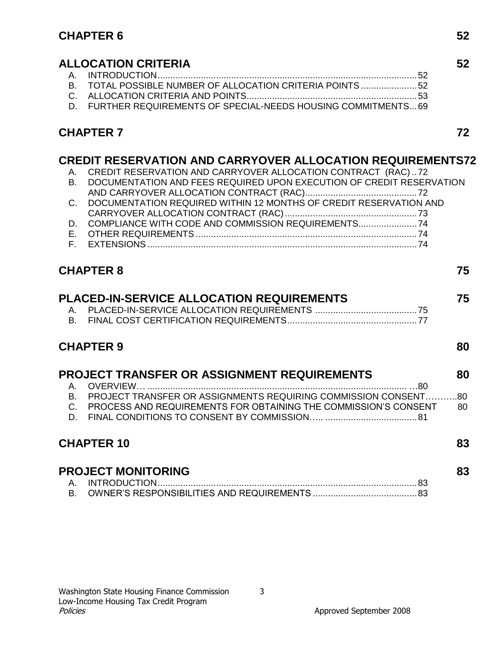## **CHAPTER 6 52**

|               | <b>ALLOCATION CRITERIA</b>                                                                                                      | 52        |
|---------------|---------------------------------------------------------------------------------------------------------------------------------|-----------|
| A.            |                                                                                                                                 |           |
|               | B. TOTAL POSSIBLE NUMBER OF ALLOCATION CRITERIA POINTS52                                                                        |           |
|               |                                                                                                                                 |           |
| D.            | FURTHER REQUIREMENTS OF SPECIAL-NEEDS HOUSING COMMITMENTS69                                                                     |           |
|               | <b>CHAPTER 7</b>                                                                                                                | 72        |
|               | <b>CREDIT RESERVATION AND CARRYOVER ALLOCATION REQUIREMENTS72</b>                                                               |           |
|               | CREDIT RESERVATION AND CARRYOVER ALLOCATION CONTRACT (RAC)72                                                                    |           |
| <b>B.</b>     | DOCUMENTATION AND FEES REQUIRED UPON EXECUTION OF CREDIT RESERVATION                                                            |           |
|               |                                                                                                                                 |           |
| C.            | DOCUMENTATION REQUIRED WITHIN 12 MONTHS OF CREDIT RESERVATION AND                                                               |           |
| D.            |                                                                                                                                 |           |
| E.            |                                                                                                                                 |           |
| F.            |                                                                                                                                 |           |
|               | <b>CHAPTER 8</b>                                                                                                                | 75        |
|               |                                                                                                                                 |           |
|               | <b>PLACED-IN-SERVICE ALLOCATION REQUIREMENTS</b>                                                                                | 75        |
| A.            |                                                                                                                                 |           |
| <b>B.</b>     |                                                                                                                                 |           |
|               |                                                                                                                                 |           |
|               |                                                                                                                                 |           |
|               | <b>CHAPTER 9</b>                                                                                                                | 80        |
|               | <b>PROJECT TRANSFER OR ASSIGNMENT REQUIREMENTS</b>                                                                              | 80        |
| A.            | <b>OVERVIEW </b><br>. 80                                                                                                        |           |
| B.<br>$C_{1}$ | PROJECT TRANSFER OR ASSIGNMENTS REQUIRING COMMISSION CONSENT<br>PROCESS AND REQUIREMENTS FOR OBTAINING THE COMMISSION'S CONSENT | .80<br>80 |
| D.            |                                                                                                                                 |           |
|               |                                                                                                                                 |           |
|               | <b>CHAPTER 10</b>                                                                                                               | 83        |
|               | <b>PROJECT MONITORING</b>                                                                                                       | 83        |
| A.            |                                                                                                                                 |           |
| В.            |                                                                                                                                 |           |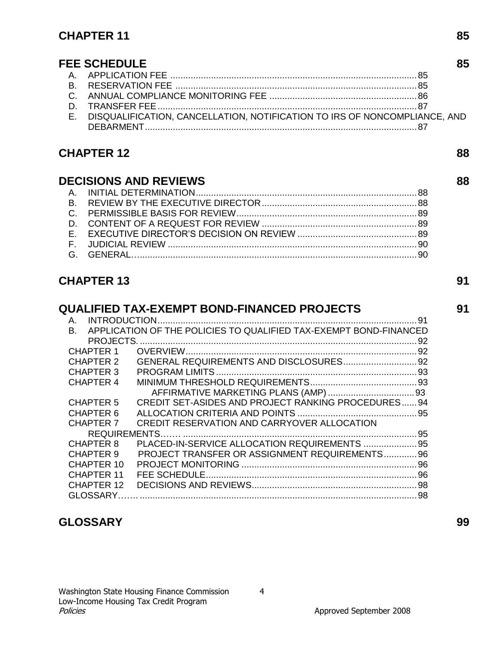## **CHAPTER 11 85**

| <b>FEE SCHEDULE</b>                                                          |  |
|------------------------------------------------------------------------------|--|
|                                                                              |  |
|                                                                              |  |
|                                                                              |  |
|                                                                              |  |
| E. DISQUALIFICATION, CANCELLATION, NOTIFICATION TO IRS OF NONCOMPLIANCE, AND |  |
|                                                                              |  |

## **CHAPTER 12 88**

## **DECISIONS AND REVIEWS 88**

## **CHAPTER 13 91**

**QUALIFIED TAX-EXEMPT BOND-FINANCED PROJECTS 91** A. INTRODUCTION......................................................................................................91 B. APPLICATION OF THE POLICIES TO QUALIFIED TAX-EXEMPT BOND-FINANCED PROJECTS. .............................................................................................................92 CHAPTER 1 OVERVIEW...........................................................................................92 CHAPTER 2 GENERAL REQUIREMENTS AND DISCLOSURES.............................92 CHAPTER 3 PROGRAM LIMITS...............................................................................93 CHAPTER 4 MINIMUM THRESHOLD REQUIREMENTS..........................................93 AFFIRMATIVE MARKETING PLANS (AMP) ..................................93 CHAPTER 5 CREDIT SET-ASIDES AND PROJECT RANKING PROCEDURES......94 CHAPTER 6 ALLOCATION CRITERIA AND POINTS ...............................................95 CHAPTER 7 CREDIT RESERVATION AND CARRYOVER ALLOCATION REQUIREMENTS……. ............................................................................................95 CHAPTER 8 PLACED-IN-SERVICE ALLOCATION REQUIREMENTS .....................95 CHAPTER 9 PROJECT TRANSFER OR ASSIGNMENT REQUIREMENTS.............96 CHAPTER 10 PROJECT MONITORING .....................................................................96 CHAPTER 11 FEE SCHEDULE...................................................................................96 CHAPTER 12 DECISIONS AND REVIEWS.................................................................98 GLOSSARY 98

## **GLOSSARY 99**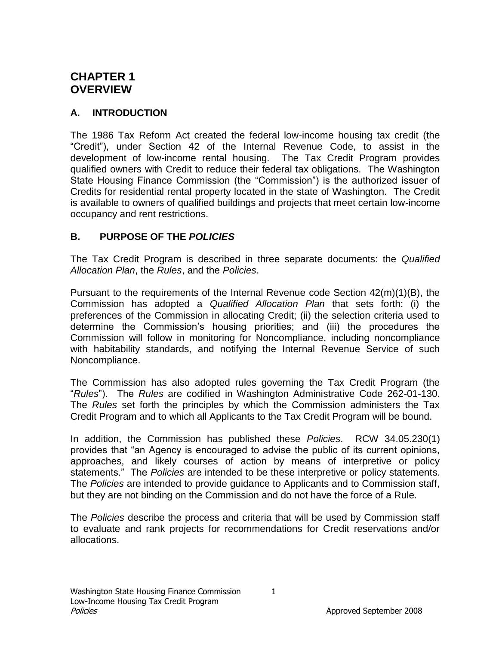## **CHAPTER 1 OVERVIEW**

#### **A. INTRODUCTION**

The 1986 Tax Reform Act created the federal low-income housing tax credit (the "Credit"), under Section 42 of the Internal Revenue Code, to assist in the development of low-income rental housing. The Tax Credit Program provides qualified owners with Credit to reduce their federal tax obligations. The Washington State Housing Finance Commission (the "Commission") is the authorized issuer of Credits for residential rental property located in the state of Washington. The Credit is available to owners of qualified buildings and projects that meet certain low-income occupancy and rent restrictions.

#### **B. PURPOSE OF THE** *POLICIES*

The Tax Credit Program is described in three separate documents: the *Qualified Allocation Plan*, the *Rules*, and the *Policies*.

Pursuant to the requirements of the Internal Revenue code Section 42(m)(1)(B), the Commission has adopted a *Qualified Allocation Plan* that sets forth: (i) the preferences of the Commission in allocating Credit; (ii) the selection criteria used to determine the Commission's housing priorities; and (iii) the procedures the Commission will follow in monitoring for Noncompliance, including noncompliance with habitability standards, and notifying the Internal Revenue Service of such Noncompliance.

The Commission has also adopted rules governing the Tax Credit Program (the "*Rules*"). The *Rules* are codified in Washington Administrative Code 262-01-130. The *Rules* set forth the principles by which the Commission administers the Tax Credit Program and to which all Applicants to the Tax Credit Program will be bound.

In addition, the Commission has published these *Policies*. RCW 34.05.230(1) provides that "an Agency is encouraged to advise the public of its current opinions, approaches, and likely courses of action by means of interpretive or policy statements." The *Policies* are intended to be these interpretive or policy statements. The *Policies* are intended to provide guidance to Applicants and to Commission staff, but they are not binding on the Commission and do not have the force of a Rule.

The *Policies* describe the process and criteria that will be used by Commission staff to evaluate and rank projects for recommendations for Credit reservations and/or allocations.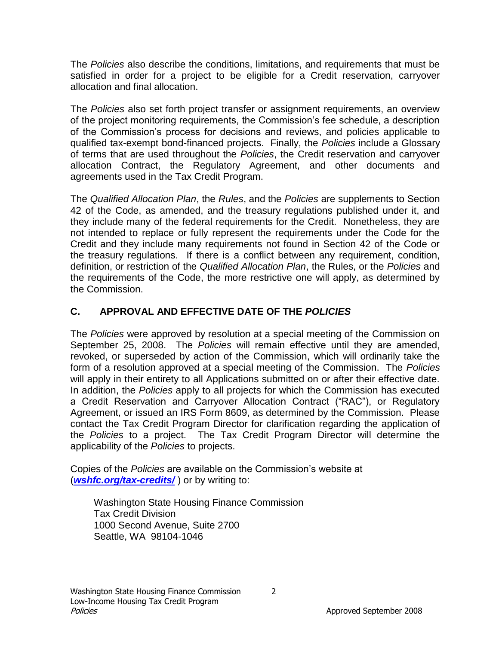The *Policies* also describe the conditions, limitations, and requirements that must be satisfied in order for a project to be eligible for a Credit reservation, carryover allocation and final allocation.

The *Policies* also set forth project transfer or assignment requirements, an overview of the project monitoring requirements, the Commission's fee schedule, a description of the Commission's process for decisions and reviews, and policies applicable to qualified tax-exempt bond-financed projects. Finally, the *Policies* include a Glossary of terms that are used throughout the *Policies*, the Credit reservation and carryover allocation Contract, the Regulatory Agreement, and other documents and agreements used in the Tax Credit Program.

The *Qualified Allocation Plan*, the *Rules*, and the *Policies* are supplements to Section 42 of the Code, as amended, and the treasury regulations published under it, and they include many of the federal requirements for the Credit. Nonetheless, they are not intended to replace or fully represent the requirements under the Code for the Credit and they include many requirements not found in Section 42 of the Code or the treasury regulations. If there is a conflict between any requirement, condition, definition, or restriction of the *Qualified Allocation Plan*, the Rules, or the *Policies* and the requirements of the Code, the more restrictive one will apply, as determined by the Commission.

## **C. APPROVAL AND EFFECTIVE DATE OF THE** *POLICIES*

The *Policies* were approved by resolution at a special meeting of the Commission on September 25, 2008. The *Policies* will remain effective until they are amended, revoked, or superseded by action of the Commission, which will ordinarily take the form of a resolution approved at a special meeting of the Commission. The *Policies* will apply in their entirety to all Applications submitted on or after their effective date. In addition, the *Policies* apply to all projects for which the Commission has executed a Credit Reservation and Carryover Allocation Contract ("RAC"), or Regulatory Agreement, or issued an IRS Form 8609, as determined by the Commission. Please contact the Tax Credit Program Director for clarification regarding the application of the *Policies* to a project. The Tax Credit Program Director will determine the applicability of the *Policies* to projects.

Copies of the *Policies* are available on the Commission's website at (*[wshfc.org/tax-credits/](http://www.wshfc.org/tax-credits/)* ) or by writing to:

Washington State Housing Finance Commission Tax Credit Division 1000 Second Avenue, Suite 2700 Seattle, WA 98104-1046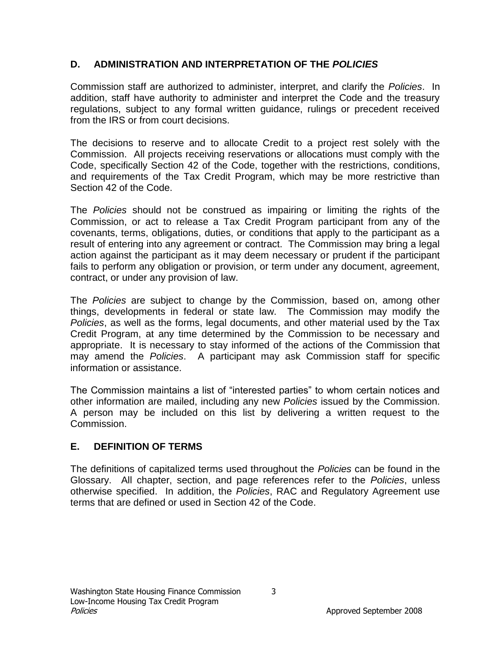### **D. ADMINISTRATION AND INTERPRETATION OF THE** *POLICIES*

Commission staff are authorized to administer, interpret, and clarify the *Policies*. In addition, staff have authority to administer and interpret the Code and the treasury regulations, subject to any formal written guidance, rulings or precedent received from the IRS or from court decisions.

The decisions to reserve and to allocate Credit to a project rest solely with the Commission. All projects receiving reservations or allocations must comply with the Code, specifically Section 42 of the Code, together with the restrictions, conditions, and requirements of the Tax Credit Program, which may be more restrictive than Section 42 of the Code.

The *Policies* should not be construed as impairing or limiting the rights of the Commission, or act to release a Tax Credit Program participant from any of the covenants, terms, obligations, duties, or conditions that apply to the participant as a result of entering into any agreement or contract. The Commission may bring a legal action against the participant as it may deem necessary or prudent if the participant fails to perform any obligation or provision, or term under any document, agreement, contract, or under any provision of law.

The *Policies* are subject to change by the Commission, based on, among other things, developments in federal or state law. The Commission may modify the *Policies*, as well as the forms, legal documents, and other material used by the Tax Credit Program, at any time determined by the Commission to be necessary and appropriate. It is necessary to stay informed of the actions of the Commission that may amend the *Policies*. A participant may ask Commission staff for specific information or assistance.

The Commission maintains a list of "interested parties" to whom certain notices and other information are mailed, including any new *Policies* issued by the Commission. A person may be included on this list by delivering a written request to the Commission.

### **E. DEFINITION OF TERMS**

The definitions of capitalized terms used throughout the *Policies* can be found in the Glossary. All chapter, section, and page references refer to the *Policies*, unless otherwise specified. In addition, the *Policies*, RAC and Regulatory Agreement use terms that are defined or used in Section 42 of the Code.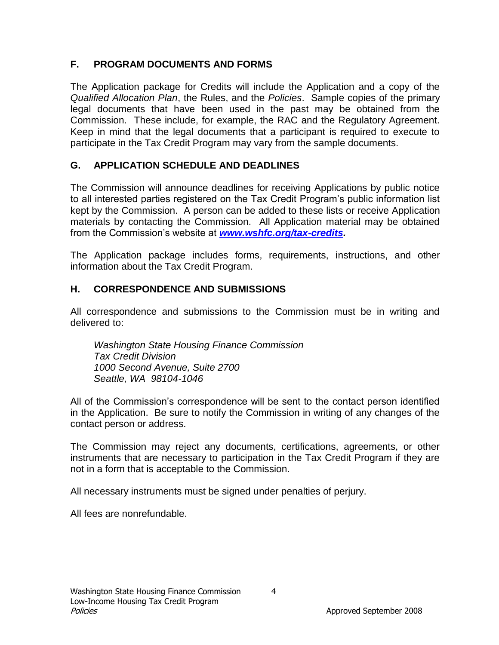### **F. PROGRAM DOCUMENTS AND FORMS**

The Application package for Credits will include the Application and a copy of the *Qualified Allocation Plan*, the Rules, and the *Policies*. Sample copies of the primary legal documents that have been used in the past may be obtained from the Commission. These include, for example, the RAC and the Regulatory Agreement. Keep in mind that the legal documents that a participant is required to execute to participate in the Tax Credit Program may vary from the sample documents.

### **G. APPLICATION SCHEDULE AND DEADLINES**

The Commission will announce deadlines for receiving Applications by public notice to all interested parties registered on the Tax Credit Program's public information list kept by the Commission. A person can be added to these lists or receive Application materials by contacting the Commission. All Application material may be obtained from the Commission's website at *[www.wshfc.org/tax-credits.](http://www.wshfc.org/tax-credits)*

The Application package includes forms, requirements, instructions, and other information about the Tax Credit Program.

#### **H. CORRESPONDENCE AND SUBMISSIONS**

All correspondence and submissions to the Commission must be in writing and delivered to:

*Washington State Housing Finance Commission Tax Credit Division 1000 Second Avenue, Suite 2700 Seattle, WA 98104-1046*

All of the Commission's correspondence will be sent to the contact person identified in the Application. Be sure to notify the Commission in writing of any changes of the contact person or address.

The Commission may reject any documents, certifications, agreements, or other instruments that are necessary to participation in the Tax Credit Program if they are not in a form that is acceptable to the Commission.

All necessary instruments must be signed under penalties of perjury.

All fees are nonrefundable.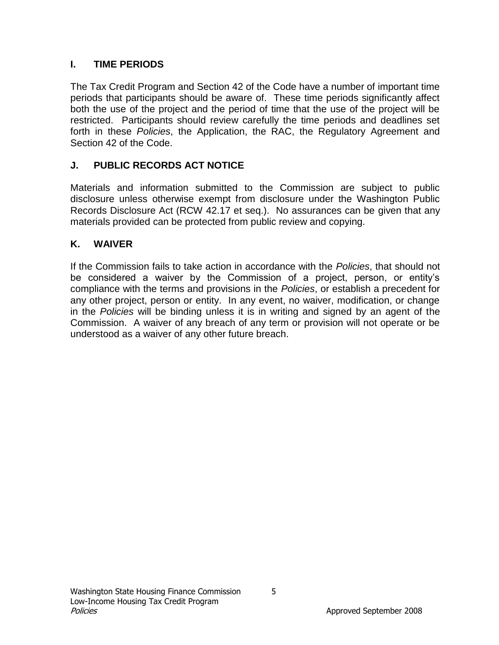### **I. TIME PERIODS**

The Tax Credit Program and Section 42 of the Code have a number of important time periods that participants should be aware of. These time periods significantly affect both the use of the project and the period of time that the use of the project will be restricted. Participants should review carefully the time periods and deadlines set forth in these *Policies*, the Application, the RAC, the Regulatory Agreement and Section 42 of the Code.

### **J. PUBLIC RECORDS ACT NOTICE**

Materials and information submitted to the Commission are subject to public disclosure unless otherwise exempt from disclosure under the Washington Public Records Disclosure Act (RCW 42.17 et seq.). No assurances can be given that any materials provided can be protected from public review and copying.

#### **K. WAIVER**

If the Commission fails to take action in accordance with the *Policies*, that should not be considered a waiver by the Commission of a project, person, or entity's compliance with the terms and provisions in the *Policies*, or establish a precedent for any other project, person or entity. In any event, no waiver, modification, or change in the *Policies* will be binding unless it is in writing and signed by an agent of the Commission. A waiver of any breach of any term or provision will not operate or be understood as a waiver of any other future breach.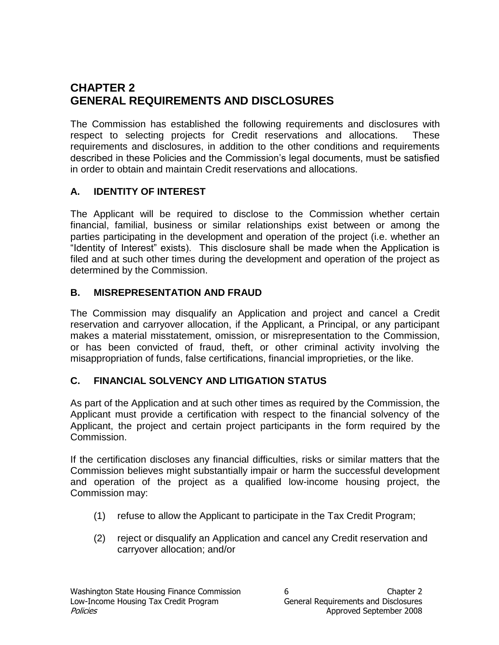# **CHAPTER 2 GENERAL REQUIREMENTS AND DISCLOSURES**

The Commission has established the following requirements and disclosures with respect to selecting projects for Credit reservations and allocations. These requirements and disclosures, in addition to the other conditions and requirements described in these Policies and the Commission's legal documents, must be satisfied in order to obtain and maintain Credit reservations and allocations.

### **A. IDENTITY OF INTEREST**

The Applicant will be required to disclose to the Commission whether certain financial, familial, business or similar relationships exist between or among the parties participating in the development and operation of the project (i.e. whether an "Identity of Interest" exists). This disclosure shall be made when the Application is filed and at such other times during the development and operation of the project as determined by the Commission.

### **B. MISREPRESENTATION AND FRAUD**

The Commission may disqualify an Application and project and cancel a Credit reservation and carryover allocation, if the Applicant, a Principal, or any participant makes a material misstatement, omission, or misrepresentation to the Commission, or has been convicted of fraud, theft, or other criminal activity involving the misappropriation of funds, false certifications, financial improprieties, or the like.

## **C. FINANCIAL SOLVENCY AND LITIGATION STATUS**

As part of the Application and at such other times as required by the Commission, the Applicant must provide a certification with respect to the financial solvency of the Applicant, the project and certain project participants in the form required by the Commission.

If the certification discloses any financial difficulties, risks or similar matters that the Commission believes might substantially impair or harm the successful development and operation of the project as a qualified low-income housing project, the Commission may:

- (1) refuse to allow the Applicant to participate in the Tax Credit Program;
- (2) reject or disqualify an Application and cancel any Credit reservation and carryover allocation; and/or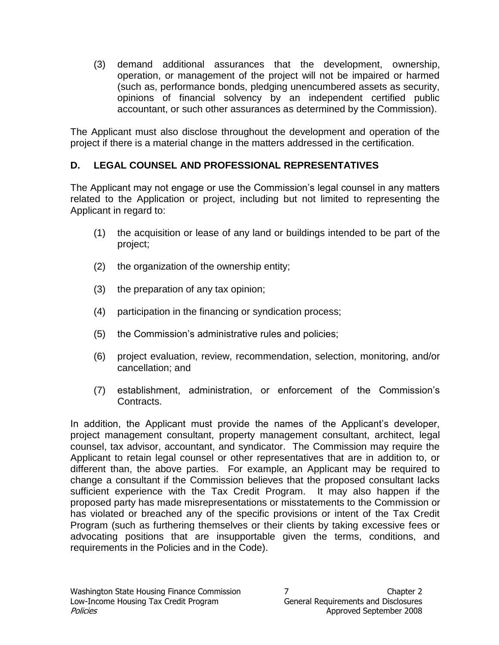(3) demand additional assurances that the development, ownership, operation, or management of the project will not be impaired or harmed (such as, performance bonds, pledging unencumbered assets as security, opinions of financial solvency by an independent certified public accountant, or such other assurances as determined by the Commission).

The Applicant must also disclose throughout the development and operation of the project if there is a material change in the matters addressed in the certification.

## **D. LEGAL COUNSEL AND PROFESSIONAL REPRESENTATIVES**

The Applicant may not engage or use the Commission's legal counsel in any matters related to the Application or project, including but not limited to representing the Applicant in regard to:

- (1) the acquisition or lease of any land or buildings intended to be part of the project;
- (2) the organization of the ownership entity;
- (3) the preparation of any tax opinion;
- (4) participation in the financing or syndication process;
- (5) the Commission's administrative rules and policies;
- (6) project evaluation, review, recommendation, selection, monitoring, and/or cancellation; and
- (7) establishment, administration, or enforcement of the Commission's Contracts.

In addition, the Applicant must provide the names of the Applicant's developer, project management consultant, property management consultant, architect, legal counsel, tax advisor, accountant, and syndicator. The Commission may require the Applicant to retain legal counsel or other representatives that are in addition to, or different than, the above parties. For example, an Applicant may be required to change a consultant if the Commission believes that the proposed consultant lacks sufficient experience with the Tax Credit Program. It may also happen if the proposed party has made misrepresentations or misstatements to the Commission or has violated or breached any of the specific provisions or intent of the Tax Credit Program (such as furthering themselves or their clients by taking excessive fees or advocating positions that are insupportable given the terms, conditions, and requirements in the Policies and in the Code).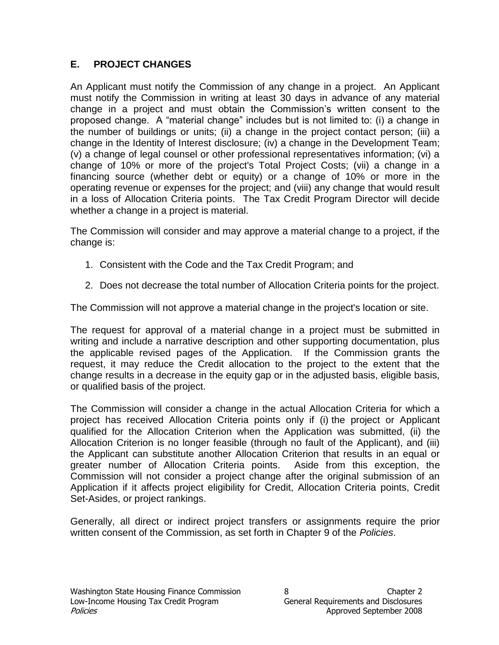### **E. PROJECT CHANGES**

An Applicant must notify the Commission of any change in a project. An Applicant must notify the Commission in writing at least 30 days in advance of any material change in a project and must obtain the Commission's written consent to the proposed change. A "material change" includes but is not limited to: (i) a change in the number of buildings or units; (ii) a change in the project contact person; (iii) a change in the Identity of Interest disclosure; (iv) a change in the Development Team; (v) a change of legal counsel or other professional representatives information; (vi) a change of 10% or more of the project's Total Project Costs; (vii) a change in a financing source (whether debt or equity) or a change of 10% or more in the operating revenue or expenses for the project; and (viii) any change that would result in a loss of Allocation Criteria points. The Tax Credit Program Director will decide whether a change in a project is material.

The Commission will consider and may approve a material change to a project, if the change is:

- 1. Consistent with the Code and the Tax Credit Program; and
- 2. Does not decrease the total number of Allocation Criteria points for the project.

The Commission will not approve a material change in the project's location or site.

The request for approval of a material change in a project must be submitted in writing and include a narrative description and other supporting documentation, plus the applicable revised pages of the Application. If the Commission grants the request, it may reduce the Credit allocation to the project to the extent that the change results in a decrease in the equity gap or in the adjusted basis, eligible basis, or qualified basis of the project.

The Commission will consider a change in the actual Allocation Criteria for which a project has received Allocation Criteria points only if (i) the project or Applicant qualified for the Allocation Criterion when the Application was submitted, (ii) the Allocation Criterion is no longer feasible (through no fault of the Applicant), and (iii) the Applicant can substitute another Allocation Criterion that results in an equal or greater number of Allocation Criteria points. Aside from this exception, the Commission will not consider a project change after the original submission of an Application if it affects project eligibility for Credit, Allocation Criteria points, Credit Set-Asides, or project rankings.

Generally, all direct or indirect project transfers or assignments require the prior written consent of the Commission, as set forth in Chapter 9 of the *Policies*.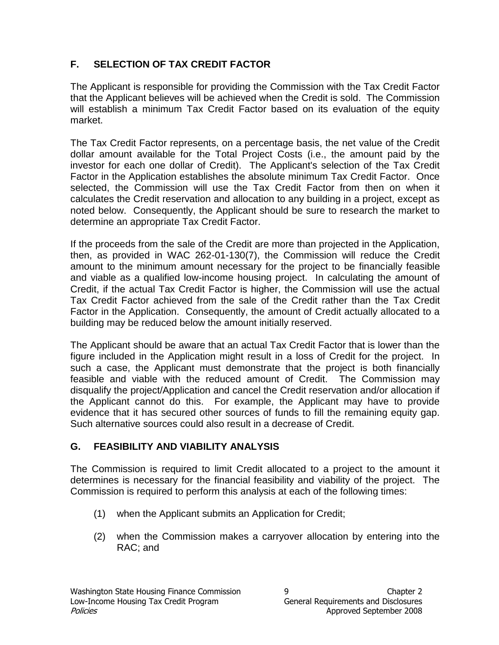## **F. SELECTION OF TAX CREDIT FACTOR**

The Applicant is responsible for providing the Commission with the Tax Credit Factor that the Applicant believes will be achieved when the Credit is sold. The Commission will establish a minimum Tax Credit Factor based on its evaluation of the equity market.

The Tax Credit Factor represents, on a percentage basis, the net value of the Credit dollar amount available for the Total Project Costs (i.e., the amount paid by the investor for each one dollar of Credit). The Applicant's selection of the Tax Credit Factor in the Application establishes the absolute minimum Tax Credit Factor. Once selected, the Commission will use the Tax Credit Factor from then on when it calculates the Credit reservation and allocation to any building in a project, except as noted below. Consequently, the Applicant should be sure to research the market to determine an appropriate Tax Credit Factor.

If the proceeds from the sale of the Credit are more than projected in the Application, then, as provided in WAC 262-01-130(7), the Commission will reduce the Credit amount to the minimum amount necessary for the project to be financially feasible and viable as a qualified low-income housing project. In calculating the amount of Credit, if the actual Tax Credit Factor is higher, the Commission will use the actual Tax Credit Factor achieved from the sale of the Credit rather than the Tax Credit Factor in the Application. Consequently, the amount of Credit actually allocated to a building may be reduced below the amount initially reserved.

The Applicant should be aware that an actual Tax Credit Factor that is lower than the figure included in the Application might result in a loss of Credit for the project. In such a case, the Applicant must demonstrate that the project is both financially feasible and viable with the reduced amount of Credit. The Commission may disqualify the project/Application and cancel the Credit reservation and/or allocation if the Applicant cannot do this. For example, the Applicant may have to provide evidence that it has secured other sources of funds to fill the remaining equity gap. Such alternative sources could also result in a decrease of Credit.

## **G. FEASIBILITY AND VIABILITY ANALYSIS**

The Commission is required to limit Credit allocated to a project to the amount it determines is necessary for the financial feasibility and viability of the project. The Commission is required to perform this analysis at each of the following times:

- (1) when the Applicant submits an Application for Credit;
- (2) when the Commission makes a carryover allocation by entering into the RAC; and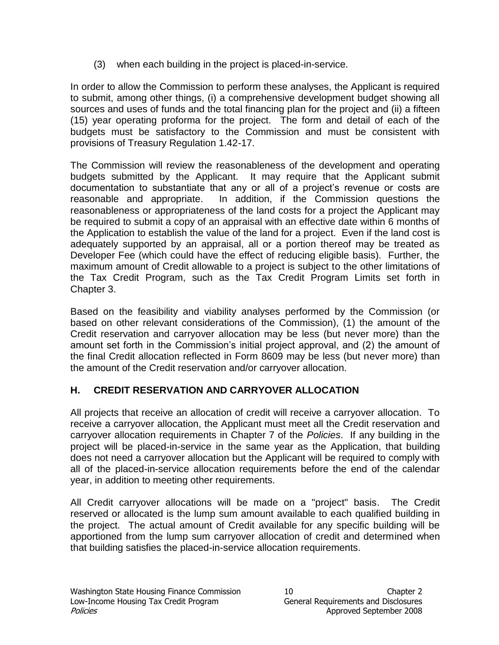(3) when each building in the project is placed-in-service.

In order to allow the Commission to perform these analyses, the Applicant is required to submit, among other things, (i) a comprehensive development budget showing all sources and uses of funds and the total financing plan for the project and (ii) a fifteen (15) year operating proforma for the project. The form and detail of each of the budgets must be satisfactory to the Commission and must be consistent with provisions of Treasury Regulation 1.42-17.

The Commission will review the reasonableness of the development and operating budgets submitted by the Applicant. It may require that the Applicant submit documentation to substantiate that any or all of a project's revenue or costs are reasonable and appropriate. In addition, if the Commission questions the reasonableness or appropriateness of the land costs for a project the Applicant may be required to submit a copy of an appraisal with an effective date within 6 months of the Application to establish the value of the land for a project. Even if the land cost is adequately supported by an appraisal, all or a portion thereof may be treated as Developer Fee (which could have the effect of reducing eligible basis). Further, the maximum amount of Credit allowable to a project is subject to the other limitations of the Tax Credit Program, such as the Tax Credit Program Limits set forth in Chapter 3.

Based on the feasibility and viability analyses performed by the Commission (or based on other relevant considerations of the Commission), (1) the amount of the Credit reservation and carryover allocation may be less (but never more) than the amount set forth in the Commission's initial project approval, and (2) the amount of the final Credit allocation reflected in Form 8609 may be less (but never more) than the amount of the Credit reservation and/or carryover allocation.

## **H. CREDIT RESERVATION AND CARRYOVER ALLOCATION**

All projects that receive an allocation of credit will receive a carryover allocation. To receive a carryover allocation, the Applicant must meet all the Credit reservation and carryover allocation requirements in Chapter 7 of the *Policies*. If any building in the project will be placed-in-service in the same year as the Application, that building does not need a carryover allocation but the Applicant will be required to comply with all of the placed-in-service allocation requirements before the end of the calendar year, in addition to meeting other requirements.

All Credit carryover allocations will be made on a "project" basis. The Credit reserved or allocated is the lump sum amount available to each qualified building in the project. The actual amount of Credit available for any specific building will be apportioned from the lump sum carryover allocation of credit and determined when that building satisfies the placed-in-service allocation requirements.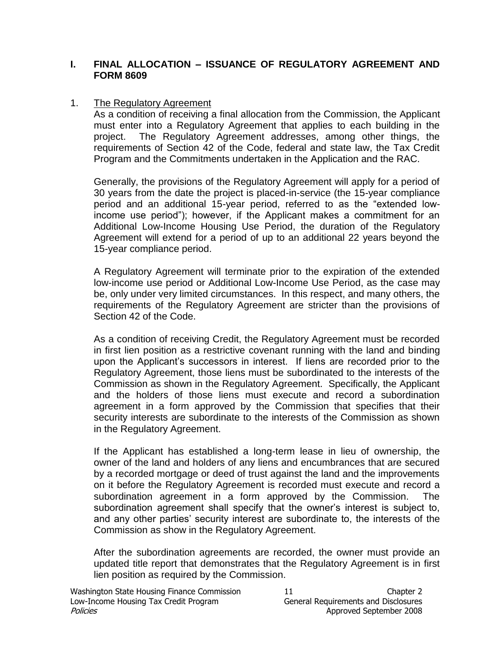#### **I. FINAL ALLOCATION – ISSUANCE OF REGULATORY AGREEMENT AND FORM 8609**

#### 1. The Regulatory Agreement

As a condition of receiving a final allocation from the Commission, the Applicant must enter into a Regulatory Agreement that applies to each building in the project. The Regulatory Agreement addresses, among other things, the requirements of Section 42 of the Code, federal and state law, the Tax Credit Program and the Commitments undertaken in the Application and the RAC.

Generally, the provisions of the Regulatory Agreement will apply for a period of 30 years from the date the project is placed-in-service (the 15-year compliance period and an additional 15-year period, referred to as the "extended lowincome use period"); however, if the Applicant makes a commitment for an Additional Low-Income Housing Use Period, the duration of the Regulatory Agreement will extend for a period of up to an additional 22 years beyond the 15-year compliance period.

A Regulatory Agreement will terminate prior to the expiration of the extended low-income use period or Additional Low-Income Use Period, as the case may be, only under very limited circumstances. In this respect, and many others, the requirements of the Regulatory Agreement are stricter than the provisions of Section 42 of the Code.

As a condition of receiving Credit, the Regulatory Agreement must be recorded in first lien position as a restrictive covenant running with the land and binding upon the Applicant's successors in interest. If liens are recorded prior to the Regulatory Agreement, those liens must be subordinated to the interests of the Commission as shown in the Regulatory Agreement. Specifically, the Applicant and the holders of those liens must execute and record a subordination agreement in a form approved by the Commission that specifies that their security interests are subordinate to the interests of the Commission as shown in the Regulatory Agreement.

If the Applicant has established a long-term lease in lieu of ownership, the owner of the land and holders of any liens and encumbrances that are secured by a recorded mortgage or deed of trust against the land and the improvements on it before the Regulatory Agreement is recorded must execute and record a subordination agreement in a form approved by the Commission. The subordination agreement shall specify that the owner's interest is subject to, and any other parties' security interest are subordinate to, the interests of the Commission as show in the Regulatory Agreement.

After the subordination agreements are recorded, the owner must provide an updated title report that demonstrates that the Regulatory Agreement is in first lien position as required by the Commission.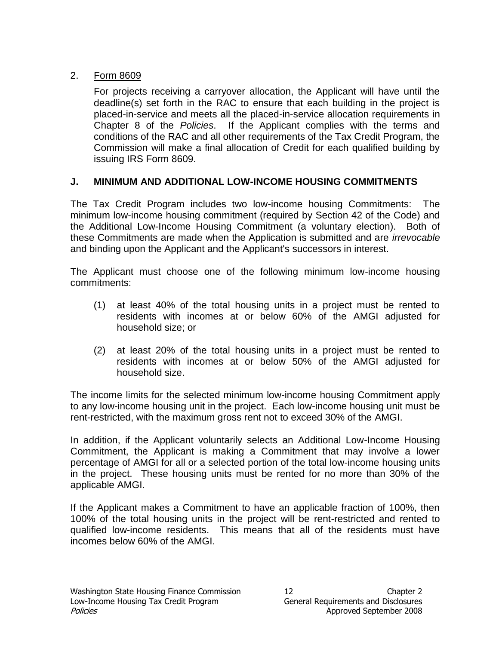#### 2. Form 8609

For projects receiving a carryover allocation, the Applicant will have until the deadline(s) set forth in the RAC to ensure that each building in the project is placed-in-service and meets all the placed-in-service allocation requirements in Chapter 8 of the *Policies*. If the Applicant complies with the terms and conditions of the RAC and all other requirements of the Tax Credit Program, the Commission will make a final allocation of Credit for each qualified building by issuing IRS Form 8609.

### **J. MINIMUM AND ADDITIONAL LOW-INCOME HOUSING COMMITMENTS**

The Tax Credit Program includes two low-income housing Commitments: The minimum low-income housing commitment (required by Section 42 of the Code) and the Additional Low-Income Housing Commitment (a voluntary election). Both of these Commitments are made when the Application is submitted and are *irrevocable* and binding upon the Applicant and the Applicant's successors in interest.

The Applicant must choose one of the following minimum low-income housing commitments:

- (1) at least 40% of the total housing units in a project must be rented to residents with incomes at or below 60% of the AMGI adjusted for household size; or
- (2) at least 20% of the total housing units in a project must be rented to residents with incomes at or below 50% of the AMGI adjusted for household size.

The income limits for the selected minimum low-income housing Commitment apply to any low-income housing unit in the project. Each low-income housing unit must be rent-restricted, with the maximum gross rent not to exceed 30% of the AMGI.

In addition, if the Applicant voluntarily selects an Additional Low-Income Housing Commitment, the Applicant is making a Commitment that may involve a lower percentage of AMGI for all or a selected portion of the total low-income housing units in the project. These housing units must be rented for no more than 30% of the applicable AMGI.

If the Applicant makes a Commitment to have an applicable fraction of 100%, then 100% of the total housing units in the project will be rent-restricted and rented to qualified low-income residents. This means that all of the residents must have incomes below 60% of the AMGI.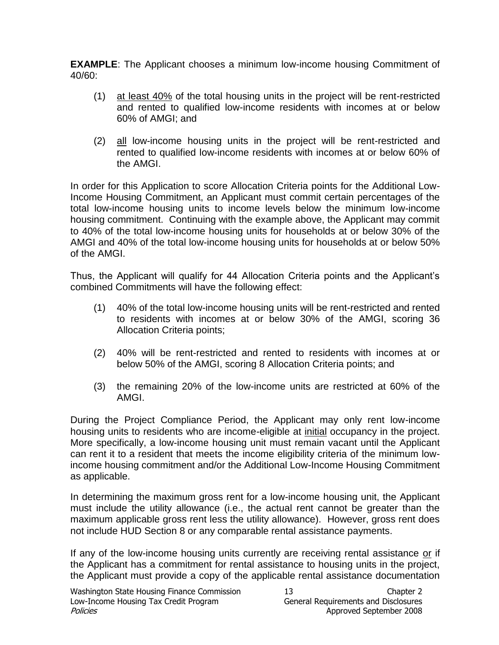**EXAMPLE**: The Applicant chooses a minimum low-income housing Commitment of 40/60:

- (1) at least 40% of the total housing units in the project will be rent-restricted and rented to qualified low-income residents with incomes at or below 60% of AMGI; and
- (2) all low-income housing units in the project will be rent-restricted and rented to qualified low-income residents with incomes at or below 60% of the AMGI.

In order for this Application to score Allocation Criteria points for the Additional Low-Income Housing Commitment, an Applicant must commit certain percentages of the total low-income housing units to income levels below the minimum low-income housing commitment. Continuing with the example above, the Applicant may commit to 40% of the total low-income housing units for households at or below 30% of the AMGI and 40% of the total low-income housing units for households at or below 50% of the AMGI.

Thus, the Applicant will qualify for 44 Allocation Criteria points and the Applicant's combined Commitments will have the following effect:

- (1) 40% of the total low-income housing units will be rent-restricted and rented to residents with incomes at or below 30% of the AMGI, scoring 36 Allocation Criteria points;
- (2) 40% will be rent-restricted and rented to residents with incomes at or below 50% of the AMGI, scoring 8 Allocation Criteria points; and
- (3) the remaining 20% of the low-income units are restricted at 60% of the AMGI.

During the Project Compliance Period, the Applicant may only rent low-income housing units to residents who are income-eligible at initial occupancy in the project. More specifically, a low-income housing unit must remain vacant until the Applicant can rent it to a resident that meets the income eligibility criteria of the minimum lowincome housing commitment and/or the Additional Low-Income Housing Commitment as applicable.

In determining the maximum gross rent for a low-income housing unit, the Applicant must include the utility allowance (i.e., the actual rent cannot be greater than the maximum applicable gross rent less the utility allowance). However, gross rent does not include HUD Section 8 or any comparable rental assistance payments.

If any of the low-income housing units currently are receiving rental assistance or if the Applicant has a commitment for rental assistance to housing units in the project, the Applicant must provide a copy of the applicable rental assistance documentation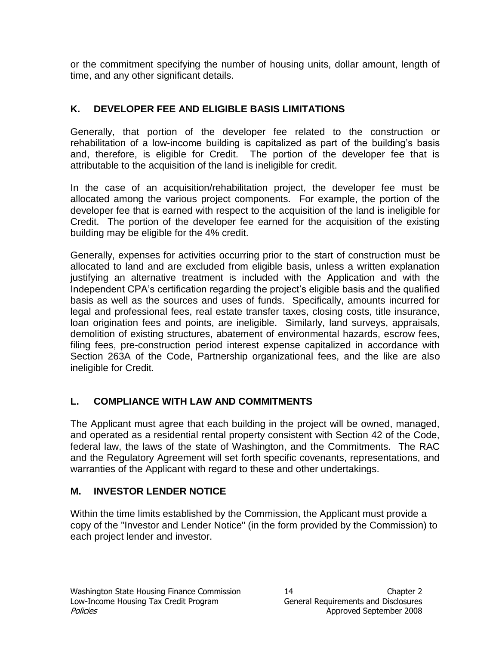or the commitment specifying the number of housing units, dollar amount, length of time, and any other significant details.

## **K. DEVELOPER FEE AND ELIGIBLE BASIS LIMITATIONS**

Generally, that portion of the developer fee related to the construction or rehabilitation of a low-income building is capitalized as part of the building's basis and, therefore, is eligible for Credit. The portion of the developer fee that is attributable to the acquisition of the land is ineligible for credit.

In the case of an acquisition/rehabilitation project, the developer fee must be allocated among the various project components. For example, the portion of the developer fee that is earned with respect to the acquisition of the land is ineligible for Credit. The portion of the developer fee earned for the acquisition of the existing building may be eligible for the 4% credit.

Generally, expenses for activities occurring prior to the start of construction must be allocated to land and are excluded from eligible basis, unless a written explanation justifying an alternative treatment is included with the Application and with the Independent CPA's certification regarding the project's eligible basis and the qualified basis as well as the sources and uses of funds. Specifically, amounts incurred for legal and professional fees, real estate transfer taxes, closing costs, title insurance, loan origination fees and points, are ineligible. Similarly, land surveys, appraisals, demolition of existing structures, abatement of environmental hazards, escrow fees, filing fees, pre-construction period interest expense capitalized in accordance with Section 263A of the Code, Partnership organizational fees, and the like are also ineligible for Credit.

## **L. COMPLIANCE WITH LAW AND COMMITMENTS**

The Applicant must agree that each building in the project will be owned, managed, and operated as a residential rental property consistent with Section 42 of the Code, federal law, the laws of the state of Washington, and the Commitments. The RAC and the Regulatory Agreement will set forth specific covenants, representations, and warranties of the Applicant with regard to these and other undertakings.

### **M. INVESTOR LENDER NOTICE**

Within the time limits established by the Commission, the Applicant must provide a copy of the "Investor and Lender Notice" (in the form provided by the Commission) to each project lender and investor.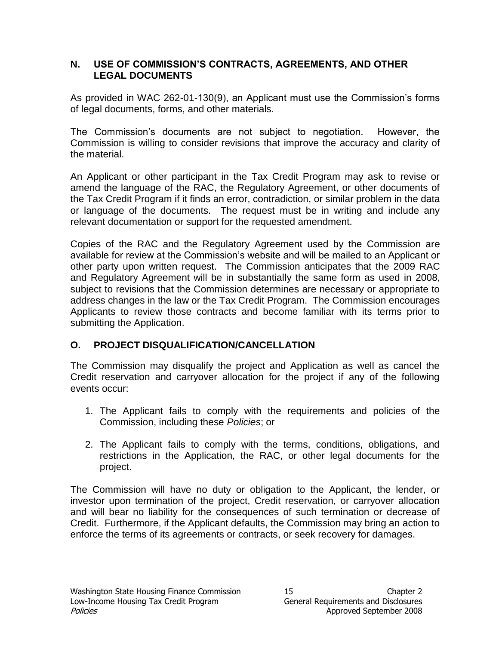#### **N. USE OF COMMISSION'S CONTRACTS, AGREEMENTS, AND OTHER LEGAL DOCUMENTS**

As provided in WAC 262-01-130(9), an Applicant must use the Commission's forms of legal documents, forms, and other materials.

The Commission's documents are not subject to negotiation. However, the Commission is willing to consider revisions that improve the accuracy and clarity of the material.

An Applicant or other participant in the Tax Credit Program may ask to revise or amend the language of the RAC, the Regulatory Agreement, or other documents of the Tax Credit Program if it finds an error, contradiction, or similar problem in the data or language of the documents. The request must be in writing and include any relevant documentation or support for the requested amendment.

Copies of the RAC and the Regulatory Agreement used by the Commission are available for review at the Commission's website and will be mailed to an Applicant or other party upon written request. The Commission anticipates that the 2009 RAC and Regulatory Agreement will be in substantially the same form as used in 2008, subject to revisions that the Commission determines are necessary or appropriate to address changes in the law or the Tax Credit Program. The Commission encourages Applicants to review those contracts and become familiar with its terms prior to submitting the Application.

## **O. PROJECT DISQUALIFICATION/CANCELLATION**

The Commission may disqualify the project and Application as well as cancel the Credit reservation and carryover allocation for the project if any of the following events occur:

- 1. The Applicant fails to comply with the requirements and policies of the Commission, including these *Policies*; or
- 2. The Applicant fails to comply with the terms, conditions, obligations, and restrictions in the Application, the RAC, or other legal documents for the project.

The Commission will have no duty or obligation to the Applicant, the lender, or investor upon termination of the project, Credit reservation, or carryover allocation and will bear no liability for the consequences of such termination or decrease of Credit. Furthermore, if the Applicant defaults, the Commission may bring an action to enforce the terms of its agreements or contracts, or seek recovery for damages.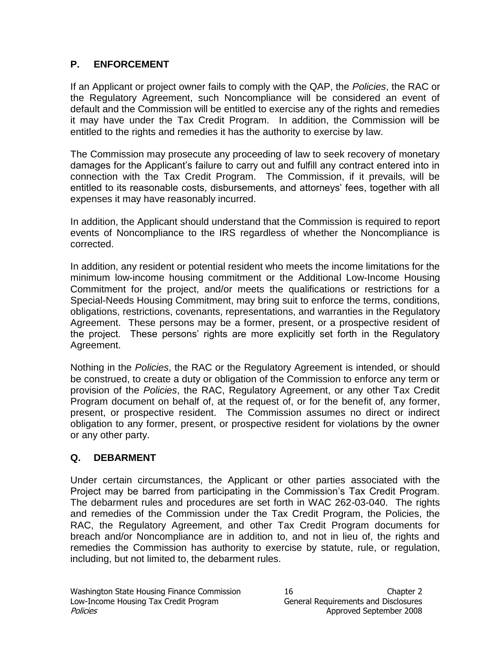### **P. ENFORCEMENT**

If an Applicant or project owner fails to comply with the QAP, the *Policies*, the RAC or the Regulatory Agreement, such Noncompliance will be considered an event of default and the Commission will be entitled to exercise any of the rights and remedies it may have under the Tax Credit Program. In addition, the Commission will be entitled to the rights and remedies it has the authority to exercise by law.

The Commission may prosecute any proceeding of law to seek recovery of monetary damages for the Applicant's failure to carry out and fulfill any contract entered into in connection with the Tax Credit Program. The Commission, if it prevails, will be entitled to its reasonable costs, disbursements, and attorneys' fees, together with all expenses it may have reasonably incurred.

In addition, the Applicant should understand that the Commission is required to report events of Noncompliance to the IRS regardless of whether the Noncompliance is corrected.

In addition, any resident or potential resident who meets the income limitations for the minimum low-income housing commitment or the Additional Low-Income Housing Commitment for the project, and/or meets the qualifications or restrictions for a Special-Needs Housing Commitment, may bring suit to enforce the terms, conditions, obligations, restrictions, covenants, representations, and warranties in the Regulatory Agreement. These persons may be a former, present, or a prospective resident of the project. These persons' rights are more explicitly set forth in the Regulatory Agreement.

Nothing in the *Policies*, the RAC or the Regulatory Agreement is intended, or should be construed, to create a duty or obligation of the Commission to enforce any term or provision of the *Policies*, the RAC, Regulatory Agreement, or any other Tax Credit Program document on behalf of, at the request of, or for the benefit of, any former, present, or prospective resident. The Commission assumes no direct or indirect obligation to any former, present, or prospective resident for violations by the owner or any other party.

### **Q. DEBARMENT**

Under certain circumstances, the Applicant or other parties associated with the Project may be barred from participating in the Commission's Tax Credit Program. The debarment rules and procedures are set forth in WAC 262-03-040. The rights and remedies of the Commission under the Tax Credit Program, the Policies, the RAC, the Regulatory Agreement, and other Tax Credit Program documents for breach and/or Noncompliance are in addition to, and not in lieu of, the rights and remedies the Commission has authority to exercise by statute, rule, or regulation, including, but not limited to, the debarment rules.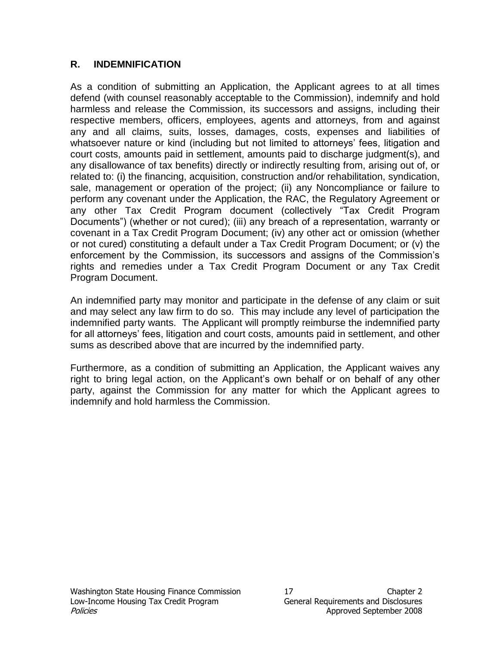#### **R. INDEMNIFICATION**

As a condition of submitting an Application, the Applicant agrees to at all times defend (with counsel reasonably acceptable to the Commission), indemnify and hold harmless and release the Commission, its successors and assigns, including their respective members, officers, employees, agents and attorneys, from and against any and all claims, suits, losses, damages, costs, expenses and liabilities of whatsoever nature or kind (including but not limited to attorneys' fees, litigation and court costs, amounts paid in settlement, amounts paid to discharge judgment(s), and any disallowance of tax benefits) directly or indirectly resulting from, arising out of, or related to: (i) the financing, acquisition, construction and/or rehabilitation, syndication, sale, management or operation of the project; (ii) any Noncompliance or failure to perform any covenant under the Application, the RAC, the Regulatory Agreement or any other Tax Credit Program document (collectively "Tax Credit Program Documents") (whether or not cured); (iii) any breach of a representation, warranty or covenant in a Tax Credit Program Document; (iv) any other act or omission (whether or not cured) constituting a default under a Tax Credit Program Document; or (v) the enforcement by the Commission, its successors and assigns of the Commission's rights and remedies under a Tax Credit Program Document or any Tax Credit Program Document.

An indemnified party may monitor and participate in the defense of any claim or suit and may select any law firm to do so. This may include any level of participation the indemnified party wants. The Applicant will promptly reimburse the indemnified party for all attorneys' fees, litigation and court costs, amounts paid in settlement, and other sums as described above that are incurred by the indemnified party.

Furthermore, as a condition of submitting an Application, the Applicant waives any right to bring legal action, on the Applicant's own behalf or on behalf of any other party, against the Commission for any matter for which the Applicant agrees to indemnify and hold harmless the Commission.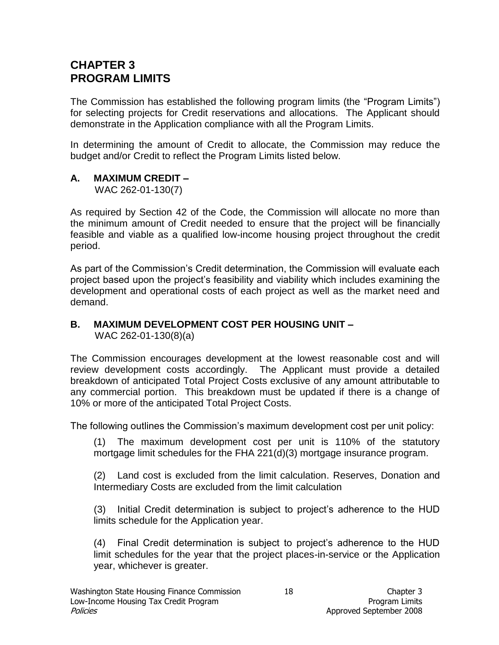# **CHAPTER 3 PROGRAM LIMITS**

The Commission has established the following program limits (the "Program Limits") for selecting projects for Credit reservations and allocations. The Applicant should demonstrate in the Application compliance with all the Program Limits.

In determining the amount of Credit to allocate, the Commission may reduce the budget and/or Credit to reflect the Program Limits listed below.

## **A. MAXIMUM CREDIT –**

WAC 262-01-130(7)

As required by Section 42 of the Code, the Commission will allocate no more than the minimum amount of Credit needed to ensure that the project will be financially feasible and viable as a qualified low-income housing project throughout the credit period.

As part of the Commission's Credit determination, the Commission will evaluate each project based upon the project's feasibility and viability which includes examining the development and operational costs of each project as well as the market need and demand.

#### **B. MAXIMUM DEVELOPMENT COST PER HOUSING UNIT –** WAC 262-01-130(8)(a)

The Commission encourages development at the lowest reasonable cost and will review development costs accordingly. The Applicant must provide a detailed breakdown of anticipated Total Project Costs exclusive of any amount attributable to any commercial portion. This breakdown must be updated if there is a change of 10% or more of the anticipated Total Project Costs.

The following outlines the Commission's maximum development cost per unit policy:

(1) The maximum development cost per unit is 110% of the statutory mortgage limit schedules for the FHA 221(d)(3) mortgage insurance program.

(2) Land cost is excluded from the limit calculation. Reserves, Donation and Intermediary Costs are excluded from the limit calculation

(3) Initial Credit determination is subject to project's adherence to the HUD limits schedule for the Application year.

(4) Final Credit determination is subject to project's adherence to the HUD limit schedules for the year that the project places-in-service or the Application year, whichever is greater.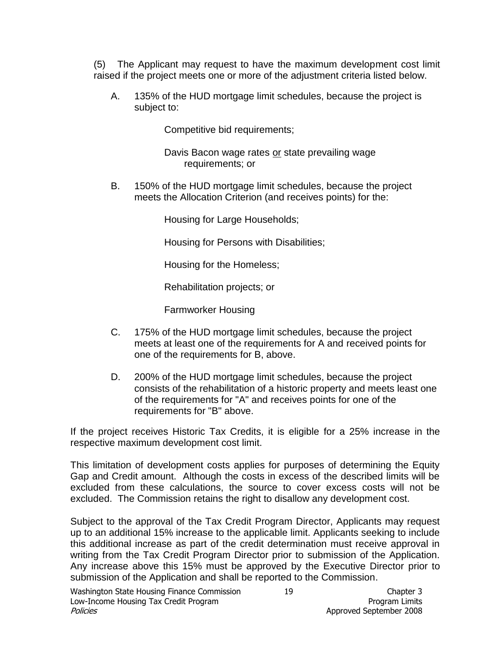(5) The Applicant may request to have the maximum development cost limit raised if the project meets one or more of the adjustment criteria listed below.

A. 135% of the HUD mortgage limit schedules, because the project is subject to:

Competitive bid requirements;

Davis Bacon wage rates or state prevailing wage requirements; or

B. 150% of the HUD mortgage limit schedules, because the project meets the Allocation Criterion (and receives points) for the:

Housing for Large Households;

Housing for Persons with Disabilities;

Housing for the Homeless;

Rehabilitation projects; or

Farmworker Housing

- C. 175% of the HUD mortgage limit schedules, because the project meets at least one of the requirements for A and received points for one of the requirements for B, above.
- D. 200% of the HUD mortgage limit schedules, because the project consists of the rehabilitation of a historic property and meets least one of the requirements for "A" and receives points for one of the requirements for "B" above.

If the project receives Historic Tax Credits, it is eligible for a 25% increase in the respective maximum development cost limit.

This limitation of development costs applies for purposes of determining the Equity Gap and Credit amount. Although the costs in excess of the described limits will be excluded from these calculations, the source to cover excess costs will not be excluded. The Commission retains the right to disallow any development cost.

Subject to the approval of the Tax Credit Program Director, Applicants may request up to an additional 15% increase to the applicable limit. Applicants seeking to include this additional increase as part of the credit determination must receive approval in writing from the Tax Credit Program Director prior to submission of the Application. Any increase above this 15% must be approved by the Executive Director prior to submission of the Application and shall be reported to the Commission.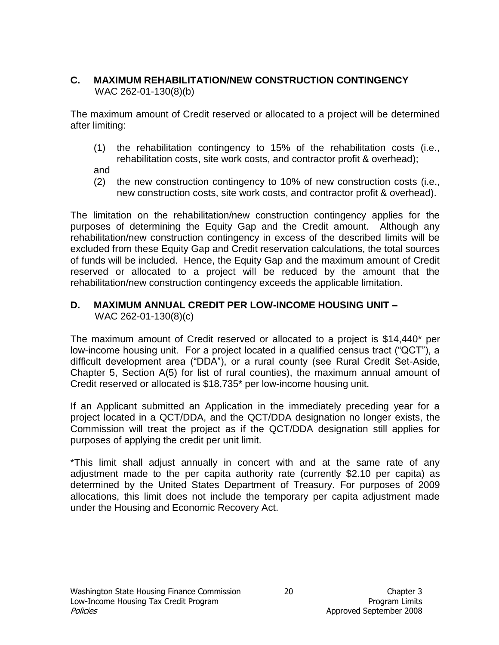## **C. MAXIMUM REHABILITATION/NEW CONSTRUCTION CONTINGENCY**  WAC 262-01-130(8)(b)

The maximum amount of Credit reserved or allocated to a project will be determined after limiting:

(1) the rehabilitation contingency to 15% of the rehabilitation costs (i.e., rehabilitation costs, site work costs, and contractor profit & overhead);

and

(2) the new construction contingency to 10% of new construction costs (i.e., new construction costs, site work costs, and contractor profit & overhead).

The limitation on the rehabilitation/new construction contingency applies for the purposes of determining the Equity Gap and the Credit amount. Although any rehabilitation/new construction contingency in excess of the described limits will be excluded from these Equity Gap and Credit reservation calculations, the total sources of funds will be included. Hence, the Equity Gap and the maximum amount of Credit reserved or allocated to a project will be reduced by the amount that the rehabilitation/new construction contingency exceeds the applicable limitation.

### **D. MAXIMUM ANNUAL CREDIT PER LOW-INCOME HOUSING UNIT –** WAC 262-01-130(8)(c)

The maximum amount of Credit reserved or allocated to a project is \$14,440\* per low-income housing unit. For a project located in a qualified census tract ("QCT"), a difficult development area ("DDA"), or a rural county (see Rural Credit Set-Aside, Chapter 5, Section A(5) for list of rural counties), the maximum annual amount of Credit reserved or allocated is \$18,735\* per low-income housing unit.

If an Applicant submitted an Application in the immediately preceding year for a project located in a QCT/DDA, and the QCT/DDA designation no longer exists, the Commission will treat the project as if the QCT/DDA designation still applies for purposes of applying the credit per unit limit.

\*This limit shall adjust annually in concert with and at the same rate of any adjustment made to the per capita authority rate (currently \$2.10 per capita) as determined by the United States Department of Treasury. For purposes of 2009 allocations, this limit does not include the temporary per capita adjustment made under the Housing and Economic Recovery Act.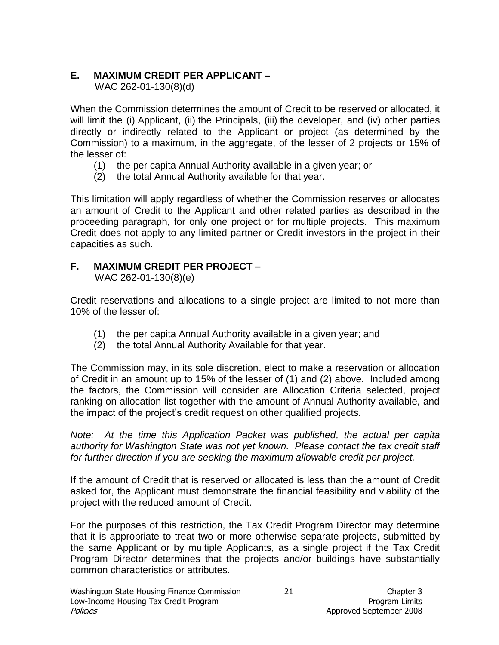## **E. MAXIMUM CREDIT PER APPLICANT –**

WAC 262-01-130(8)(d)

When the Commission determines the amount of Credit to be reserved or allocated, it will limit the (i) Applicant, (ii) the Principals, (iii) the developer, and (iv) other parties directly or indirectly related to the Applicant or project (as determined by the Commission) to a maximum, in the aggregate, of the lesser of 2 projects or 15% of the lesser of:

- (1) the per capita Annual Authority available in a given year; or
- (2) the total Annual Authority available for that year.

This limitation will apply regardless of whether the Commission reserves or allocates an amount of Credit to the Applicant and other related parties as described in the proceeding paragraph, for only one project or for multiple projects. This maximum Credit does not apply to any limited partner or Credit investors in the project in their capacities as such.

## **F. MAXIMUM CREDIT PER PROJECT –**

WAC 262-01-130(8)(e)

Credit reservations and allocations to a single project are limited to not more than 10% of the lesser of:

- (1) the per capita Annual Authority available in a given year; and
- (2) the total Annual Authority Available for that year.

The Commission may, in its sole discretion, elect to make a reservation or allocation of Credit in an amount up to 15% of the lesser of (1) and (2) above. Included among the factors, the Commission will consider are Allocation Criteria selected, project ranking on allocation list together with the amount of Annual Authority available, and the impact of the project's credit request on other qualified projects.

*Note: At the time this Application Packet was published, the actual per capita authority for Washington State was not yet known. Please contact the tax credit staff for further direction if you are seeking the maximum allowable credit per project.*

If the amount of Credit that is reserved or allocated is less than the amount of Credit asked for, the Applicant must demonstrate the financial feasibility and viability of the project with the reduced amount of Credit.

For the purposes of this restriction, the Tax Credit Program Director may determine that it is appropriate to treat two or more otherwise separate projects, submitted by the same Applicant or by multiple Applicants, as a single project if the Tax Credit Program Director determines that the projects and/or buildings have substantially common characteristics or attributes.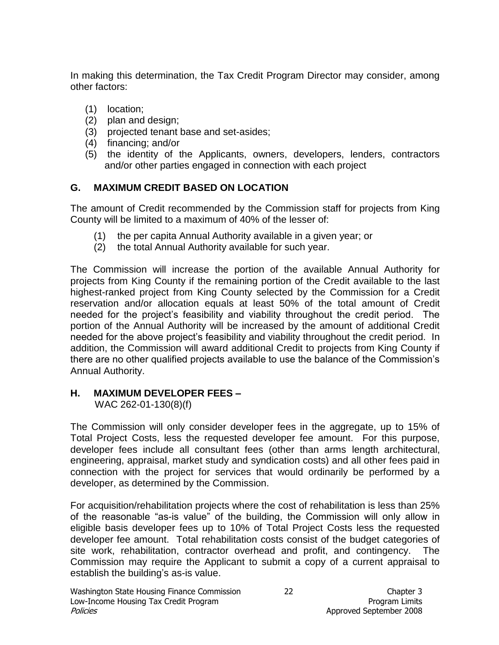In making this determination, the Tax Credit Program Director may consider, among other factors:

- (1) location;
- (2) plan and design;
- (3) projected tenant base and set-asides;
- (4) financing; and/or
- (5) the identity of the Applicants, owners, developers, lenders, contractors and/or other parties engaged in connection with each project

### **G. MAXIMUM CREDIT BASED ON LOCATION**

The amount of Credit recommended by the Commission staff for projects from King County will be limited to a maximum of 40% of the lesser of:

- (1) the per capita Annual Authority available in a given year; or
- (2) the total Annual Authority available for such year.

The Commission will increase the portion of the available Annual Authority for projects from King County if the remaining portion of the Credit available to the last highest-ranked project from King County selected by the Commission for a Credit reservation and/or allocation equals at least 50% of the total amount of Credit needed for the project's feasibility and viability throughout the credit period. The portion of the Annual Authority will be increased by the amount of additional Credit needed for the above project's feasibility and viability throughout the credit period. In addition, the Commission will award additional Credit to projects from King County if there are no other qualified projects available to use the balance of the Commission's Annual Authority.

### **H. MAXIMUM DEVELOPER FEES –**

WAC 262-01-130(8)(f)

The Commission will only consider developer fees in the aggregate, up to 15% of Total Project Costs, less the requested developer fee amount. For this purpose, developer fees include all consultant fees (other than arms length architectural, engineering, appraisal, market study and syndication costs) and all other fees paid in connection with the project for services that would ordinarily be performed by a developer, as determined by the Commission.

For acquisition/rehabilitation projects where the cost of rehabilitation is less than 25% of the reasonable "as-is value" of the building, the Commission will only allow in eligible basis developer fees up to 10% of Total Project Costs less the requested developer fee amount. Total rehabilitation costs consist of the budget categories of site work, rehabilitation, contractor overhead and profit, and contingency. The Commission may require the Applicant to submit a copy of a current appraisal to establish the building's as-is value.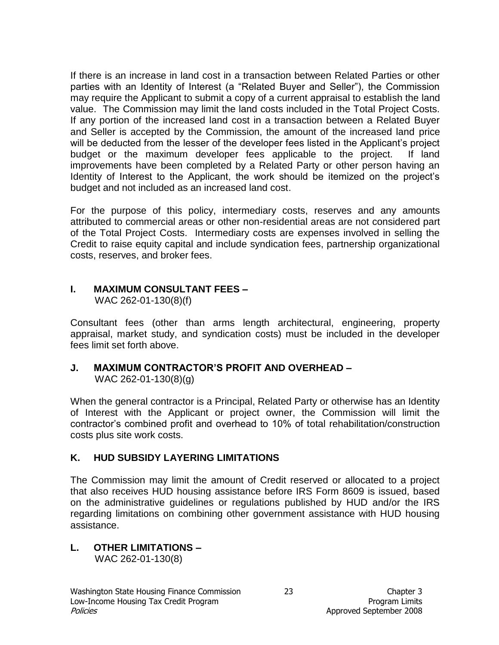If there is an increase in land cost in a transaction between Related Parties or other parties with an Identity of Interest (a "Related Buyer and Seller"), the Commission may require the Applicant to submit a copy of a current appraisal to establish the land value. The Commission may limit the land costs included in the Total Project Costs. If any portion of the increased land cost in a transaction between a Related Buyer and Seller is accepted by the Commission, the amount of the increased land price will be deducted from the lesser of the developer fees listed in the Applicant's project budget or the maximum developer fees applicable to the project. If land improvements have been completed by a Related Party or other person having an Identity of Interest to the Applicant, the work should be itemized on the project's budget and not included as an increased land cost.

For the purpose of this policy, intermediary costs, reserves and any amounts attributed to commercial areas or other non-residential areas are not considered part of the Total Project Costs. Intermediary costs are expenses involved in selling the Credit to raise equity capital and include syndication fees, partnership organizational costs, reserves, and broker fees.

# **I. MAXIMUM CONSULTANT FEES –**

WAC 262-01-130(8)(f)

Consultant fees (other than arms length architectural, engineering, property appraisal, market study, and syndication costs) must be included in the developer fees limit set forth above.

#### **J. MAXIMUM CONTRACTOR'S PROFIT AND OVERHEAD –** WAC 262-01-130(8)(g)

When the general contractor is a Principal, Related Party or otherwise has an Identity of Interest with the Applicant or project owner, the Commission will limit the contractor's combined profit and overhead to 10% of total rehabilitation/construction costs plus site work costs.

#### **K. HUD SUBSIDY LAYERING LIMITATIONS**

The Commission may limit the amount of Credit reserved or allocated to a project that also receives HUD housing assistance before IRS Form 8609 is issued, based on the administrative guidelines or regulations published by HUD and/or the IRS regarding limitations on combining other government assistance with HUD housing assistance.

**L. OTHER LIMITATIONS –** WAC 262-01-130(8)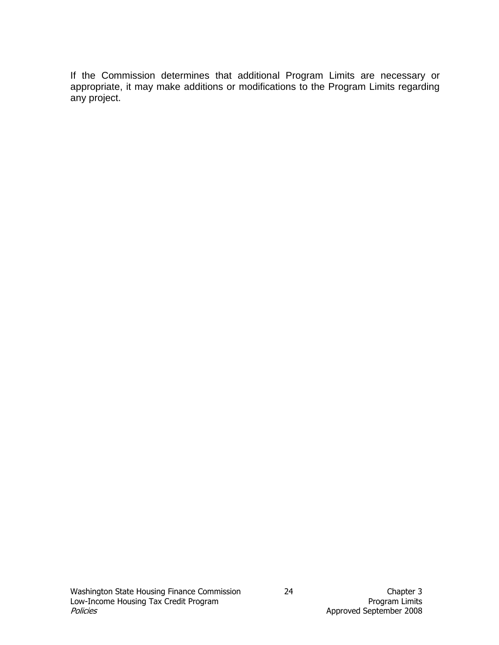If the Commission determines that additional Program Limits are necessary or appropriate, it may make additions or modifications to the Program Limits regarding any project.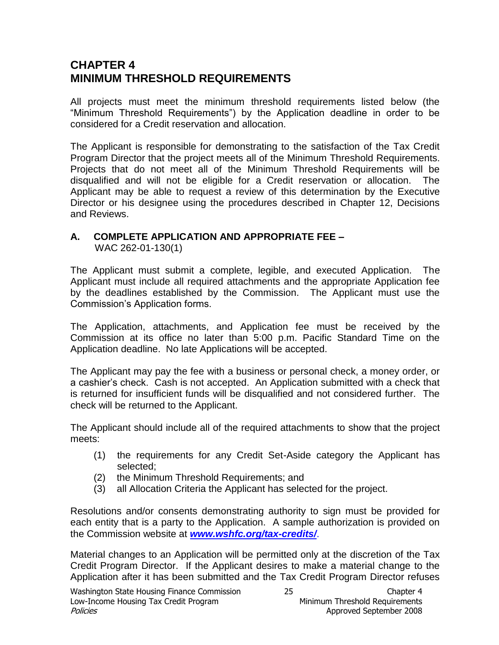# **CHAPTER 4 MINIMUM THRESHOLD REQUIREMENTS**

All projects must meet the minimum threshold requirements listed below (the "Minimum Threshold Requirements") by the Application deadline in order to be considered for a Credit reservation and allocation.

The Applicant is responsible for demonstrating to the satisfaction of the Tax Credit Program Director that the project meets all of the Minimum Threshold Requirements. Projects that do not meet all of the Minimum Threshold Requirements will be disqualified and will not be eligible for a Credit reservation or allocation. The Applicant may be able to request a review of this determination by the Executive Director or his designee using the procedures described in Chapter 12, Decisions and Reviews.

#### **A. COMPLETE APPLICATION AND APPROPRIATE FEE –**

WAC 262-01-130(1)

The Applicant must submit a complete, legible, and executed Application. The Applicant must include all required attachments and the appropriate Application fee by the deadlines established by the Commission. The Applicant must use the Commission's Application forms.

The Application, attachments, and Application fee must be received by the Commission at its office no later than 5:00 p.m. Pacific Standard Time on the Application deadline. No late Applications will be accepted.

The Applicant may pay the fee with a business or personal check, a money order, or a cashier's check. Cash is not accepted. An Application submitted with a check that is returned for insufficient funds will be disqualified and not considered further. The check will be returned to the Applicant.

The Applicant should include all of the required attachments to show that the project meets:

- (1) the requirements for any Credit Set-Aside category the Applicant has selected;
- (2) the Minimum Threshold Requirements; and
- (3) all Allocation Criteria the Applicant has selected for the project.

Resolutions and/or consents demonstrating authority to sign must be provided for each entity that is a party to the Application. A sample authorization is provided on the Commission website at *[www.wshfc.org/tax-credits/](http://www.wshfc.org/tax-credits/)*.

Material changes to an Application will be permitted only at the discretion of the Tax Credit Program Director. If the Applicant desires to make a material change to the Application after it has been submitted and the Tax Credit Program Director refuses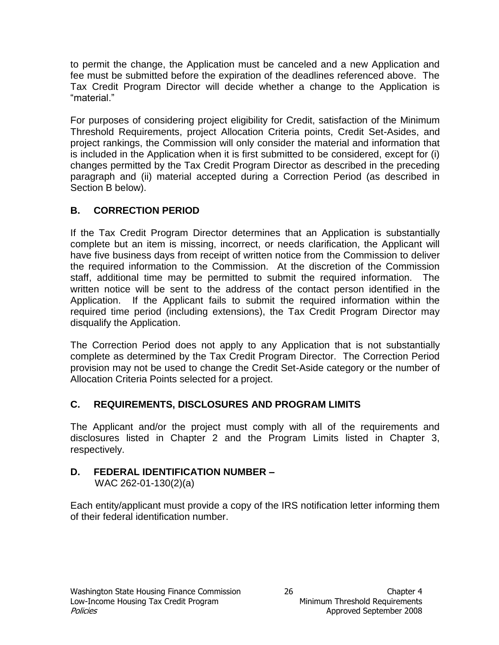to permit the change, the Application must be canceled and a new Application and fee must be submitted before the expiration of the deadlines referenced above. The Tax Credit Program Director will decide whether a change to the Application is "material."

For purposes of considering project eligibility for Credit, satisfaction of the Minimum Threshold Requirements, project Allocation Criteria points, Credit Set-Asides, and project rankings, the Commission will only consider the material and information that is included in the Application when it is first submitted to be considered, except for (i) changes permitted by the Tax Credit Program Director as described in the preceding paragraph and (ii) material accepted during a Correction Period (as described in Section B below).

# **B. CORRECTION PERIOD**

If the Tax Credit Program Director determines that an Application is substantially complete but an item is missing, incorrect, or needs clarification, the Applicant will have five business days from receipt of written notice from the Commission to deliver the required information to the Commission. At the discretion of the Commission staff, additional time may be permitted to submit the required information. The written notice will be sent to the address of the contact person identified in the Application. If the Applicant fails to submit the required information within the required time period (including extensions), the Tax Credit Program Director may disqualify the Application.

The Correction Period does not apply to any Application that is not substantially complete as determined by the Tax Credit Program Director. The Correction Period provision may not be used to change the Credit Set-Aside category or the number of Allocation Criteria Points selected for a project.

## **C. REQUIREMENTS, DISCLOSURES AND PROGRAM LIMITS**

The Applicant and/or the project must comply with all of the requirements and disclosures listed in Chapter 2 and the Program Limits listed in Chapter 3, respectively.

## **D. FEDERAL IDENTIFICATION NUMBER –**

WAC 262-01-130(2)(a)

Each entity/applicant must provide a copy of the IRS notification letter informing them of their federal identification number.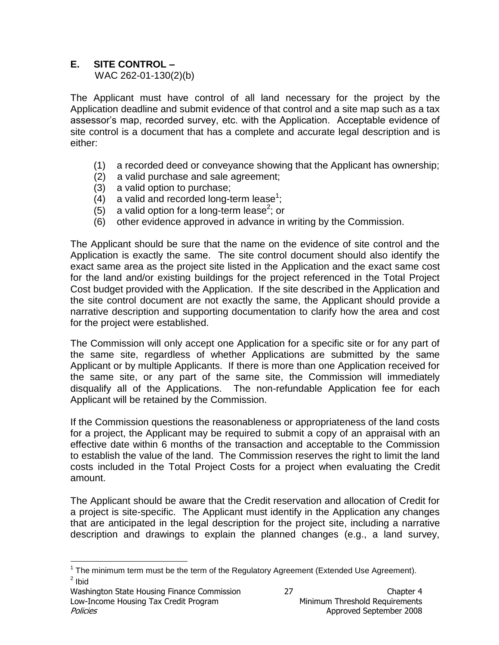## **E. SITE CONTROL –**

WAC 262-01-130(2)(b)

The Applicant must have control of all land necessary for the project by the Application deadline and submit evidence of that control and a site map such as a tax assessor's map, recorded survey, etc. with the Application. Acceptable evidence of site control is a document that has a complete and accurate legal description and is either:

- (1) a recorded deed or conveyance showing that the Applicant has ownership;
- (2) a valid purchase and sale agreement;
- (3) a valid option to purchase;
- $(4)$  a valid and recorded long-term lease<sup>1</sup>;
- $(5)$  a valid option for a long-term lease<sup>2</sup>; or
- (6) other evidence approved in advance in writing by the Commission.

The Applicant should be sure that the name on the evidence of site control and the Application is exactly the same. The site control document should also identify the exact same area as the project site listed in the Application and the exact same cost for the land and/or existing buildings for the project referenced in the Total Project Cost budget provided with the Application. If the site described in the Application and the site control document are not exactly the same, the Applicant should provide a narrative description and supporting documentation to clarify how the area and cost for the project were established.

The Commission will only accept one Application for a specific site or for any part of the same site, regardless of whether Applications are submitted by the same Applicant or by multiple Applicants. If there is more than one Application received for the same site, or any part of the same site, the Commission will immediately disqualify all of the Applications. The non-refundable Application fee for each Applicant will be retained by the Commission.

If the Commission questions the reasonableness or appropriateness of the land costs for a project, the Applicant may be required to submit a copy of an appraisal with an effective date within 6 months of the transaction and acceptable to the Commission to establish the value of the land. The Commission reserves the right to limit the land costs included in the Total Project Costs for a project when evaluating the Credit amount.

The Applicant should be aware that the Credit reservation and allocation of Credit for a project is site-specific. The Applicant must identify in the Application any changes that are anticipated in the legal description for the project site, including a narrative description and drawings to explain the planned changes (e.g., a land survey,

 $\overline{a}$  $1$  The minimum term must be the term of the Regulatory Agreement (Extended Use Agreement). <sup>2</sup> Ibid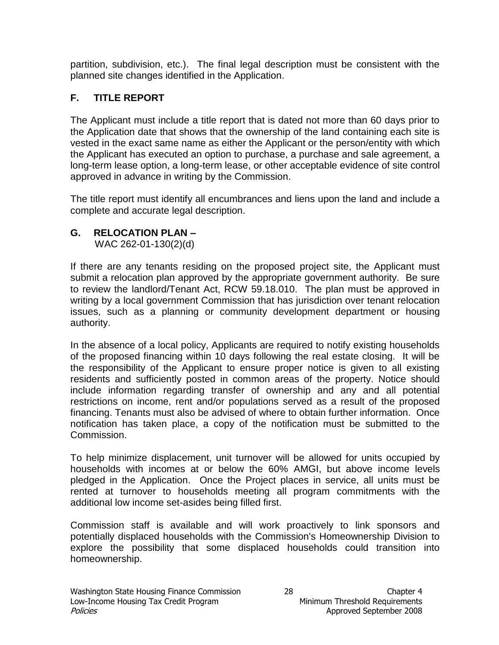partition, subdivision, etc.). The final legal description must be consistent with the planned site changes identified in the Application.

## **F. TITLE REPORT**

The Applicant must include a title report that is dated not more than 60 days prior to the Application date that shows that the ownership of the land containing each site is vested in the exact same name as either the Applicant or the person/entity with which the Applicant has executed an option to purchase, a purchase and sale agreement, a long-term lease option, a long-term lease, or other acceptable evidence of site control approved in advance in writing by the Commission.

The title report must identify all encumbrances and liens upon the land and include a complete and accurate legal description.

## **G. RELOCATION PLAN –**

WAC 262-01-130(2)(d)

If there are any tenants residing on the proposed project site, the Applicant must submit a relocation plan approved by the appropriate government authority. Be sure to review the landlord/Tenant Act, RCW 59.18.010. The plan must be approved in writing by a local government Commission that has jurisdiction over tenant relocation issues, such as a planning or community development department or housing authority.

In the absence of a local policy, Applicants are required to notify existing households of the proposed financing within 10 days following the real estate closing. It will be the responsibility of the Applicant to ensure proper notice is given to all existing residents and sufficiently posted in common areas of the property. Notice should include information regarding transfer of ownership and any and all potential restrictions on income, rent and/or populations served as a result of the proposed financing. Tenants must also be advised of where to obtain further information. Once notification has taken place, a copy of the notification must be submitted to the Commission.

To help minimize displacement, unit turnover will be allowed for units occupied by households with incomes at or below the 60% AMGI, but above income levels pledged in the Application. Once the Project places in service, all units must be rented at turnover to households meeting all program commitments with the additional low income set-asides being filled first.

Commission staff is available and will work proactively to link sponsors and potentially displaced households with the Commission's Homeownership Division to explore the possibility that some displaced households could transition into homeownership.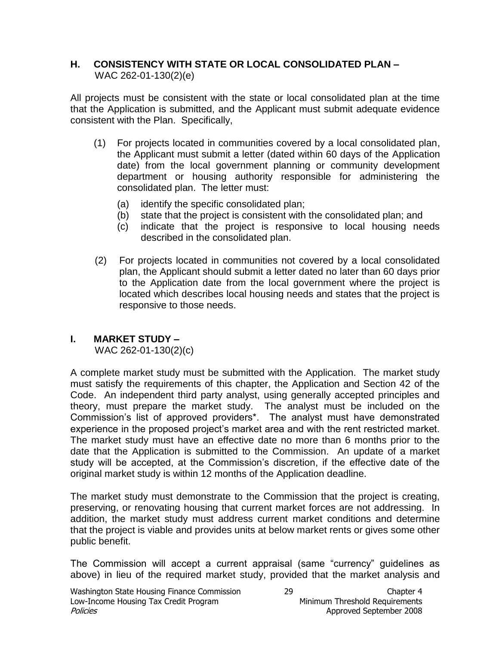#### **H. CONSISTENCY WITH STATE OR LOCAL CONSOLIDATED PLAN –** WAC 262-01-130(2)(e)

All projects must be consistent with the state or local consolidated plan at the time that the Application is submitted, and the Applicant must submit adequate evidence consistent with the Plan. Specifically,

- (1) For projects located in communities covered by a local consolidated plan, the Applicant must submit a letter (dated within 60 days of the Application date) from the local government planning or community development department or housing authority responsible for administering the consolidated plan. The letter must:
	- (a) identify the specific consolidated plan;
	- (b) state that the project is consistent with the consolidated plan; and
	- (c) indicate that the project is responsive to local housing needs described in the consolidated plan.
- (2) For projects located in communities not covered by a local consolidated plan, the Applicant should submit a letter dated no later than 60 days prior to the Application date from the local government where the project is located which describes local housing needs and states that the project is responsive to those needs.

#### **I. MARKET STUDY –**

WAC 262-01-130(2)(c)

A complete market study must be submitted with the Application. The market study must satisfy the requirements of this chapter, the Application and Section 42 of the Code. An independent third party analyst, using generally accepted principles and theory, must prepare the market study. The analyst must be included on the Commission's list of approved providers\*. The analyst must have demonstrated experience in the proposed project's market area and with the rent restricted market. The market study must have an effective date no more than 6 months prior to the date that the Application is submitted to the Commission. An update of a market study will be accepted, at the Commission's discretion, if the effective date of the original market study is within 12 months of the Application deadline.

The market study must demonstrate to the Commission that the project is creating, preserving, or renovating housing that current market forces are not addressing. In addition, the market study must address current market conditions and determine that the project is viable and provides units at below market rents or gives some other public benefit.

The Commission will accept a current appraisal (same "currency" guidelines as above) in lieu of the required market study, provided that the market analysis and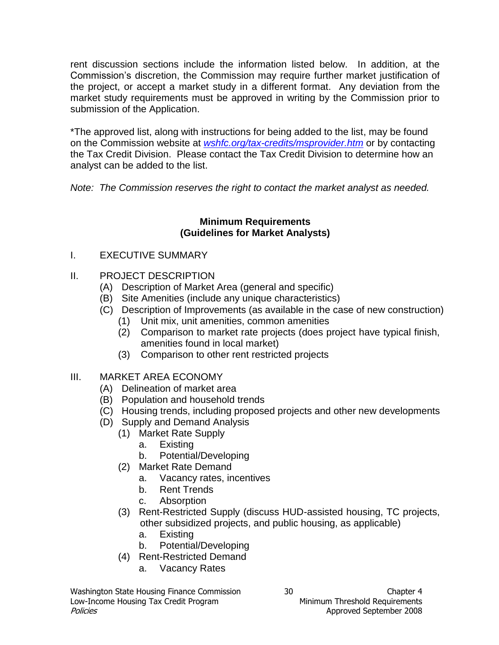rent discussion sections include the information listed below. In addition, at the Commission's discretion, the Commission may require further market justification of the project, or accept a market study in a different format. Any deviation from the market study requirements must be approved in writing by the Commission prior to submission of the Application.

\*The approved list, along with instructions for being added to the list, may be found on the Commission website at *[wshfc.org/tax-credits/msprovider.htm](http://www.wshfc.org/tax-credits/msprovider.htm)* or by contacting the Tax Credit Division. Please contact the Tax Credit Division to determine how an analyst can be added to the list.

*Note: The Commission reserves the right to contact the market analyst as needed.*

#### **Minimum Requirements (Guidelines for Market Analysts)**

#### I. EXECUTIVE SUMMARY

### II. PROJECT DESCRIPTION

- (A) Description of Market Area (general and specific)
- (B) Site Amenities (include any unique characteristics)
- (C) Description of Improvements (as available in the case of new construction)
	- (1) Unit mix, unit amenities, common amenities
	- (2) Comparison to market rate projects (does project have typical finish, amenities found in local market)
	- (3) Comparison to other rent restricted projects
- III. MARKET AREA ECONOMY
	- (A) Delineation of market area
	- (B) Population and household trends
	- (C) Housing trends, including proposed projects and other new developments
	- (D) Supply and Demand Analysis
		- (1) Market Rate Supply
			- a. Existing
			- b. Potential/Developing
		- (2) Market Rate Demand
			- a. Vacancy rates, incentives
			- b. Rent Trends
			- c. Absorption
		- (3) Rent-Restricted Supply (discuss HUD-assisted housing, TC projects, other subsidized projects, and public housing, as applicable)
			- a. Existing
			- b. Potential/Developing
		- (4) Rent-Restricted Demand
			- a. Vacancy Rates

Washington State Housing Finance Commission and 30 and 30 Chapter 4 Low-Income Housing Tax Credit Program Minimum Threshold Requirements Policies Approved September 2008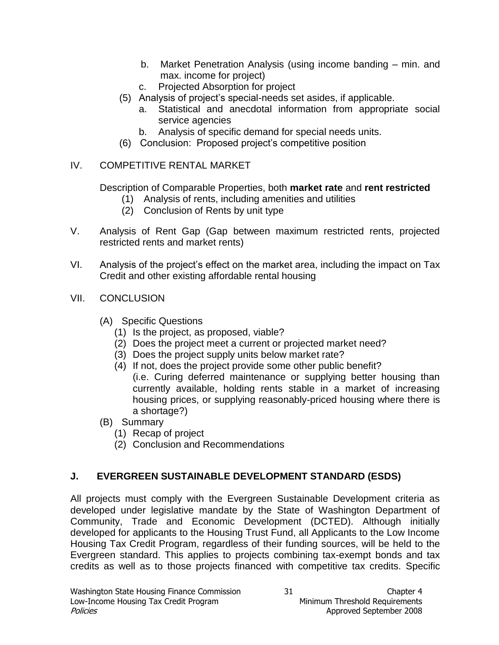- b. Market Penetration Analysis (using income banding min. and max. income for project)
- c. Projected Absorption for project
- (5) Analysis of project's special-needs set asides, if applicable.
	- a. Statistical and anecdotal information from appropriate social service agencies
	- b. Analysis of specific demand for special needs units.
- (6) Conclusion: Proposed project's competitive position

#### IV. COMPETITIVE RENTAL MARKET

Description of Comparable Properties, both **market rate** and **rent restricted**

- (1) Analysis of rents, including amenities and utilities
- (2) Conclusion of Rents by unit type
- V. Analysis of Rent Gap (Gap between maximum restricted rents, projected restricted rents and market rents)
- VI. Analysis of the project's effect on the market area, including the impact on Tax Credit and other existing affordable rental housing
- VII. CONCLUSION
	- (A) Specific Questions
		- (1) Is the project, as proposed, viable?
		- (2) Does the project meet a current or projected market need?
		- (3) Does the project supply units below market rate?
		- (4) If not, does the project provide some other public benefit? (i.e. Curing deferred maintenance or supplying better housing than currently available, holding rents stable in a market of increasing housing prices, or supplying reasonably-priced housing where there is a shortage?)
	- (B) Summary
		- (1) Recap of project
		- (2) Conclusion and Recommendations

### **J. EVERGREEN SUSTAINABLE DEVELOPMENT STANDARD (ESDS)**

All projects must comply with the Evergreen Sustainable Development criteria as developed under legislative mandate by the State of Washington Department of Community, Trade and Economic Development (DCTED). Although initially developed for applicants to the Housing Trust Fund, all Applicants to the Low Income Housing Tax Credit Program, regardless of their funding sources, will be held to the Evergreen standard. This applies to projects combining tax-exempt bonds and tax credits as well as to those projects financed with competitive tax credits. Specific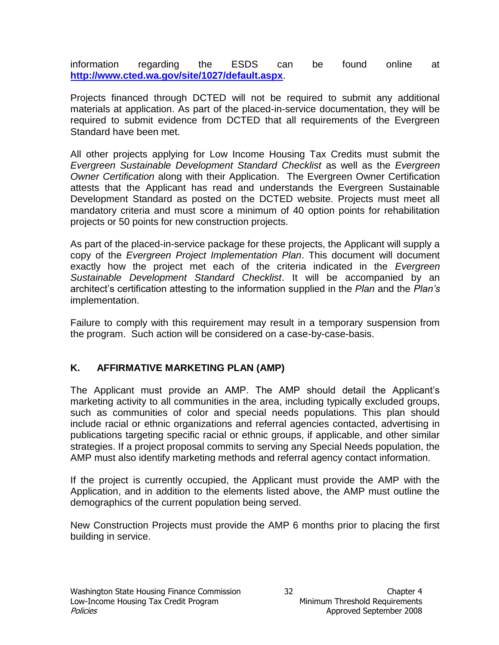information regarding the ESDS can be found online at **<http://www.cted.wa.gov/site/1027/default.aspx>**.

Projects financed through DCTED will not be required to submit any additional materials at application. As part of the placed-in-service documentation, they will be required to submit evidence from DCTED that all requirements of the Evergreen Standard have been met.

All other projects applying for Low Income Housing Tax Credits must submit the *Evergreen Sustainable Development Standard Checklist* as well as the *Evergreen Owner Certification* along with their Application. The Evergreen Owner Certification attests that the Applicant has read and understands the Evergreen Sustainable Development Standard as posted on the DCTED website. Projects must meet all mandatory criteria and must score a minimum of 40 option points for rehabilitation projects or 50 points for new construction projects.

As part of the placed-in-service package for these projects, the Applicant will supply a copy of the *Evergreen Project Implementation Plan*. This document will document exactly how the project met each of the criteria indicated in the *Evergreen Sustainable Development Standard Checklist*. It will be accompanied by an architect's certification attesting to the information supplied in the *Plan* and the *Plan's* implementation.

Failure to comply with this requirement may result in a temporary suspension from the program. Such action will be considered on a case-by-case-basis.

### **K. AFFIRMATIVE MARKETING PLAN (AMP)**

The Applicant must provide an AMP. The AMP should detail the Applicant's marketing activity to all communities in the area, including typically excluded groups, such as communities of color and special needs populations. This plan should include racial or ethnic organizations and referral agencies contacted, advertising in publications targeting specific racial or ethnic groups, if applicable, and other similar strategies. If a project proposal commits to serving any Special Needs population, the AMP must also identify marketing methods and referral agency contact information.

If the project is currently occupied, the Applicant must provide the AMP with the Application, and in addition to the elements listed above, the AMP must outline the demographics of the current population being served.

New Construction Projects must provide the AMP 6 months prior to placing the first building in service.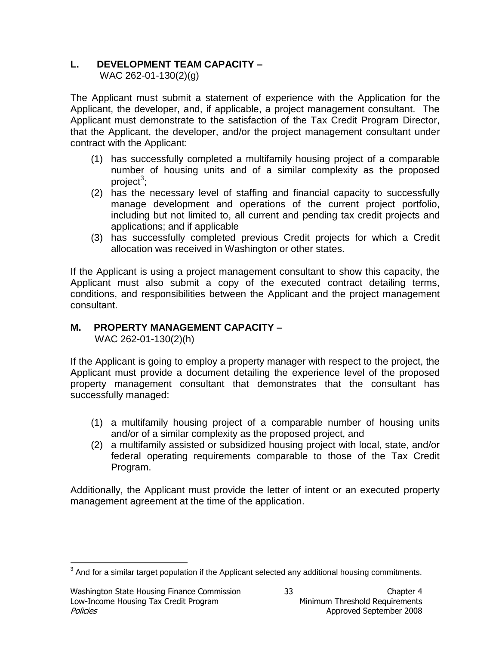# **L. DEVELOPMENT TEAM CAPACITY –**

WAC 262-01-130(2)(g)

The Applicant must submit a statement of experience with the Application for the Applicant, the developer, and, if applicable, a project management consultant. The Applicant must demonstrate to the satisfaction of the Tax Credit Program Director, that the Applicant, the developer, and/or the project management consultant under contract with the Applicant:

- (1) has successfully completed a multifamily housing project of a comparable number of housing units and of a similar complexity as the proposed project<sup>3</sup>;
- (2) has the necessary level of staffing and financial capacity to successfully manage development and operations of the current project portfolio, including but not limited to, all current and pending tax credit projects and applications; and if applicable
- (3) has successfully completed previous Credit projects for which a Credit allocation was received in Washington or other states.

If the Applicant is using a project management consultant to show this capacity, the Applicant must also submit a copy of the executed contract detailing terms, conditions, and responsibilities between the Applicant and the project management consultant.

# **M. PROPERTY MANAGEMENT CAPACITY –**

WAC 262-01-130(2)(h)

If the Applicant is going to employ a property manager with respect to the project, the Applicant must provide a document detailing the experience level of the proposed property management consultant that demonstrates that the consultant has successfully managed:

- (1) a multifamily housing project of a comparable number of housing units and/or of a similar complexity as the proposed project, and
- (2) a multifamily assisted or subsidized housing project with local, state, and/or federal operating requirements comparable to those of the Tax Credit Program.

Additionally, the Applicant must provide the letter of intent or an executed property management agreement at the time of the application.

 $\overline{a}$  $3$  And for a similar target population if the Applicant selected any additional housing commitments.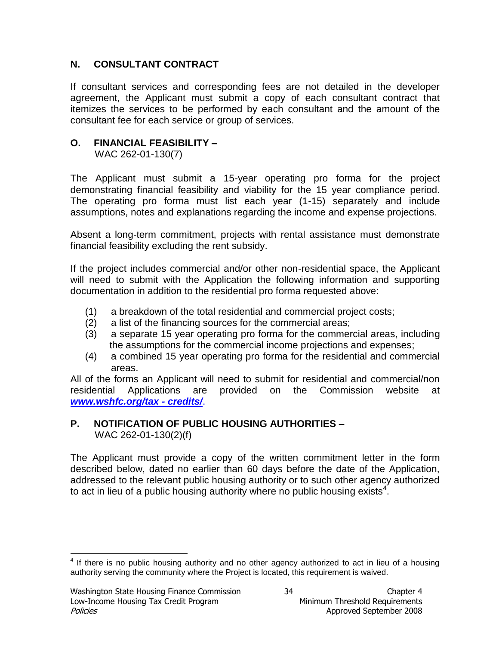### **N. CONSULTANT CONTRACT**

If consultant services and corresponding fees are not detailed in the developer agreement, the Applicant must submit a copy of each consultant contract that itemizes the services to be performed by each consultant and the amount of the consultant fee for each service or group of services.

### **O. FINANCIAL FEASIBILITY –**

WAC 262-01-130(7)

The Applicant must submit a 15-year operating pro forma for the project demonstrating financial feasibility and viability for the 15 year compliance period. The operating pro forma must list each year (1-15) separately and include assumptions, notes and explanations regarding the income and expense projections.

Absent a long-term commitment, projects with rental assistance must demonstrate financial feasibility excluding the rent subsidy.

If the project includes commercial and/or other non-residential space, the Applicant will need to submit with the Application the following information and supporting documentation in addition to the residential pro forma requested above:

- (1) a breakdown of the total residential and commercial project costs;
- (2) a list of the financing sources for the commercial areas;
- (3) a separate 15 year operating pro forma for the commercial areas, including the assumptions for the commercial income projections and expenses;
- (4) a combined 15 year operating pro forma for the residential and commercial areas.

All of the forms an Applicant will need to submit for residential and commercial/non residential Applications are provided on the Commission website at *[www.wshfc.org/tax](http://www.wshfc.org/tax) - credits/*.

# **P. NOTIFICATION OF PUBLIC HOUSING AUTHORITIES –**

WAC 262-01-130(2)(f)

 $\overline{a}$ 

The Applicant must provide a copy of the written commitment letter in the form described below, dated no earlier than 60 days before the date of the Application, addressed to the relevant public housing authority or to such other agency authorized to act in lieu of a public housing authority where no public housing exists<sup>4</sup>.

 $4$  If there is no public housing authority and no other agency authorized to act in lieu of a housing authority serving the community where the Project is located, this requirement is waived.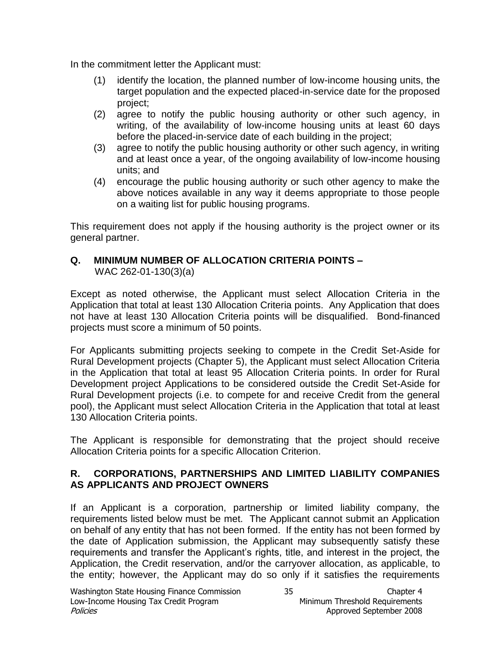In the commitment letter the Applicant must:

- (1) identify the location, the planned number of low-income housing units, the target population and the expected placed-in-service date for the proposed project;
- (2) agree to notify the public housing authority or other such agency, in writing, of the availability of low-income housing units at least 60 days before the placed-in-service date of each building in the project;
- (3) agree to notify the public housing authority or other such agency, in writing and at least once a year, of the ongoing availability of low-income housing units; and
- (4) encourage the public housing authority or such other agency to make the above notices available in any way it deems appropriate to those people on a waiting list for public housing programs.

This requirement does not apply if the housing authority is the project owner or its general partner.

# **Q. MINIMUM NUMBER OF ALLOCATION CRITERIA POINTS –**

WAC 262-01-130(3)(a)

Except as noted otherwise, the Applicant must select Allocation Criteria in the Application that total at least 130 Allocation Criteria points. Any Application that does not have at least 130 Allocation Criteria points will be disqualified. Bond-financed projects must score a minimum of 50 points.

For Applicants submitting projects seeking to compete in the Credit Set-Aside for Rural Development projects (Chapter 5), the Applicant must select Allocation Criteria in the Application that total at least 95 Allocation Criteria points. In order for Rural Development project Applications to be considered outside the Credit Set-Aside for Rural Development projects (i.e. to compete for and receive Credit from the general pool), the Applicant must select Allocation Criteria in the Application that total at least 130 Allocation Criteria points.

The Applicant is responsible for demonstrating that the project should receive Allocation Criteria points for a specific Allocation Criterion.

### **R. CORPORATIONS, PARTNERSHIPS AND LIMITED LIABILITY COMPANIES AS APPLICANTS AND PROJECT OWNERS**

If an Applicant is a corporation, partnership or limited liability company, the requirements listed below must be met. The Applicant cannot submit an Application on behalf of any entity that has not been formed. If the entity has not been formed by the date of Application submission, the Applicant may subsequently satisfy these requirements and transfer the Applicant's rights, title, and interest in the project, the Application, the Credit reservation, and/or the carryover allocation, as applicable, to the entity; however, the Applicant may do so only if it satisfies the requirements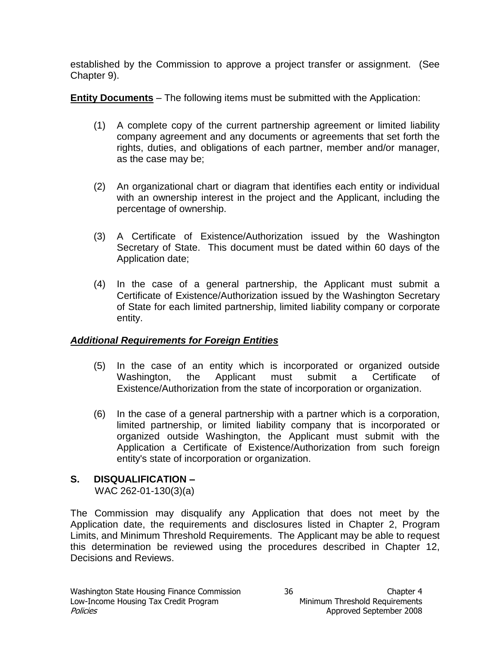established by the Commission to approve a project transfer or assignment. (See Chapter 9).

**Entity Documents** – The following items must be submitted with the Application:

- (1) A complete copy of the current partnership agreement or limited liability company agreement and any documents or agreements that set forth the rights, duties, and obligations of each partner, member and/or manager, as the case may be;
- (2) An organizational chart or diagram that identifies each entity or individual with an ownership interest in the project and the Applicant, including the percentage of ownership.
- (3) A Certificate of Existence/Authorization issued by the Washington Secretary of State. This document must be dated within 60 days of the Application date;
- (4) In the case of a general partnership, the Applicant must submit a Certificate of Existence/Authorization issued by the Washington Secretary of State for each limited partnership, limited liability company or corporate entity.

# *Additional Requirements for Foreign Entities*

- (5) In the case of an entity which is incorporated or organized outside Washington, the Applicant must submit a Certificate of Existence/Authorization from the state of incorporation or organization.
- (6) In the case of a general partnership with a partner which is a corporation, limited partnership, or limited liability company that is incorporated or organized outside Washington, the Applicant must submit with the Application a Certificate of Existence/Authorization from such foreign entity's state of incorporation or organization.

# **S. DISQUALIFICATION –**

WAC 262-01-130(3)(a)

The Commission may disqualify any Application that does not meet by the Application date, the requirements and disclosures listed in Chapter 2, Program Limits, and Minimum Threshold Requirements. The Applicant may be able to request this determination be reviewed using the procedures described in Chapter 12, Decisions and Reviews.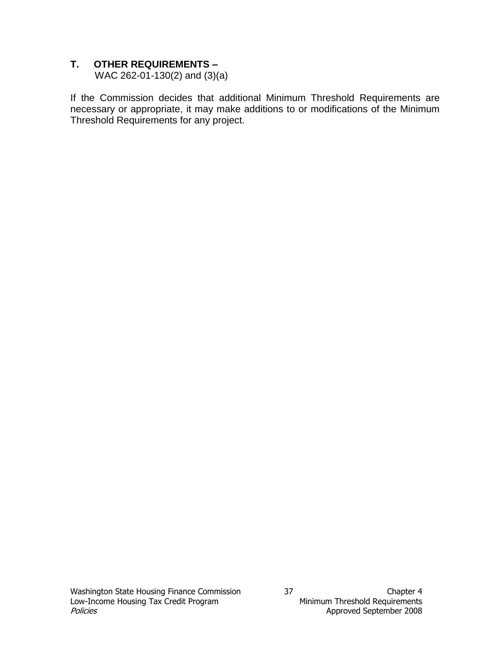### **T. OTHER REQUIREMENTS –**

WAC 262-01-130(2) and (3)(a)

If the Commission decides that additional Minimum Threshold Requirements are necessary or appropriate, it may make additions to or modifications of the Minimum Threshold Requirements for any project.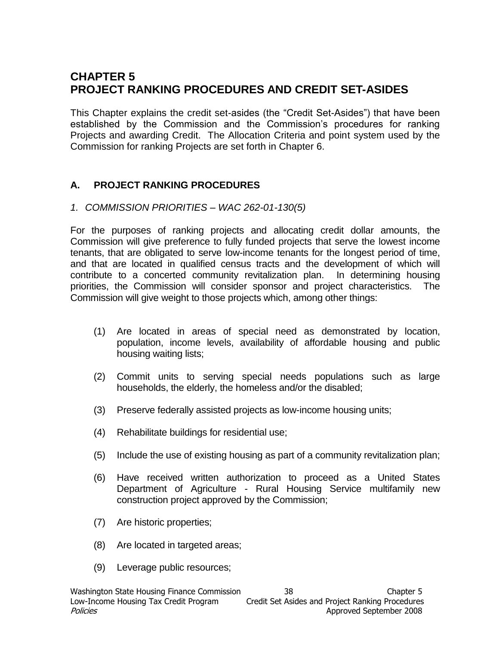# **CHAPTER 5 PROJECT RANKING PROCEDURES AND CREDIT SET-ASIDES**

This Chapter explains the credit set-asides (the "Credit Set-Asides") that have been established by the Commission and the Commission's procedures for ranking Projects and awarding Credit. The Allocation Criteria and point system used by the Commission for ranking Projects are set forth in Chapter 6.

### **A. PROJECT RANKING PROCEDURES**

*1. COMMISSION PRIORITIES – WAC 262-01-130(5)*

For the purposes of ranking projects and allocating credit dollar amounts, the Commission will give preference to fully funded projects that serve the lowest income tenants, that are obligated to serve low-income tenants for the longest period of time, and that are located in qualified census tracts and the development of which will contribute to a concerted community revitalization plan. In determining housing priorities, the Commission will consider sponsor and project characteristics. The Commission will give weight to those projects which, among other things:

- (1) Are located in areas of special need as demonstrated by location, population, income levels, availability of affordable housing and public housing waiting lists;
- (2) Commit units to serving special needs populations such as large households, the elderly, the homeless and/or the disabled;
- (3) Preserve federally assisted projects as low-income housing units;
- (4) Rehabilitate buildings for residential use;
- (5) Include the use of existing housing as part of a community revitalization plan;
- (6) Have received written authorization to proceed as a United States Department of Agriculture - Rural Housing Service multifamily new construction project approved by the Commission;
- (7) Are historic properties;
- (8) Are located in targeted areas;
- (9) Leverage public resources;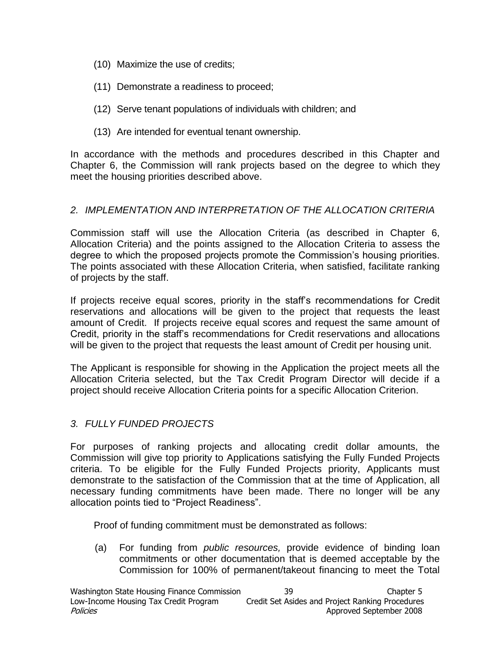- (10) Maximize the use of credits;
- (11) Demonstrate a readiness to proceed;
- (12) Serve tenant populations of individuals with children; and
- (13) Are intended for eventual tenant ownership.

In accordance with the methods and procedures described in this Chapter and Chapter 6, the Commission will rank projects based on the degree to which they meet the housing priorities described above.

#### *2. IMPLEMENTATION AND INTERPRETATION OF THE ALLOCATION CRITERIA*

Commission staff will use the Allocation Criteria (as described in Chapter 6, Allocation Criteria) and the points assigned to the Allocation Criteria to assess the degree to which the proposed projects promote the Commission's housing priorities. The points associated with these Allocation Criteria, when satisfied, facilitate ranking of projects by the staff.

If projects receive equal scores, priority in the staff's recommendations for Credit reservations and allocations will be given to the project that requests the least amount of Credit. If projects receive equal scores and request the same amount of Credit, priority in the staff's recommendations for Credit reservations and allocations will be given to the project that requests the least amount of Credit per housing unit.

The Applicant is responsible for showing in the Application the project meets all the Allocation Criteria selected, but the Tax Credit Program Director will decide if a project should receive Allocation Criteria points for a specific Allocation Criterion.

#### *3. FULLY FUNDED PROJECTS*

For purposes of ranking projects and allocating credit dollar amounts, the Commission will give top priority to Applications satisfying the Fully Funded Projects criteria. To be eligible for the Fully Funded Projects priority, Applicants must demonstrate to the satisfaction of the Commission that at the time of Application, all necessary funding commitments have been made. There no longer will be any allocation points tied to "Project Readiness".

Proof of funding commitment must be demonstrated as follows:

(a) For funding from *public resources,* provide evidence of binding loan commitments or other documentation that is deemed acceptable by the Commission for 100% of permanent/takeout financing to meet the Total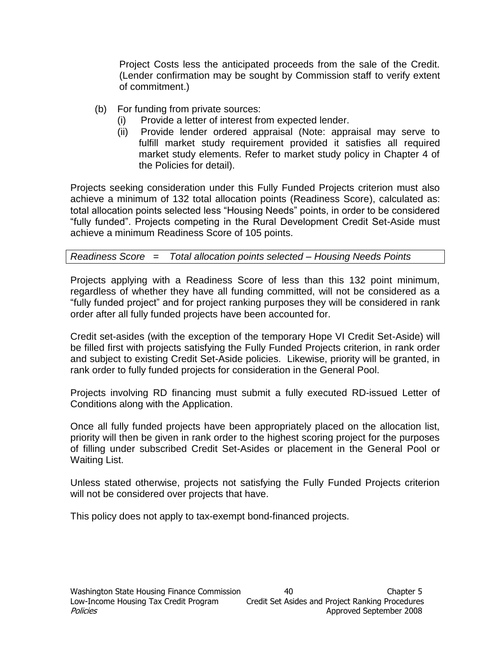Project Costs less the anticipated proceeds from the sale of the Credit. (Lender confirmation may be sought by Commission staff to verify extent of commitment.)

- (b) For funding from private sources:
	- (i) Provide a letter of interest from expected lender.
	- (ii) Provide lender ordered appraisal (Note: appraisal may serve to fulfill market study requirement provided it satisfies all required market study elements. Refer to market study policy in Chapter 4 of the Policies for detail).

Projects seeking consideration under this Fully Funded Projects criterion must also achieve a minimum of 132 total allocation points (Readiness Score), calculated as: total allocation points selected less "Housing Needs" points, in order to be considered "fully funded". Projects competing in the Rural Development Credit Set-Aside must achieve a minimum Readiness Score of 105 points.

*Readiness Score = Total allocation points selected – Housing Needs Points*

Projects applying with a Readiness Score of less than this 132 point minimum, regardless of whether they have all funding committed, will not be considered as a "fully funded project" and for project ranking purposes they will be considered in rank order after all fully funded projects have been accounted for.

Credit set-asides (with the exception of the temporary Hope VI Credit Set-Aside) will be filled first with projects satisfying the Fully Funded Projects criterion, in rank order and subject to existing Credit Set-Aside policies. Likewise, priority will be granted, in rank order to fully funded projects for consideration in the General Pool.

Projects involving RD financing must submit a fully executed RD-issued Letter of Conditions along with the Application.

Once all fully funded projects have been appropriately placed on the allocation list, priority will then be given in rank order to the highest scoring project for the purposes of filling under subscribed Credit Set-Asides or placement in the General Pool or Waiting List.

Unless stated otherwise, projects not satisfying the Fully Funded Projects criterion will not be considered over projects that have.

This policy does not apply to tax-exempt bond-financed projects.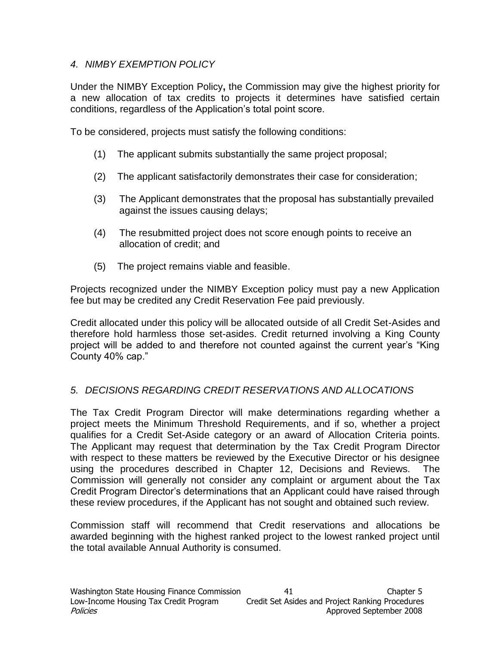### *4. NIMBY EXEMPTION POLICY*

Under the NIMBY Exception Policy**,** the Commission may give the highest priority for a new allocation of tax credits to projects it determines have satisfied certain conditions, regardless of the Application's total point score.

To be considered, projects must satisfy the following conditions:

- (1) The applicant submits substantially the same project proposal;
- (2) The applicant satisfactorily demonstrates their case for consideration;
- (3) The Applicant demonstrates that the proposal has substantially prevailed against the issues causing delays;
- (4) The resubmitted project does not score enough points to receive an allocation of credit; and
- (5) The project remains viable and feasible.

Projects recognized under the NIMBY Exception policy must pay a new Application fee but may be credited any Credit Reservation Fee paid previously.

Credit allocated under this policy will be allocated outside of all Credit Set-Asides and therefore hold harmless those set-asides. Credit returned involving a King County project will be added to and therefore not counted against the current year's "King County 40% cap."

### *5. DECISIONS REGARDING CREDIT RESERVATIONS AND ALLOCATIONS*

The Tax Credit Program Director will make determinations regarding whether a project meets the Minimum Threshold Requirements, and if so, whether a project qualifies for a Credit Set-Aside category or an award of Allocation Criteria points. The Applicant may request that determination by the Tax Credit Program Director with respect to these matters be reviewed by the Executive Director or his designee using the procedures described in Chapter 12, Decisions and Reviews. The Commission will generally not consider any complaint or argument about the Tax Credit Program Director's determinations that an Applicant could have raised through these review procedures, if the Applicant has not sought and obtained such review.

Commission staff will recommend that Credit reservations and allocations be awarded beginning with the highest ranked project to the lowest ranked project until the total available Annual Authority is consumed.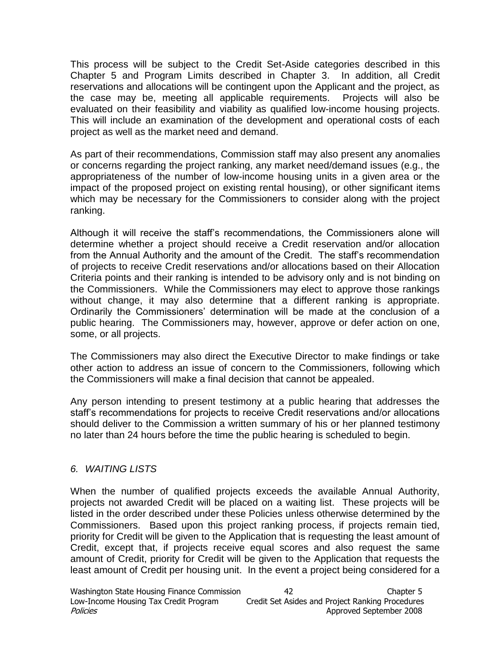This process will be subject to the Credit Set-Aside categories described in this Chapter 5 and Program Limits described in Chapter 3. In addition, all Credit reservations and allocations will be contingent upon the Applicant and the project, as the case may be, meeting all applicable requirements. Projects will also be evaluated on their feasibility and viability as qualified low-income housing projects. This will include an examination of the development and operational costs of each project as well as the market need and demand.

As part of their recommendations, Commission staff may also present any anomalies or concerns regarding the project ranking, any market need/demand issues (e.g., the appropriateness of the number of low-income housing units in a given area or the impact of the proposed project on existing rental housing), or other significant items which may be necessary for the Commissioners to consider along with the project ranking.

Although it will receive the staff's recommendations, the Commissioners alone will determine whether a project should receive a Credit reservation and/or allocation from the Annual Authority and the amount of the Credit. The staff's recommendation of projects to receive Credit reservations and/or allocations based on their Allocation Criteria points and their ranking is intended to be advisory only and is not binding on the Commissioners. While the Commissioners may elect to approve those rankings without change, it may also determine that a different ranking is appropriate. Ordinarily the Commissioners' determination will be made at the conclusion of a public hearing. The Commissioners may, however, approve or defer action on one, some, or all projects.

The Commissioners may also direct the Executive Director to make findings or take other action to address an issue of concern to the Commissioners, following which the Commissioners will make a final decision that cannot be appealed.

Any person intending to present testimony at a public hearing that addresses the staff's recommendations for projects to receive Credit reservations and/or allocations should deliver to the Commission a written summary of his or her planned testimony no later than 24 hours before the time the public hearing is scheduled to begin.

### *6. WAITING LISTS*

When the number of qualified projects exceeds the available Annual Authority, projects not awarded Credit will be placed on a waiting list. These projects will be listed in the order described under these Policies unless otherwise determined by the Commissioners. Based upon this project ranking process, if projects remain tied, priority for Credit will be given to the Application that is requesting the least amount of Credit, except that, if projects receive equal scores and also request the same amount of Credit, priority for Credit will be given to the Application that requests the least amount of Credit per housing unit. In the event a project being considered for a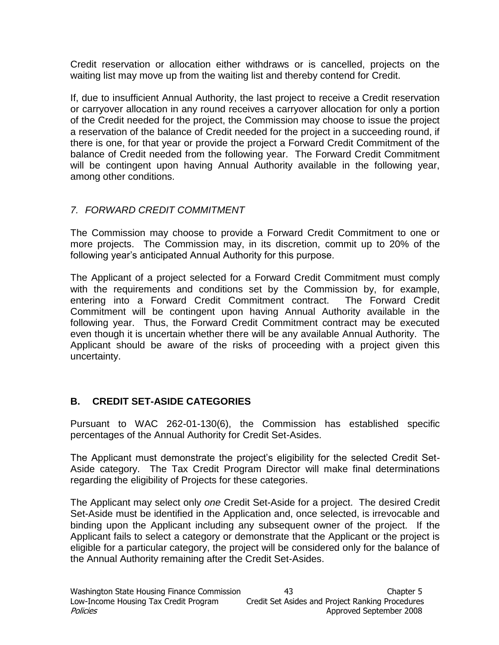Credit reservation or allocation either withdraws or is cancelled, projects on the waiting list may move up from the waiting list and thereby contend for Credit.

If, due to insufficient Annual Authority, the last project to receive a Credit reservation or carryover allocation in any round receives a carryover allocation for only a portion of the Credit needed for the project, the Commission may choose to issue the project a reservation of the balance of Credit needed for the project in a succeeding round, if there is one, for that year or provide the project a Forward Credit Commitment of the balance of Credit needed from the following year. The Forward Credit Commitment will be contingent upon having Annual Authority available in the following year, among other conditions.

### *7. FORWARD CREDIT COMMITMENT*

The Commission may choose to provide a Forward Credit Commitment to one or more projects. The Commission may, in its discretion, commit up to 20% of the following year's anticipated Annual Authority for this purpose.

The Applicant of a project selected for a Forward Credit Commitment must comply with the requirements and conditions set by the Commission by, for example, entering into a Forward Credit Commitment contract. The Forward Credit Commitment will be contingent upon having Annual Authority available in the following year. Thus, the Forward Credit Commitment contract may be executed even though it is uncertain whether there will be any available Annual Authority. The Applicant should be aware of the risks of proceeding with a project given this uncertainty.

## **B. CREDIT SET-ASIDE CATEGORIES**

Pursuant to WAC 262-01-130(6), the Commission has established specific percentages of the Annual Authority for Credit Set-Asides.

The Applicant must demonstrate the project's eligibility for the selected Credit Set-Aside category. The Tax Credit Program Director will make final determinations regarding the eligibility of Projects for these categories.

The Applicant may select only *one* Credit Set-Aside for a project. The desired Credit Set-Aside must be identified in the Application and, once selected, is irrevocable and binding upon the Applicant including any subsequent owner of the project. If the Applicant fails to select a category or demonstrate that the Applicant or the project is eligible for a particular category, the project will be considered only for the balance of the Annual Authority remaining after the Credit Set-Asides.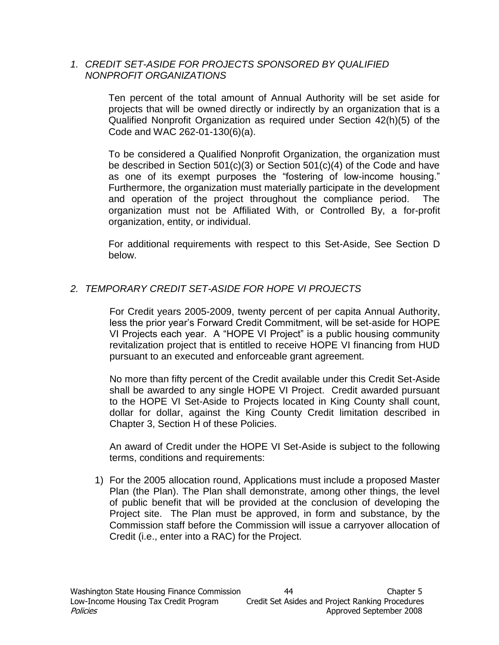#### *1. CREDIT SET-ASIDE FOR PROJECTS SPONSORED BY QUALIFIED NONPROFIT ORGANIZATIONS*

Ten percent of the total amount of Annual Authority will be set aside for projects that will be owned directly or indirectly by an organization that is a Qualified Nonprofit Organization as required under Section 42(h)(5) of the Code and WAC 262-01-130(6)(a).

To be considered a Qualified Nonprofit Organization, the organization must be described in Section 501(c)(3) or Section 501(c)(4) of the Code and have as one of its exempt purposes the "fostering of low-income housing." Furthermore, the organization must materially participate in the development and operation of the project throughout the compliance period. The organization must not be Affiliated With, or Controlled By, a for-profit organization, entity, or individual.

For additional requirements with respect to this Set-Aside, See Section D below.

### *2. TEMPORARY CREDIT SET-ASIDE FOR HOPE VI PROJECTS*

For Credit years 2005-2009, twenty percent of per capita Annual Authority, less the prior year's Forward Credit Commitment, will be set-aside for HOPE VI Projects each year. A "HOPE VI Project" is a public housing community revitalization project that is entitled to receive HOPE VI financing from HUD pursuant to an executed and enforceable grant agreement.

No more than fifty percent of the Credit available under this Credit Set-Aside shall be awarded to any single HOPE VI Project. Credit awarded pursuant to the HOPE VI Set-Aside to Projects located in King County shall count, dollar for dollar, against the King County Credit limitation described in Chapter 3, Section H of these Policies.

An award of Credit under the HOPE VI Set-Aside is subject to the following terms, conditions and requirements:

1) For the 2005 allocation round, Applications must include a proposed Master Plan (the Plan). The Plan shall demonstrate, among other things, the level of public benefit that will be provided at the conclusion of developing the Project site. The Plan must be approved, in form and substance, by the Commission staff before the Commission will issue a carryover allocation of Credit (i.e., enter into a RAC) for the Project.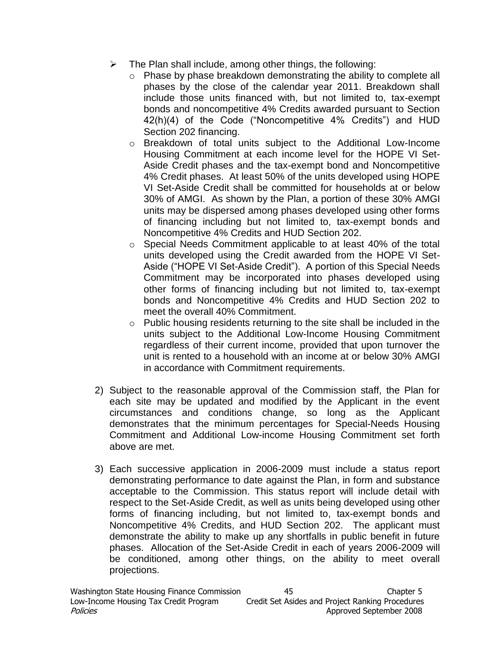- $\triangleright$  The Plan shall include, among other things, the following:
	- o Phase by phase breakdown demonstrating the ability to complete all phases by the close of the calendar year 2011. Breakdown shall include those units financed with, but not limited to, tax-exempt bonds and noncompetitive 4% Credits awarded pursuant to Section 42(h)(4) of the Code ("Noncompetitive 4% Credits") and HUD Section 202 financing.
	- o Breakdown of total units subject to the Additional Low-Income Housing Commitment at each income level for the HOPE VI Set-Aside Credit phases and the tax-exempt bond and Noncompetitive 4% Credit phases. At least 50% of the units developed using HOPE VI Set-Aside Credit shall be committed for households at or below 30% of AMGI. As shown by the Plan, a portion of these 30% AMGI units may be dispersed among phases developed using other forms of financing including but not limited to, tax-exempt bonds and Noncompetitive 4% Credits and HUD Section 202.
	- o Special Needs Commitment applicable to at least 40% of the total units developed using the Credit awarded from the HOPE VI Set-Aside ("HOPE VI Set-Aside Credit"). A portion of this Special Needs Commitment may be incorporated into phases developed using other forms of financing including but not limited to, tax-exempt bonds and Noncompetitive 4% Credits and HUD Section 202 to meet the overall 40% Commitment.
	- o Public housing residents returning to the site shall be included in the units subject to the Additional Low-Income Housing Commitment regardless of their current income, provided that upon turnover the unit is rented to a household with an income at or below 30% AMGI in accordance with Commitment requirements.
- 2) Subject to the reasonable approval of the Commission staff, the Plan for each site may be updated and modified by the Applicant in the event circumstances and conditions change, so long as the Applicant demonstrates that the minimum percentages for Special-Needs Housing Commitment and Additional Low-income Housing Commitment set forth above are met.
- 3) Each successive application in 2006-2009 must include a status report demonstrating performance to date against the Plan, in form and substance acceptable to the Commission. This status report will include detail with respect to the Set-Aside Credit, as well as units being developed using other forms of financing including, but not limited to, tax-exempt bonds and Noncompetitive 4% Credits, and HUD Section 202. The applicant must demonstrate the ability to make up any shortfalls in public benefit in future phases. Allocation of the Set-Aside Credit in each of years 2006-2009 will be conditioned, among other things, on the ability to meet overall projections.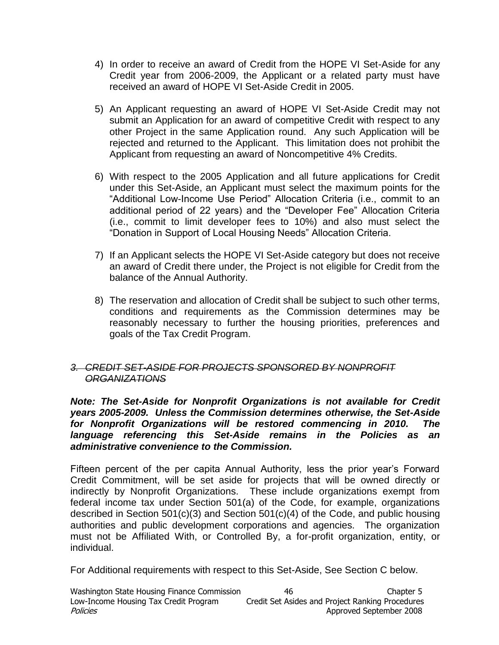- 4) In order to receive an award of Credit from the HOPE VI Set-Aside for any Credit year from 2006-2009, the Applicant or a related party must have received an award of HOPE VI Set-Aside Credit in 2005.
- 5) An Applicant requesting an award of HOPE VI Set-Aside Credit may not submit an Application for an award of competitive Credit with respect to any other Project in the same Application round. Any such Application will be rejected and returned to the Applicant. This limitation does not prohibit the Applicant from requesting an award of Noncompetitive 4% Credits.
- 6) With respect to the 2005 Application and all future applications for Credit under this Set-Aside, an Applicant must select the maximum points for the "Additional Low-Income Use Period" Allocation Criteria (i.e., commit to an additional period of 22 years) and the "Developer Fee" Allocation Criteria (i.e., commit to limit developer fees to 10%) and also must select the "Donation in Support of Local Housing Needs" Allocation Criteria.
- 7) If an Applicant selects the HOPE VI Set-Aside category but does not receive an award of Credit there under, the Project is not eligible for Credit from the balance of the Annual Authority.
- 8) The reservation and allocation of Credit shall be subject to such other terms, conditions and requirements as the Commission determines may be reasonably necessary to further the housing priorities, preferences and goals of the Tax Credit Program.

### *3. CREDIT SET-ASIDE FOR PROJECTS SPONSORED BY NONPROFIT ORGANIZATIONS*

*Note: The Set-Aside for Nonprofit Organizations is not available for Credit years 2005-2009. Unless the Commission determines otherwise, the Set-Aside for Nonprofit Organizations will be restored commencing in 2010. The language referencing this Set-Aside remains in the Policies as an administrative convenience to the Commission.*

Fifteen percent of the per capita Annual Authority, less the prior year's Forward Credit Commitment, will be set aside for projects that will be owned directly or indirectly by Nonprofit Organizations. These include organizations exempt from federal income tax under Section 501(a) of the Code, for example, organizations described in Section 501(c)(3) and Section 501(c)(4) of the Code, and public housing authorities and public development corporations and agencies. The organization must not be Affiliated With, or Controlled By, a for-profit organization, entity, or individual.

For Additional requirements with respect to this Set-Aside, See Section C below.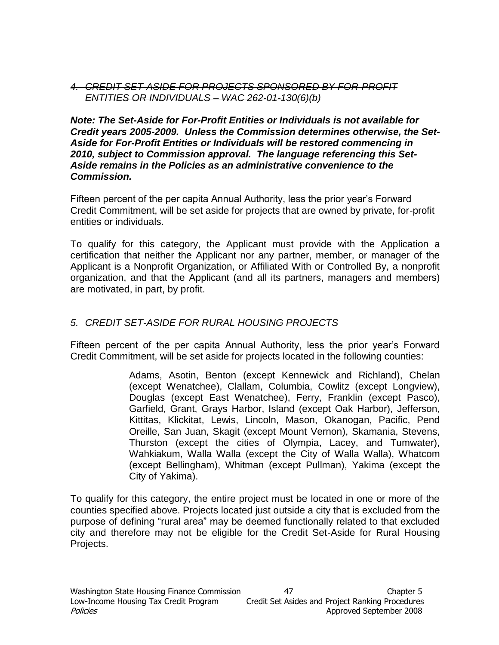### *4. CREDIT SET-ASIDE FOR PROJECTS SPONSORED BY FOR-PROFIT ENTITIES OR INDIVIDUALS – WAC 262-01-130(6)(b)*

*Note: The Set-Aside for For-Profit Entities or Individuals is not available for Credit years 2005-2009. Unless the Commission determines otherwise, the Set-Aside for For-Profit Entities or Individuals will be restored commencing in 2010, subject to Commission approval. The language referencing this Set-Aside remains in the Policies as an administrative convenience to the Commission.*

Fifteen percent of the per capita Annual Authority, less the prior year's Forward Credit Commitment, will be set aside for projects that are owned by private, for-profit entities or individuals.

To qualify for this category, the Applicant must provide with the Application a certification that neither the Applicant nor any partner, member, or manager of the Applicant is a Nonprofit Organization, or Affiliated With or Controlled By, a nonprofit organization, and that the Applicant (and all its partners, managers and members) are motivated, in part, by profit.

### *5. CREDIT SET-ASIDE FOR RURAL HOUSING PROJECTS*

Fifteen percent of the per capita Annual Authority, less the prior year's Forward Credit Commitment, will be set aside for projects located in the following counties:

> Adams, Asotin, Benton (except Kennewick and Richland), Chelan (except Wenatchee), Clallam, Columbia, Cowlitz (except Longview), Douglas (except East Wenatchee), Ferry, Franklin (except Pasco), Garfield, Grant, Grays Harbor, Island (except Oak Harbor), Jefferson, Kittitas, Klickitat, Lewis, Lincoln, Mason, Okanogan, Pacific, Pend Oreille, San Juan, Skagit (except Mount Vernon), Skamania, Stevens, Thurston (except the cities of Olympia, Lacey, and Tumwater), Wahkiakum, Walla Walla (except the City of Walla Walla), Whatcom (except Bellingham), Whitman (except Pullman), Yakima (except the City of Yakima).

To qualify for this category, the entire project must be located in one or more of the counties specified above. Projects located just outside a city that is excluded from the purpose of defining "rural area" may be deemed functionally related to that excluded city and therefore may not be eligible for the Credit Set-Aside for Rural Housing Projects.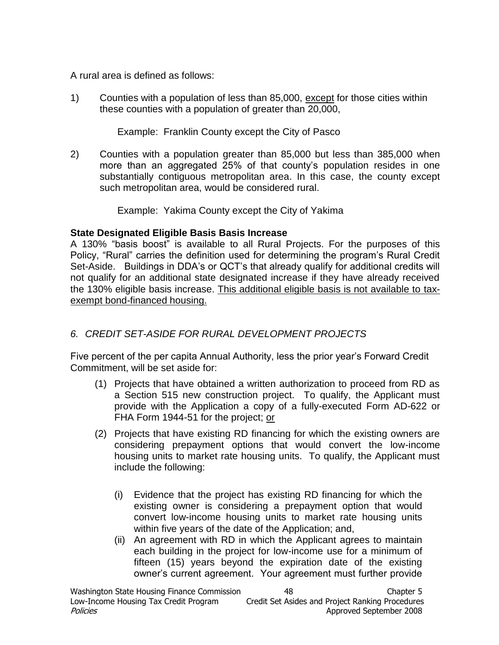A rural area is defined as follows:

1) Counties with a population of less than 85,000, except for those cities within these counties with a population of greater than 20,000,

Example: Franklin County except the City of Pasco

2) Counties with a population greater than 85,000 but less than 385,000 when more than an aggregated 25% of that county's population resides in one substantially contiguous metropolitan area. In this case, the county except such metropolitan area, would be considered rural.

Example: Yakima County except the City of Yakima

### **State Designated Eligible Basis Basis Increase**

A 130% "basis boost" is available to all Rural Projects. For the purposes of this Policy, "Rural" carries the definition used for determining the program's Rural Credit Set-Aside. Buildings in DDA's or QCT's that already qualify for additional credits will not qualify for an additional state designated increase if they have already received the 130% eligible basis increase. This additional eligible basis is not available to taxexempt bond-financed housing.

## *6. CREDIT SET-ASIDE FOR RURAL DEVELOPMENT PROJECTS*

Five percent of the per capita Annual Authority, less the prior year's Forward Credit Commitment, will be set aside for:

- (1) Projects that have obtained a written authorization to proceed from RD as a Section 515 new construction project. To qualify, the Applicant must provide with the Application a copy of a fully-executed Form AD-622 or FHA Form 1944-51 for the project; or
- (2) Projects that have existing RD financing for which the existing owners are considering prepayment options that would convert the low-income housing units to market rate housing units. To qualify, the Applicant must include the following:
	- (i) Evidence that the project has existing RD financing for which the existing owner is considering a prepayment option that would convert low-income housing units to market rate housing units within five years of the date of the Application; and,
	- (ii) An agreement with RD in which the Applicant agrees to maintain each building in the project for low-income use for a minimum of fifteen (15) years beyond the expiration date of the existing owner's current agreement. Your agreement must further provide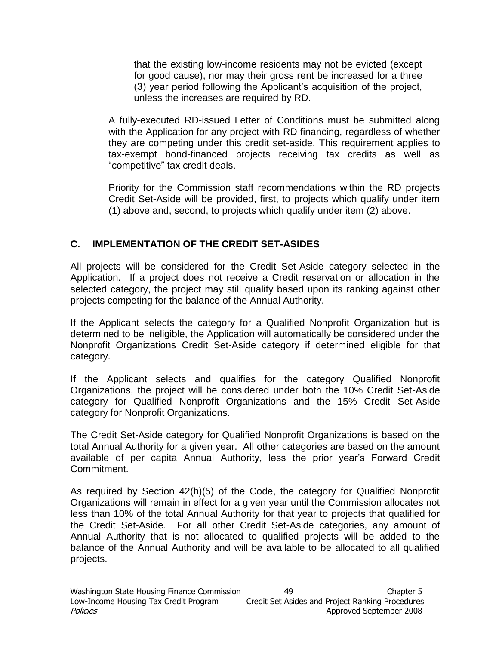that the existing low-income residents may not be evicted (except for good cause), nor may their gross rent be increased for a three (3) year period following the Applicant's acquisition of the project, unless the increases are required by RD.

A fully-executed RD-issued Letter of Conditions must be submitted along with the Application for any project with RD financing, regardless of whether they are competing under this credit set-aside. This requirement applies to tax-exempt bond-financed projects receiving tax credits as well as "competitive" tax credit deals.

Priority for the Commission staff recommendations within the RD projects Credit Set-Aside will be provided, first, to projects which qualify under item (1) above and, second, to projects which qualify under item (2) above.

### **C. IMPLEMENTATION OF THE CREDIT SET-ASIDES**

All projects will be considered for the Credit Set-Aside category selected in the Application. If a project does not receive a Credit reservation or allocation in the selected category, the project may still qualify based upon its ranking against other projects competing for the balance of the Annual Authority.

If the Applicant selects the category for a Qualified Nonprofit Organization but is determined to be ineligible, the Application will automatically be considered under the Nonprofit Organizations Credit Set-Aside category if determined eligible for that category.

If the Applicant selects and qualifies for the category Qualified Nonprofit Organizations, the project will be considered under both the 10% Credit Set-Aside category for Qualified Nonprofit Organizations and the 15% Credit Set-Aside category for Nonprofit Organizations.

The Credit Set-Aside category for Qualified Nonprofit Organizations is based on the total Annual Authority for a given year. All other categories are based on the amount available of per capita Annual Authority, less the prior year's Forward Credit Commitment.

As required by Section 42(h)(5) of the Code, the category for Qualified Nonprofit Organizations will remain in effect for a given year until the Commission allocates not less than 10% of the total Annual Authority for that year to projects that qualified for the Credit Set-Aside. For all other Credit Set-Aside categories, any amount of Annual Authority that is not allocated to qualified projects will be added to the balance of the Annual Authority and will be available to be allocated to all qualified projects.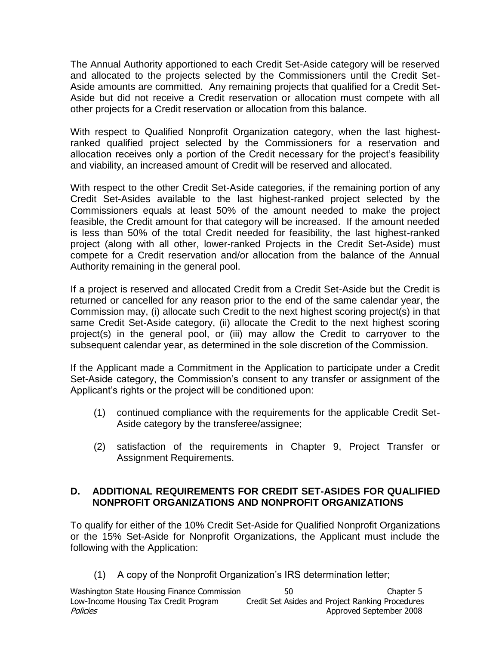The Annual Authority apportioned to each Credit Set-Aside category will be reserved and allocated to the projects selected by the Commissioners until the Credit Set-Aside amounts are committed. Any remaining projects that qualified for a Credit Set-Aside but did not receive a Credit reservation or allocation must compete with all other projects for a Credit reservation or allocation from this balance.

With respect to Qualified Nonprofit Organization category, when the last highestranked qualified project selected by the Commissioners for a reservation and allocation receives only a portion of the Credit necessary for the project's feasibility and viability, an increased amount of Credit will be reserved and allocated.

With respect to the other Credit Set-Aside categories, if the remaining portion of any Credit Set-Asides available to the last highest-ranked project selected by the Commissioners equals at least 50% of the amount needed to make the project feasible, the Credit amount for that category will be increased. If the amount needed is less than 50% of the total Credit needed for feasibility, the last highest-ranked project (along with all other, lower-ranked Projects in the Credit Set-Aside) must compete for a Credit reservation and/or allocation from the balance of the Annual Authority remaining in the general pool.

If a project is reserved and allocated Credit from a Credit Set-Aside but the Credit is returned or cancelled for any reason prior to the end of the same calendar year, the Commission may, (i) allocate such Credit to the next highest scoring project(s) in that same Credit Set-Aside category, (ii) allocate the Credit to the next highest scoring project(s) in the general pool, or (iii) may allow the Credit to carryover to the subsequent calendar year, as determined in the sole discretion of the Commission.

If the Applicant made a Commitment in the Application to participate under a Credit Set-Aside category, the Commission's consent to any transfer or assignment of the Applicant's rights or the project will be conditioned upon:

- (1) continued compliance with the requirements for the applicable Credit Set-Aside category by the transferee/assignee;
- (2) satisfaction of the requirements in Chapter 9, Project Transfer or Assignment Requirements.

### **D. ADDITIONAL REQUIREMENTS FOR CREDIT SET-ASIDES FOR QUALIFIED NONPROFIT ORGANIZATIONS AND NONPROFIT ORGANIZATIONS**

To qualify for either of the 10% Credit Set-Aside for Qualified Nonprofit Organizations or the 15% Set-Aside for Nonprofit Organizations, the Applicant must include the following with the Application:

(1) A copy of the Nonprofit Organization's IRS determination letter;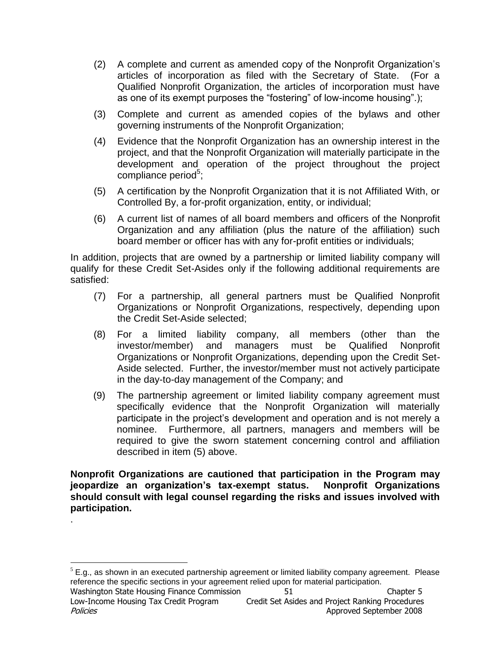- (2) A complete and current as amended copy of the Nonprofit Organization's articles of incorporation as filed with the Secretary of State. (For a Qualified Nonprofit Organization, the articles of incorporation must have as one of its exempt purposes the "fostering" of low-income housing".);
- (3) Complete and current as amended copies of the bylaws and other governing instruments of the Nonprofit Organization;
- (4) Evidence that the Nonprofit Organization has an ownership interest in the project, and that the Nonprofit Organization will materially participate in the development and operation of the project throughout the project compliance period<sup>5</sup>;
- (5) A certification by the Nonprofit Organization that it is not Affiliated With, or Controlled By, a for-profit organization, entity, or individual;
- (6) A current list of names of all board members and officers of the Nonprofit Organization and any affiliation (plus the nature of the affiliation) such board member or officer has with any for-profit entities or individuals;

In addition, projects that are owned by a partnership or limited liability company will qualify for these Credit Set-Asides only if the following additional requirements are satisfied:

- (7) For a partnership, all general partners must be Qualified Nonprofit Organizations or Nonprofit Organizations, respectively, depending upon the Credit Set-Aside selected;
- (8) For a limited liability company, all members (other than the investor/member) and managers must be Qualified Nonprofit Organizations or Nonprofit Organizations, depending upon the Credit Set-Aside selected. Further, the investor/member must not actively participate in the day-to-day management of the Company; and
- (9) The partnership agreement or limited liability company agreement must specifically evidence that the Nonprofit Organization will materially participate in the project's development and operation and is not merely a nominee. Furthermore, all partners, managers and members will be required to give the sworn statement concerning control and affiliation described in item (5) above.

**Nonprofit Organizations are cautioned that participation in the Program may jeopardize an organization's tax-exempt status. Nonprofit Organizations should consult with legal counsel regarding the risks and issues involved with participation.**

.

 $\overline{a}$ 

 $<sup>5</sup>$  E.g., as shown in an executed partnership agreement or limited liability company agreement. Please</sup> reference the specific sections in your agreement relied upon for material participation.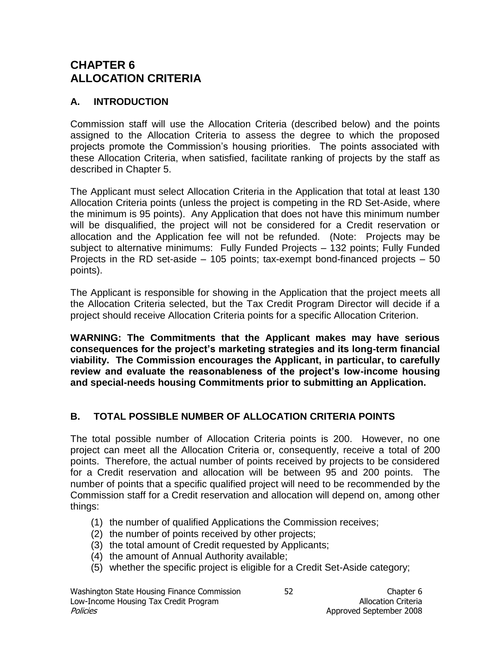# **CHAPTER 6 ALLOCATION CRITERIA**

### **A. INTRODUCTION**

Commission staff will use the Allocation Criteria (described below) and the points assigned to the Allocation Criteria to assess the degree to which the proposed projects promote the Commission's housing priorities. The points associated with these Allocation Criteria, when satisfied, facilitate ranking of projects by the staff as described in Chapter 5.

The Applicant must select Allocation Criteria in the Application that total at least 130 Allocation Criteria points (unless the project is competing in the RD Set-Aside, where the minimum is 95 points). Any Application that does not have this minimum number will be disqualified, the project will not be considered for a Credit reservation or allocation and the Application fee will not be refunded. (Note: Projects may be subject to alternative minimums: Fully Funded Projects – 132 points; Fully Funded Projects in the RD set-aside – 105 points; tax-exempt bond-financed projects – 50 points).

The Applicant is responsible for showing in the Application that the project meets all the Allocation Criteria selected, but the Tax Credit Program Director will decide if a project should receive Allocation Criteria points for a specific Allocation Criterion.

**WARNING: The Commitments that the Applicant makes may have serious consequences for the project's marketing strategies and its long-term financial viability. The Commission encourages the Applicant, in particular, to carefully review and evaluate the reasonableness of the project's low-income housing and special-needs housing Commitments prior to submitting an Application.**

## **B. TOTAL POSSIBLE NUMBER OF ALLOCATION CRITERIA POINTS**

The total possible number of Allocation Criteria points is 200. However, no one project can meet all the Allocation Criteria or, consequently, receive a total of 200 points. Therefore, the actual number of points received by projects to be considered for a Credit reservation and allocation will be between 95 and 200 points. The number of points that a specific qualified project will need to be recommended by the Commission staff for a Credit reservation and allocation will depend on, among other things:

- (1) the number of qualified Applications the Commission receives;
- (2) the number of points received by other projects;
- (3) the total amount of Credit requested by Applicants;
- (4) the amount of Annual Authority available;
- (5) whether the specific project is eligible for a Credit Set-Aside category;

Washington State Housing Finance Commission 52 52 Chapter 6 Low-Income Housing Tax Credit Program Allocation Criteria Policies Approved September 2008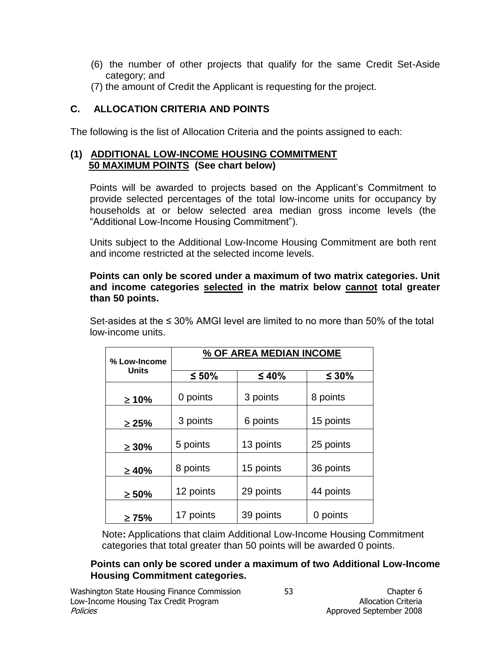- (6) the number of other projects that qualify for the same Credit Set-Aside category; and
- (7) the amount of Credit the Applicant is requesting for the project.

# **C. ALLOCATION CRITERIA AND POINTS**

The following is the list of Allocation Criteria and the points assigned to each:

## **(1) ADDITIONAL LOW-INCOME HOUSING COMMITMENT 50 MAXIMUM POINTS (See chart below)**

Points will be awarded to projects based on the Applicant's Commitment to provide selected percentages of the total low-income units for occupancy by households at or below selected area median gross income levels (the "Additional Low-Income Housing Commitment").

Units subject to the Additional Low-Income Housing Commitment are both rent and income restricted at the selected income levels.

### **Points can only be scored under a maximum of two matrix categories. Unit and income categories selected in the matrix below cannot total greater than 50 points.**

Set-asides at the ≤ 30% AMGI level are limited to no more than 50% of the total low-income units.

| % Low-Income | % OF AREA MEDIAN INCOME |           |           |
|--------------|-------------------------|-----------|-----------|
| <b>Units</b> | $≤ 50%$                 | $≤ 40%$   | $≤ 30%$   |
| $\geq 10\%$  | 0 points                | 3 points  | 8 points  |
| $\geq 25\%$  | 3 points                | 6 points  | 15 points |
| $\geq 30\%$  | 5 points                | 13 points | 25 points |
| $\geq 40\%$  | 8 points                | 15 points | 36 points |
| $\geq 50\%$  | 12 points               | 29 points | 44 points |
| $\geq 75\%$  | 17 points               | 39 points | 0 points  |

Note**:** Applications that claim Additional Low-Income Housing Commitment categories that total greater than 50 points will be awarded 0 points.

### **Points can only be scored under a maximum of two Additional Low-Income Housing Commitment categories.**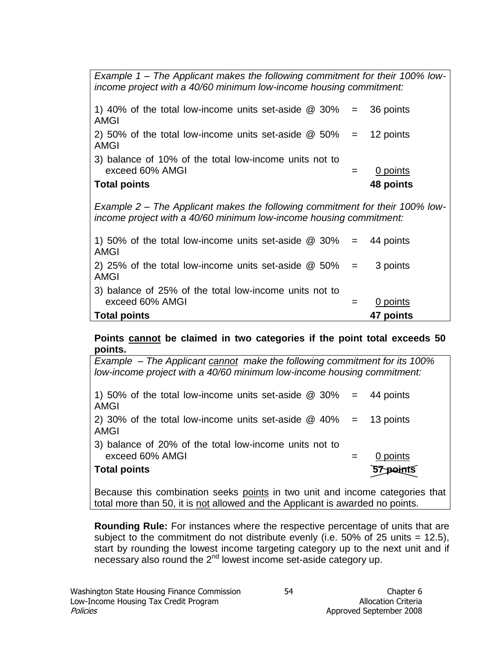| Example 1 – The Applicant makes the following commitment for their 100% low-<br>income project with a 40/60 minimum low-income housing commitment: |     |           |  |
|----------------------------------------------------------------------------------------------------------------------------------------------------|-----|-----------|--|
| 1) 40% of the total low-income units set-aside $\omega$ 30% = 36 points<br><b>AMGI</b>                                                             |     |           |  |
| 2) 50% of the total low-income units set-aside $\omega$ 50% = 12 points<br>AMGI                                                                    |     |           |  |
| 3) balance of 10% of the total low-income units not to<br>exceed 60% AMGI                                                                          | $=$ | 0 points  |  |
| <b>Total points</b>                                                                                                                                |     | 48 points |  |
| Example 2 – The Applicant makes the following commitment for their 100% low-<br>income project with a 40/60 minimum low-income housing commitment: |     |           |  |
| 1) 50% of the total low-income units set-aside $\omega$ 30% = 44 points<br>AMGI                                                                    |     |           |  |
| 2) 25% of the total low-income units set-aside $\omega$ 50% =<br><b>AMGI</b>                                                                       |     | 3 points  |  |
| 3) balance of 25% of the total low-income units not to<br>exceed 60% AMGI                                                                          | $=$ | 0 points  |  |
| <b>Total points</b>                                                                                                                                |     | 47 points |  |

#### **Points cannot be claimed in two categories if the point total exceeds 50 points.**

| Example – The Applicant cannot make the following commitment for its 100%       |     |           |
|---------------------------------------------------------------------------------|-----|-----------|
| low-income project with a 40/60 minimum low-income housing commitment:          |     |           |
|                                                                                 |     |           |
| 1) 50% of the total low-income units set-aside $\omega$ 30% = 44 points<br>AMGI |     |           |
| 2) 30% of the total low-income units set-aside $\omega$ 40% = 13 points         |     |           |
| <b>AMGI</b>                                                                     |     |           |
| 3) balance of 20% of the total low-income units not to                          |     |           |
| exceed 60% AMGI                                                                 | $=$ | 0 points  |
| <b>Total points</b>                                                             |     | 57 points |
|                                                                                 |     |           |
| Because this combination seeks points in two unit and income categories that    |     |           |

Because this combination seeks points in two unit and income categories that total more than 50, it is not allowed and the Applicant is awarded no points.

**Rounding Rule:** For instances where the respective percentage of units that are subject to the commitment do not distribute evenly (i.e. 50% of 25 units  $= 12.5$ ), start by rounding the lowest income targeting category up to the next unit and if necessary also round the 2<sup>nd</sup> lowest income set-aside category up.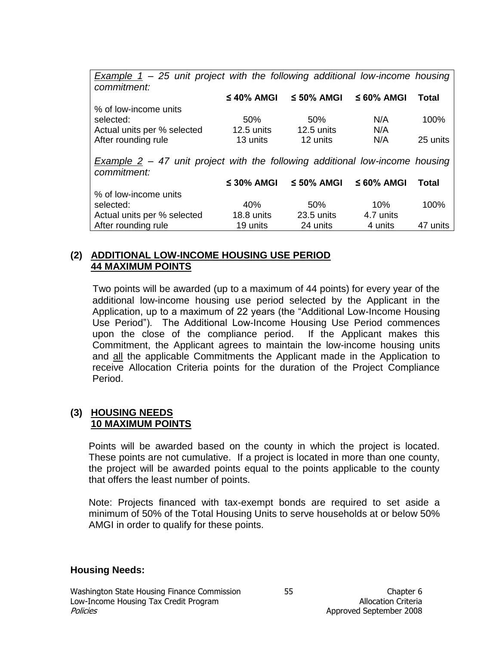*Example 1 – 25 unit project with the following additional low-income housing commitment:*  **≤ 40% AMGI ≤ 50% AMGI ≤ 60% AMGI Total** % of low-income units selected: 50% 50% N/A 100%

*Example 2 – 47 unit project with the following additional low-income housing commitment:* 

After rounding rule 13 units 12 units N/A 25 units

Actual units per % selected 12.5 units 12.5 units N/A

|                             | $\leq$ 30% AMGI | $\leq 50\%$ AMGI | $\leq 60\%$ AMGI | Total    |
|-----------------------------|-----------------|------------------|------------------|----------|
| % of low-income units       |                 |                  |                  |          |
| selected:                   | 40%             | 50%              | 10%              | $100\%$  |
| Actual units per % selected | 18.8 units      | $23.5$ units     | 4.7 units        |          |
| After rounding rule         | 19 units        | 24 units         | 4 units          | 47 units |

### **(2) ADDITIONAL LOW-INCOME HOUSING USE PERIOD 44 MAXIMUM POINTS**

Two points will be awarded (up to a maximum of 44 points) for every year of the additional low-income housing use period selected by the Applicant in the Application, up to a maximum of 22 years (the "Additional Low-Income Housing Use Period"). The Additional Low-Income Housing Use Period commences upon the close of the compliance period. If the Applicant makes this Commitment, the Applicant agrees to maintain the low-income housing units and all the applicable Commitments the Applicant made in the Application to receive Allocation Criteria points for the duration of the Project Compliance Period.

#### **(3) HOUSING NEEDS 10 MAXIMUM POINTS**

Points will be awarded based on the county in which the project is located. These points are not cumulative. If a project is located in more than one county, the project will be awarded points equal to the points applicable to the county that offers the least number of points.

Note: Projects financed with tax-exempt bonds are required to set aside a minimum of 50% of the Total Housing Units to serve households at or below 50% AMGI in order to qualify for these points.

### **Housing Needs:**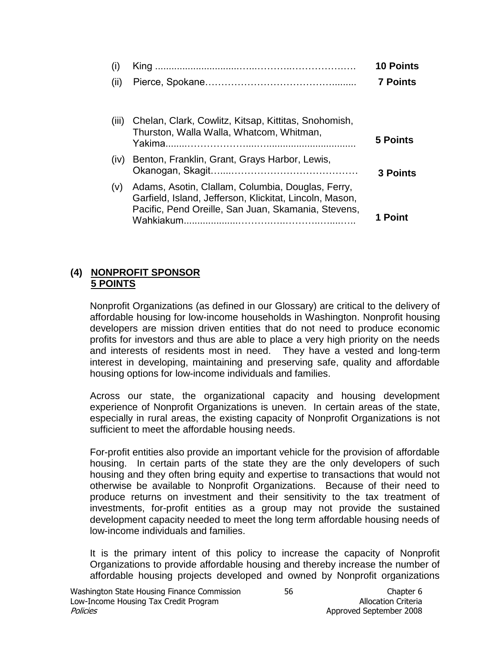| $\sf(1)$ | King                                                                                                                                                                             | <b>10 Points</b> |
|----------|----------------------------------------------------------------------------------------------------------------------------------------------------------------------------------|------------------|
| (ii)     |                                                                                                                                                                                  | <b>7 Points</b>  |
| (III)    | Chelan, Clark, Cowlitz, Kitsap, Kittitas, Snohomish,<br>Thurston, Walla Walla, Whatcom, Whitman,<br>Yakima                                                                       | 5 Points         |
| (iv)     | Benton, Franklin, Grant, Grays Harbor, Lewis,                                                                                                                                    | <b>3 Points</b>  |
| (v)      | Adams, Asotin, Clallam, Columbia, Douglas, Ferry,<br>Garfield, Island, Jefferson, Klickitat, Lincoln, Mason,<br>Pacific, Pend Oreille, San Juan, Skamania, Stevens,<br>Wahkiakum | 1 Point          |

### **(4) NONPROFIT SPONSOR 5 POINTS**

Nonprofit Organizations (as defined in our Glossary) are critical to the delivery of affordable housing for low-income households in Washington. Nonprofit housing developers are mission driven entities that do not need to produce economic profits for investors and thus are able to place a very high priority on the needs and interests of residents most in need. They have a vested and long-term interest in developing, maintaining and preserving safe, quality and affordable housing options for low-income individuals and families.

Across our state, the organizational capacity and housing development experience of Nonprofit Organizations is uneven. In certain areas of the state, especially in rural areas, the existing capacity of Nonprofit Organizations is not sufficient to meet the affordable housing needs.

For-profit entities also provide an important vehicle for the provision of affordable housing. In certain parts of the state they are the only developers of such housing and they often bring equity and expertise to transactions that would not otherwise be available to Nonprofit Organizations. Because of their need to produce returns on investment and their sensitivity to the tax treatment of investments, for-profit entities as a group may not provide the sustained development capacity needed to meet the long term affordable housing needs of low-income individuals and families.

It is the primary intent of this policy to increase the capacity of Nonprofit Organizations to provide affordable housing and thereby increase the number of affordable housing projects developed and owned by Nonprofit organizations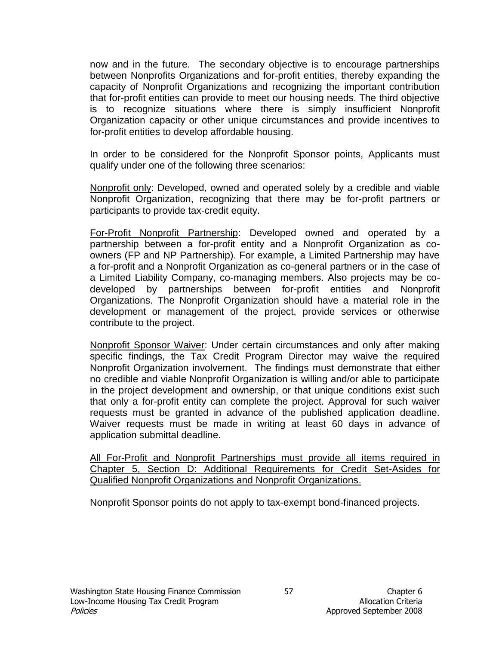now and in the future. The secondary objective is to encourage partnerships between Nonprofits Organizations and for-profit entities, thereby expanding the capacity of Nonprofit Organizations and recognizing the important contribution that for-profit entities can provide to meet our housing needs. The third objective is to recognize situations where there is simply insufficient Nonprofit Organization capacity or other unique circumstances and provide incentives to for-profit entities to develop affordable housing.

In order to be considered for the Nonprofit Sponsor points, Applicants must qualify under one of the following three scenarios:

Nonprofit only: Developed, owned and operated solely by a credible and viable Nonprofit Organization, recognizing that there may be for-profit partners or participants to provide tax-credit equity.

For-Profit Nonprofit Partnership: Developed owned and operated by a partnership between a for-profit entity and a Nonprofit Organization as coowners (FP and NP Partnership). For example, a Limited Partnership may have a for-profit and a Nonprofit Organization as co-general partners or in the case of a Limited Liability Company, co-managing members. Also projects may be codeveloped by partnerships between for-profit entities and Nonprofit Organizations. The Nonprofit Organization should have a material role in the development or management of the project, provide services or otherwise contribute to the project.

Nonprofit Sponsor Waiver: Under certain circumstances and only after making specific findings, the Tax Credit Program Director may waive the required Nonprofit Organization involvement. The findings must demonstrate that either no credible and viable Nonprofit Organization is willing and/or able to participate in the project development and ownership, or that unique conditions exist such that only a for-profit entity can complete the project. Approval for such waiver requests must be granted in advance of the published application deadline. Waiver requests must be made in writing at least 60 days in advance of application submittal deadline.

All For-Profit and Nonprofit Partnerships must provide all items required in Chapter 5, Section D: Additional Requirements for Credit Set-Asides for Qualified Nonprofit Organizations and Nonprofit Organizations.

Nonprofit Sponsor points do not apply to tax-exempt bond-financed projects.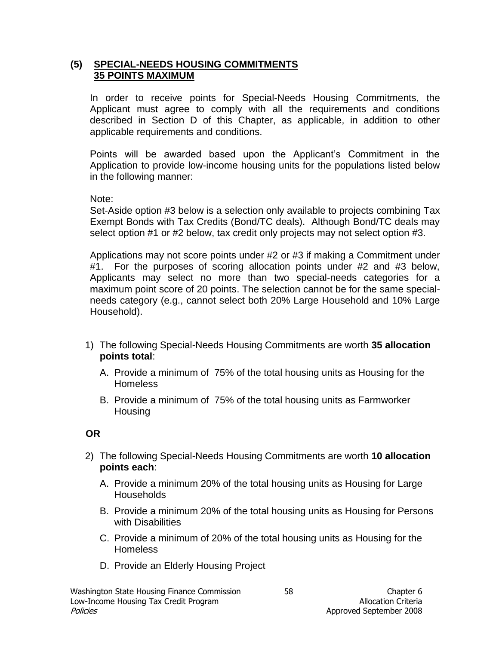#### **(5) SPECIAL-NEEDS HOUSING COMMITMENTS 35 POINTS MAXIMUM**

In order to receive points for Special-Needs Housing Commitments, the Applicant must agree to comply with all the requirements and conditions described in Section D of this Chapter, as applicable, in addition to other applicable requirements and conditions.

Points will be awarded based upon the Applicant's Commitment in the Application to provide low-income housing units for the populations listed below in the following manner:

Note:

Set-Aside option #3 below is a selection only available to projects combining Tax Exempt Bonds with Tax Credits (Bond/TC deals). Although Bond/TC deals may select option #1 or #2 below, tax credit only projects may not select option #3.

Applications may not score points under #2 or #3 if making a Commitment under #1. For the purposes of scoring allocation points under #2 and #3 below, Applicants may select no more than two special-needs categories for a maximum point score of 20 points. The selection cannot be for the same specialneeds category (e.g., cannot select both 20% Large Household and 10% Large Household).

- 1) The following Special-Needs Housing Commitments are worth **35 allocation points total**:
	- A. Provide a minimum of 75% of the total housing units as Housing for the **Homeless**
	- B. Provide a minimum of 75% of the total housing units as Farmworker Housing

**OR**

- 2) The following Special-Needs Housing Commitments are worth **10 allocation points each**:
	- A. Provide a minimum 20% of the total housing units as Housing for Large Households
	- B. Provide a minimum 20% of the total housing units as Housing for Persons with Disabilities
	- C. Provide a minimum of 20% of the total housing units as Housing for the **Homeless**
	- D. Provide an Elderly Housing Project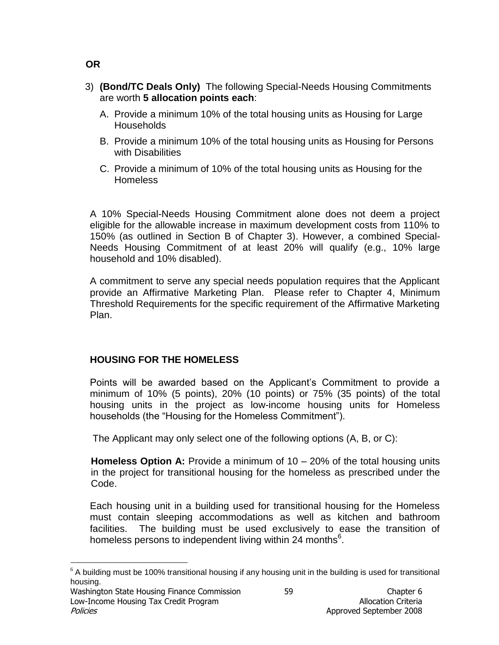- 3) **(Bond/TC Deals Only)** The following Special-Needs Housing Commitments are worth **5 allocation points each**:
	- A. Provide a minimum 10% of the total housing units as Housing for Large Households
	- B. Provide a minimum 10% of the total housing units as Housing for Persons with Disabilities
	- C. Provide a minimum of 10% of the total housing units as Housing for the **Homeless**

A 10% Special-Needs Housing Commitment alone does not deem a project eligible for the allowable increase in maximum development costs from 110% to 150% (as outlined in Section B of Chapter 3). However, a combined Special-Needs Housing Commitment of at least 20% will qualify (e.g., 10% large household and 10% disabled).

A commitment to serve any special needs population requires that the Applicant provide an Affirmative Marketing Plan. Please refer to Chapter 4, Minimum Threshold Requirements for the specific requirement of the Affirmative Marketing Plan.

## **HOUSING FOR THE HOMELESS**

Points will be awarded based on the Applicant's Commitment to provide a minimum of 10% (5 points), 20% (10 points) or 75% (35 points) of the total housing units in the project as low-income housing units for Homeless households (the "Housing for the Homeless Commitment").

The Applicant may only select one of the following options (A, B, or C):

**Homeless Option A:** Provide a minimum of 10 – 20% of the total housing units in the project for transitional housing for the homeless as prescribed under the Code.

Each housing unit in a building used for transitional housing for the Homeless must contain sleeping accommodations as well as kitchen and bathroom facilities. The building must be used exclusively to ease the transition of homeless persons to independent living within 24 months<sup>6</sup>.

 $\overline{a}$ 

 $6$  A building must be 100% transitional housing if any housing unit in the building is used for transitional housing.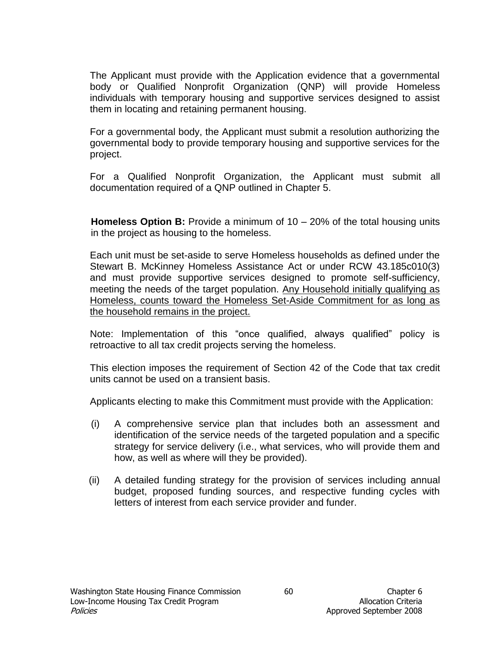The Applicant must provide with the Application evidence that a governmental body or Qualified Nonprofit Organization (QNP) will provide Homeless individuals with temporary housing and supportive services designed to assist them in locating and retaining permanent housing.

For a governmental body, the Applicant must submit a resolution authorizing the governmental body to provide temporary housing and supportive services for the project.

For a Qualified Nonprofit Organization, the Applicant must submit all documentation required of a QNP outlined in Chapter 5.

**Homeless Option B:** Provide a minimum of 10 – 20% of the total housing units in the project as housing to the homeless.

Each unit must be set-aside to serve Homeless households as defined under the Stewart B. McKinney Homeless Assistance Act or under RCW 43.185c010(3) and must provide supportive services designed to promote self-sufficiency, meeting the needs of the target population. Any Household initially qualifying as Homeless, counts toward the Homeless Set-Aside Commitment for as long as the household remains in the project.

Note: Implementation of this "once qualified, always qualified" policy is retroactive to all tax credit projects serving the homeless.

This election imposes the requirement of Section 42 of the Code that tax credit units cannot be used on a transient basis.

Applicants electing to make this Commitment must provide with the Application:

- (i) A comprehensive service plan that includes both an assessment and identification of the service needs of the targeted population and a specific strategy for service delivery (i.e., what services, who will provide them and how, as well as where will they be provided).
- (ii) A detailed funding strategy for the provision of services including annual budget, proposed funding sources, and respective funding cycles with letters of interest from each service provider and funder.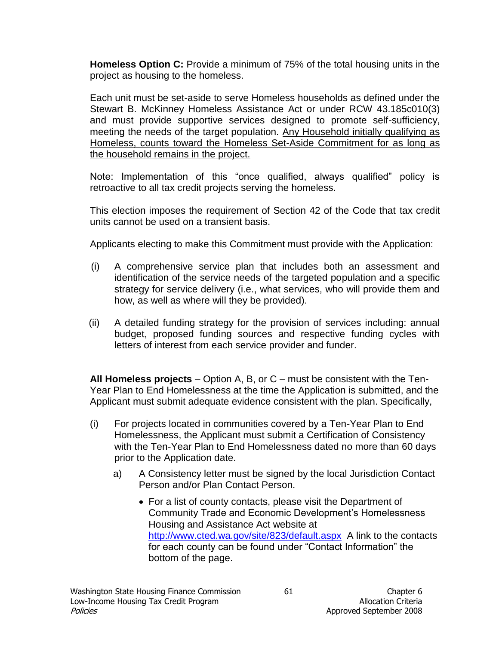**Homeless Option C:** Provide a minimum of 75% of the total housing units in the project as housing to the homeless.

Each unit must be set-aside to serve Homeless households as defined under the Stewart B. McKinney Homeless Assistance Act or under RCW 43.185c010(3) and must provide supportive services designed to promote self-sufficiency, meeting the needs of the target population. Any Household initially qualifying as Homeless, counts toward the Homeless Set-Aside Commitment for as long as the household remains in the project.

Note: Implementation of this "once qualified, always qualified" policy is retroactive to all tax credit projects serving the homeless.

This election imposes the requirement of Section 42 of the Code that tax credit units cannot be used on a transient basis.

Applicants electing to make this Commitment must provide with the Application:

- (i) A comprehensive service plan that includes both an assessment and identification of the service needs of the targeted population and a specific strategy for service delivery (i.e., what services, who will provide them and how, as well as where will they be provided).
- (ii) A detailed funding strategy for the provision of services including: annual budget, proposed funding sources and respective funding cycles with letters of interest from each service provider and funder.

**All Homeless projects** – Option A, B, or C – must be consistent with the Ten-Year Plan to End Homelessness at the time the Application is submitted, and the Applicant must submit adequate evidence consistent with the plan. Specifically,

- (i) For projects located in communities covered by a Ten-Year Plan to End Homelessness, the Applicant must submit a Certification of Consistency with the Ten-Year Plan to End Homelessness dated no more than 60 days prior to the Application date.
	- a) A Consistency letter must be signed by the local Jurisdiction Contact Person and/or Plan Contact Person.
		- For a list of county contacts, please visit the Department of Community Trade and Economic Development's Homelessness Housing and Assistance Act website at <http://www.cted.wa.gov/site/823/default.aspx>A link to the contacts for each county can be found under "Contact Information" the bottom of the page.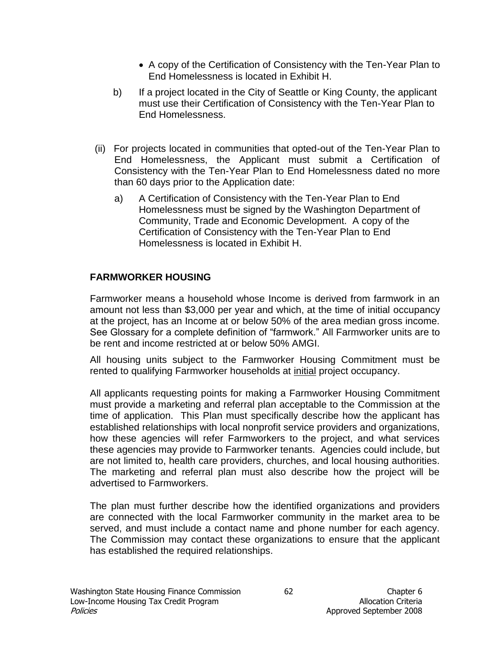- A copy of the Certification of Consistency with the Ten-Year Plan to End Homelessness is located in Exhibit H.
- b) If a project located in the City of Seattle or King County, the applicant must use their Certification of Consistency with the Ten-Year Plan to End Homelessness.
- (ii) For projects located in communities that opted-out of the Ten-Year Plan to End Homelessness, the Applicant must submit a Certification of Consistency with the Ten-Year Plan to End Homelessness dated no more than 60 days prior to the Application date:
	- a) A Certification of Consistency with the Ten-Year Plan to End Homelessness must be signed by the Washington Department of Community, Trade and Economic Development. A copy of the Certification of Consistency with the Ten-Year Plan to End Homelessness is located in Exhibit H.

## **FARMWORKER HOUSING**

Farmworker means a household whose Income is derived from farmwork in an amount not less than \$3,000 per year and which, at the time of initial occupancy at the project, has an Income at or below 50% of the area median gross income. See Glossary for a complete definition of "farmwork." All Farmworker units are to be rent and income restricted at or below 50% AMGI.

All housing units subject to the Farmworker Housing Commitment must be rented to qualifying Farmworker households at initial project occupancy.

All applicants requesting points for making a Farmworker Housing Commitment must provide a marketing and referral plan acceptable to the Commission at the time of application. This Plan must specifically describe how the applicant has established relationships with local nonprofit service providers and organizations, how these agencies will refer Farmworkers to the project, and what services these agencies may provide to Farmworker tenants. Agencies could include, but are not limited to, health care providers, churches, and local housing authorities. The marketing and referral plan must also describe how the project will be advertised to Farmworkers.

The plan must further describe how the identified organizations and providers are connected with the local Farmworker community in the market area to be served, and must include a contact name and phone number for each agency. The Commission may contact these organizations to ensure that the applicant has established the required relationships.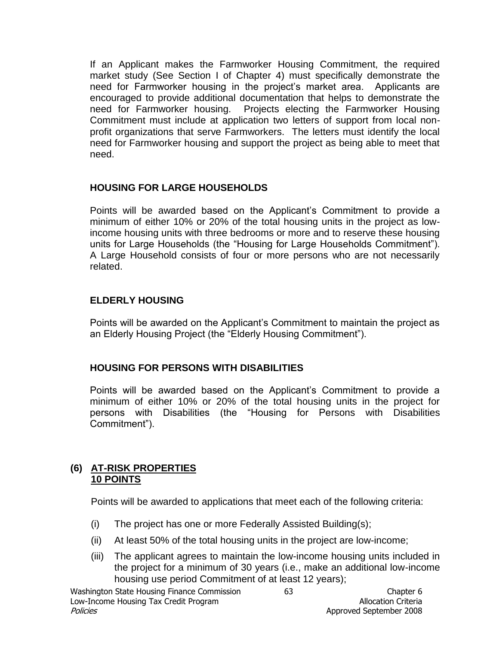If an Applicant makes the Farmworker Housing Commitment, the required market study (See Section I of Chapter 4) must specifically demonstrate the need for Farmworker housing in the project's market area. Applicants are encouraged to provide additional documentation that helps to demonstrate the need for Farmworker housing. Projects electing the Farmworker Housing Commitment must include at application two letters of support from local nonprofit organizations that serve Farmworkers. The letters must identify the local need for Farmworker housing and support the project as being able to meet that need.

### **HOUSING FOR LARGE HOUSEHOLDS**

Points will be awarded based on the Applicant's Commitment to provide a minimum of either 10% or 20% of the total housing units in the project as lowincome housing units with three bedrooms or more and to reserve these housing units for Large Households (the "Housing for Large Households Commitment"). A Large Household consists of four or more persons who are not necessarily related.

### **ELDERLY HOUSING**

Points will be awarded on the Applicant's Commitment to maintain the project as an Elderly Housing Project (the "Elderly Housing Commitment").

## **HOUSING FOR PERSONS WITH DISABILITIES**

Points will be awarded based on the Applicant's Commitment to provide a minimum of either 10% or 20% of the total housing units in the project for persons with Disabilities (the "Housing for Persons with Disabilities Commitment").

#### **(6) AT-RISK PROPERTIES 10 POINTS**

Points will be awarded to applications that meet each of the following criteria:

- (i) The project has one or more Federally Assisted Building(s);
- (ii) At least 50% of the total housing units in the project are low-income;
- (iii) The applicant agrees to maintain the low-income housing units included in the project for a minimum of 30 years (i.e., make an additional low-income housing use period Commitment of at least 12 years);

Washington State Housing Finance Commission 63 63 Chapter 6 Low-Income Housing Tax Credit Program Allocation Criteria Policies Approved September 2008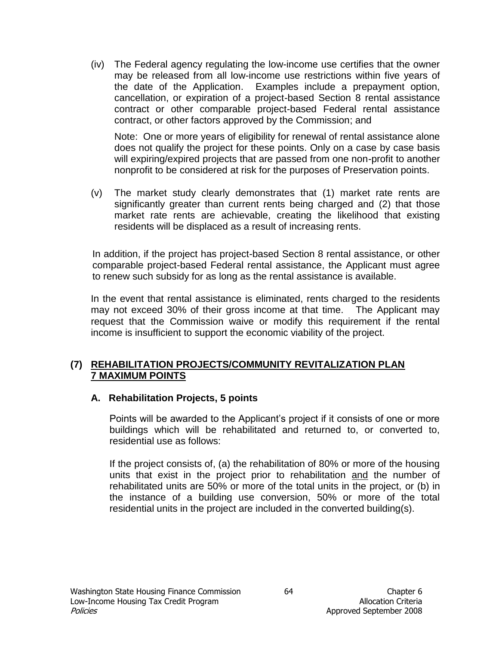(iv) The Federal agency regulating the low-income use certifies that the owner may be released from all low-income use restrictions within five years of the date of the Application. Examples include a prepayment option, cancellation, or expiration of a project-based Section 8 rental assistance contract or other comparable project-based Federal rental assistance contract, or other factors approved by the Commission; and

Note: One or more years of eligibility for renewal of rental assistance alone does not qualify the project for these points. Only on a case by case basis will expiring/expired projects that are passed from one non-profit to another nonprofit to be considered at risk for the purposes of Preservation points.

(v) The market study clearly demonstrates that (1) market rate rents are significantly greater than current rents being charged and (2) that those market rate rents are achievable, creating the likelihood that existing residents will be displaced as a result of increasing rents.

In addition, if the project has project-based Section 8 rental assistance, or other comparable project-based Federal rental assistance, the Applicant must agree to renew such subsidy for as long as the rental assistance is available.

In the event that rental assistance is eliminated, rents charged to the residents may not exceed 30% of their gross income at that time. The Applicant may request that the Commission waive or modify this requirement if the rental income is insufficient to support the economic viability of the project.

### **(7) REHABILITATION PROJECTS/COMMUNITY REVITALIZATION PLAN 7 MAXIMUM POINTS**

### **A. Rehabilitation Projects, 5 points**

Points will be awarded to the Applicant's project if it consists of one or more buildings which will be rehabilitated and returned to, or converted to, residential use as follows:

If the project consists of, (a) the rehabilitation of 80% or more of the housing units that exist in the project prior to rehabilitation and the number of rehabilitated units are 50% or more of the total units in the project, or (b) in the instance of a building use conversion, 50% or more of the total residential units in the project are included in the converted building(s).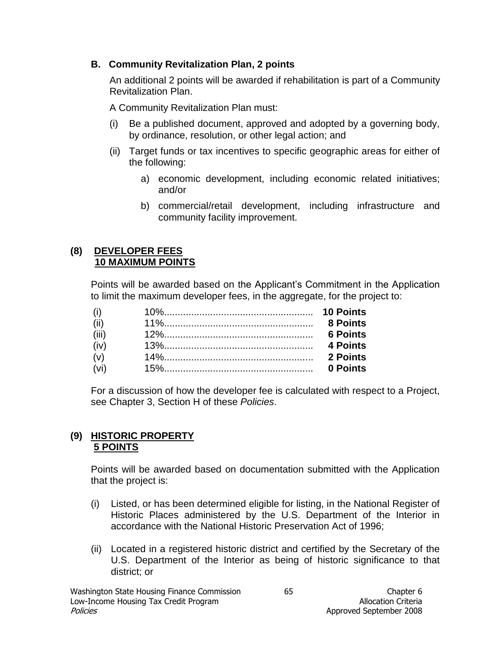### **B. Community Revitalization Plan, 2 points**

An additional 2 points will be awarded if rehabilitation is part of a Community Revitalization Plan.

A Community Revitalization Plan must:

- (i) Be a published document, approved and adopted by a governing body, by ordinance, resolution, or other legal action; and
- (ii) Target funds or tax incentives to specific geographic areas for either of the following:
	- a) economic development, including economic related initiatives; and/or
	- b) commercial/retail development, including infrastructure and community facility improvement.

### **(8) DEVELOPER FEES 10 MAXIMUM POINTS**

Points will be awarded based on the Applicant's Commitment in the Application to limit the maximum developer fees, in the aggregate, for the project to:

| (i)   | <b>10 Points</b> |
|-------|------------------|
| (ii)  | 8 Points         |
| (iii) | <b>6 Points</b>  |
| (iv)  | <b>4 Points</b>  |
| (v)   | 2 Points         |
| (vi)  | 0 Points         |

For a discussion of how the developer fee is calculated with respect to a Project, see Chapter 3, Section H of these *Policies*.

### **(9) HISTORIC PROPERTY 5 POINTS**

Points will be awarded based on documentation submitted with the Application that the project is:

- (i) Listed, or has been determined eligible for listing, in the National Register of Historic Places administered by the U.S. Department of the Interior in accordance with the National Historic Preservation Act of 1996;
- (ii) Located in a registered historic district and certified by the Secretary of the U.S. Department of the Interior as being of historic significance to that district; or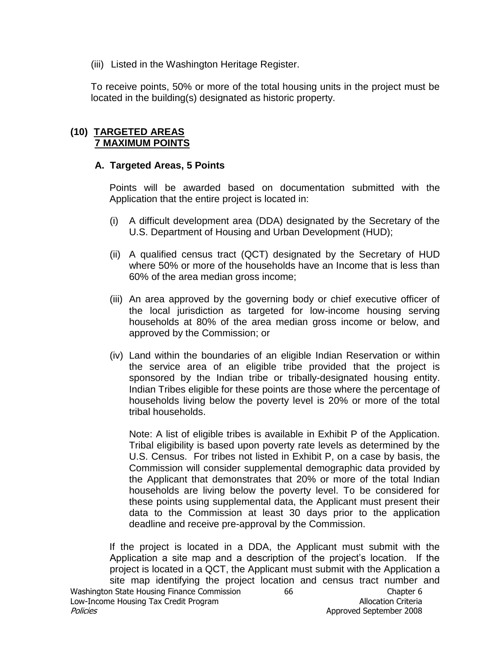(iii) Listed in the Washington Heritage Register.

To receive points, 50% or more of the total housing units in the project must be located in the building(s) designated as historic property.

#### **(10) TARGETED AREAS 7 MAXIMUM POINTS**

#### **A. Targeted Areas, 5 Points**

Points will be awarded based on documentation submitted with the Application that the entire project is located in:

- (i) A difficult development area (DDA) designated by the Secretary of the U.S. Department of Housing and Urban Development (HUD);
- (ii) A qualified census tract (QCT) designated by the Secretary of HUD where 50% or more of the households have an Income that is less than 60% of the area median gross income;
- (iii) An area approved by the governing body or chief executive officer of the local jurisdiction as targeted for low-income housing serving households at 80% of the area median gross income or below, and approved by the Commission; or
- (iv) Land within the boundaries of an eligible Indian Reservation or within the service area of an eligible tribe provided that the project is sponsored by the Indian tribe or tribally-designated housing entity. Indian Tribes eligible for these points are those where the percentage of households living below the poverty level is 20% or more of the total tribal households.

Note: A list of eligible tribes is available in Exhibit P of the Application. Tribal eligibility is based upon poverty rate levels as determined by the U.S. Census. For tribes not listed in Exhibit P, on a case by basis, the Commission will consider supplemental demographic data provided by the Applicant that demonstrates that 20% or more of the total Indian households are living below the poverty level. To be considered for these points using supplemental data, the Applicant must present their data to the Commission at least 30 days prior to the application deadline and receive pre-approval by the Commission.

Washington State Housing Finance Commission 66 66 6 Chapter 6 Low-Income Housing Tax Credit Program Allocation Criteria Policies Approved September 2008 If the project is located in a DDA, the Applicant must submit with the Application a site map and a description of the project's location. If the project is located in a QCT, the Applicant must submit with the Application a site map identifying the project location and census tract number and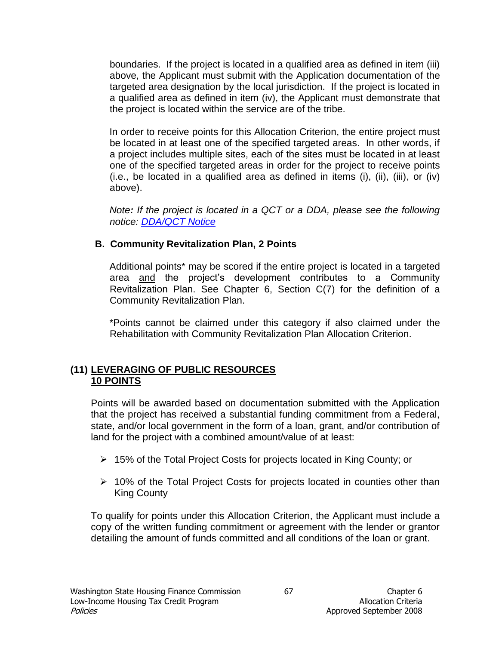boundaries. If the project is located in a qualified area as defined in item (iii) above, the Applicant must submit with the Application documentation of the targeted area designation by the local jurisdiction. If the project is located in a qualified area as defined in item (iv), the Applicant must demonstrate that the project is located within the service are of the tribe.

In order to receive points for this Allocation Criterion, the entire project must be located in at least one of the specified targeted areas. In other words, if a project includes multiple sites, each of the sites must be located in at least one of the specified targeted areas in order for the project to receive points (i.e., be located in a qualified area as defined in items (i), (ii), (iii), or (iv) above).

*Note: If the project is located in a QCT or a DDA, please see the following notice: [DDA/QCT Notice](http://www.wshfc.org/tax-credits/DDA_QCT2009.htm)*

# **B. Community Revitalization Plan, 2 Points**

Additional points\* may be scored if the entire project is located in a targeted area and the project's development contributes to a Community Revitalization Plan. See Chapter 6, Section C(7) for the definition of a Community Revitalization Plan.

\*Points cannot be claimed under this category if also claimed under the Rehabilitation with Community Revitalization Plan Allocation Criterion.

# **(11) LEVERAGING OF PUBLIC RESOURCES 10 POINTS**

Points will be awarded based on documentation submitted with the Application that the project has received a substantial funding commitment from a Federal, state, and/or local government in the form of a loan, grant, and/or contribution of land for the project with a combined amount/value of at least:

- $\geq 15\%$  of the Total Project Costs for projects located in King County; or
- 10% of the Total Project Costs for projects located in counties other than King County

To qualify for points under this Allocation Criterion, the Applicant must include a copy of the written funding commitment or agreement with the lender or grantor detailing the amount of funds committed and all conditions of the loan or grant.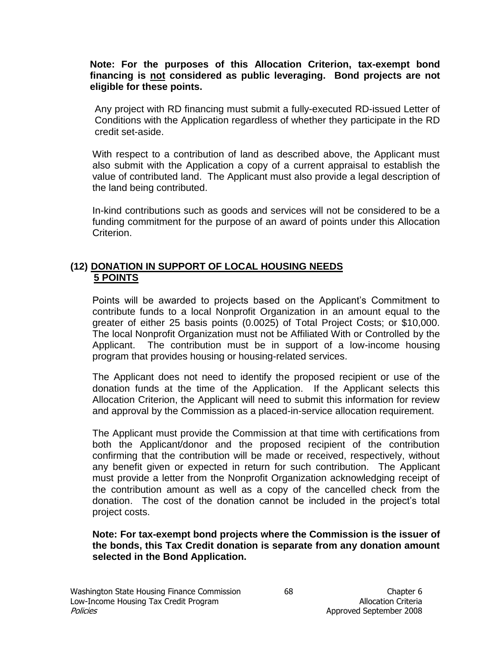#### **Note: For the purposes of this Allocation Criterion, tax-exempt bond financing is not considered as public leveraging. Bond projects are not eligible for these points.**

Any project with RD financing must submit a fully-executed RD-issued Letter of Conditions with the Application regardless of whether they participate in the RD credit set-aside.

With respect to a contribution of land as described above, the Applicant must also submit with the Application a copy of a current appraisal to establish the value of contributed land. The Applicant must also provide a legal description of the land being contributed.

In-kind contributions such as goods and services will not be considered to be a funding commitment for the purpose of an award of points under this Allocation Criterion.

### **(12) DONATION IN SUPPORT OF LOCAL HOUSING NEEDS 5 POINTS**

Points will be awarded to projects based on the Applicant's Commitment to contribute funds to a local Nonprofit Organization in an amount equal to the greater of either 25 basis points (0.0025) of Total Project Costs; or \$10,000. The local Nonprofit Organization must not be Affiliated With or Controlled by the Applicant. The contribution must be in support of a low-income housing program that provides housing or housing-related services.

The Applicant does not need to identify the proposed recipient or use of the donation funds at the time of the Application. If the Applicant selects this Allocation Criterion, the Applicant will need to submit this information for review and approval by the Commission as a placed-in-service allocation requirement.

The Applicant must provide the Commission at that time with certifications from both the Applicant/donor and the proposed recipient of the contribution confirming that the contribution will be made or received, respectively, without any benefit given or expected in return for such contribution. The Applicant must provide a letter from the Nonprofit Organization acknowledging receipt of the contribution amount as well as a copy of the cancelled check from the donation. The cost of the donation cannot be included in the project's total project costs.

**Note: For tax-exempt bond projects where the Commission is the issuer of the bonds, this Tax Credit donation is separate from any donation amount selected in the Bond Application.**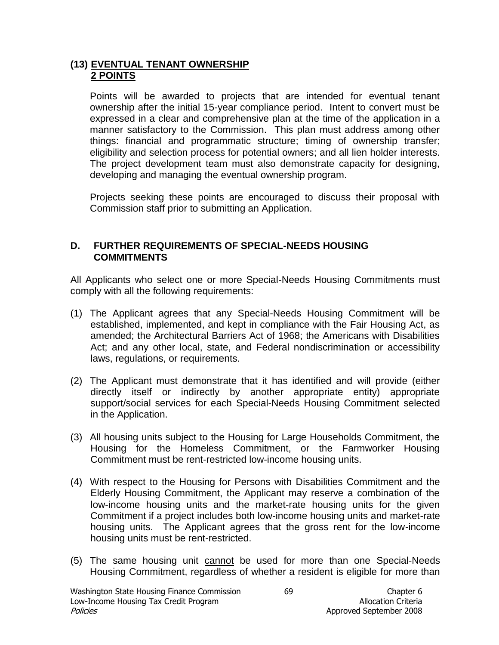### **(13) EVENTUAL TENANT OWNERSHIP 2 POINTS**

Points will be awarded to projects that are intended for eventual tenant ownership after the initial 15-year compliance period. Intent to convert must be expressed in a clear and comprehensive plan at the time of the application in a manner satisfactory to the Commission. This plan must address among other things: financial and programmatic structure; timing of ownership transfer; eligibility and selection process for potential owners; and all lien holder interests. The project development team must also demonstrate capacity for designing, developing and managing the eventual ownership program.

Projects seeking these points are encouraged to discuss their proposal with Commission staff prior to submitting an Application.

#### **D. FURTHER REQUIREMENTS OF SPECIAL-NEEDS HOUSING COMMITMENTS**

All Applicants who select one or more Special-Needs Housing Commitments must comply with all the following requirements:

- (1) The Applicant agrees that any Special-Needs Housing Commitment will be established, implemented, and kept in compliance with the Fair Housing Act, as amended; the Architectural Barriers Act of 1968; the Americans with Disabilities Act; and any other local, state, and Federal nondiscrimination or accessibility laws, regulations, or requirements.
- (2) The Applicant must demonstrate that it has identified and will provide (either directly itself or indirectly by another appropriate entity) appropriate support/social services for each Special-Needs Housing Commitment selected in the Application.
- (3) All housing units subject to the Housing for Large Households Commitment, the Housing for the Homeless Commitment, or the Farmworker Housing Commitment must be rent-restricted low-income housing units.
- (4) With respect to the Housing for Persons with Disabilities Commitment and the Elderly Housing Commitment, the Applicant may reserve a combination of the low-income housing units and the market-rate housing units for the given Commitment if a project includes both low-income housing units and market-rate housing units. The Applicant agrees that the gross rent for the low-income housing units must be rent-restricted.
- (5) The same housing unit cannot be used for more than one Special-Needs Housing Commitment, regardless of whether a resident is eligible for more than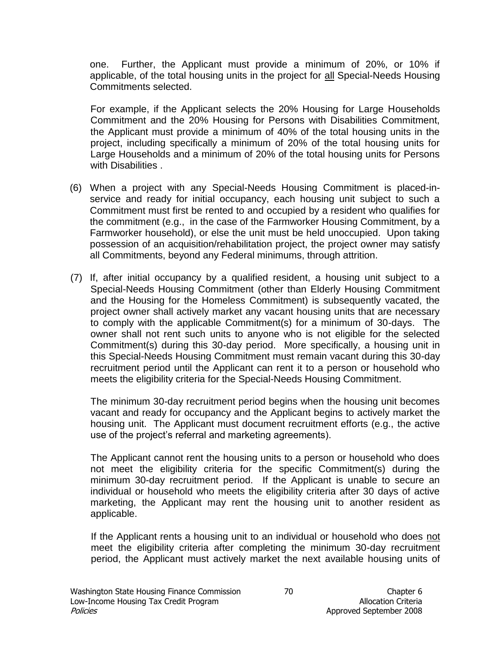one. Further, the Applicant must provide a minimum of 20%, or 10% if applicable, of the total housing units in the project for all Special-Needs Housing Commitments selected.

For example, if the Applicant selects the 20% Housing for Large Households Commitment and the 20% Housing for Persons with Disabilities Commitment, the Applicant must provide a minimum of 40% of the total housing units in the project, including specifically a minimum of 20% of the total housing units for Large Households and a minimum of 20% of the total housing units for Persons with Disabilities.

- (6) When a project with any Special-Needs Housing Commitment is placed-inservice and ready for initial occupancy, each housing unit subject to such a Commitment must first be rented to and occupied by a resident who qualifies for the commitment (e.g., in the case of the Farmworker Housing Commitment, by a Farmworker household), or else the unit must be held unoccupied. Upon taking possession of an acquisition/rehabilitation project, the project owner may satisfy all Commitments, beyond any Federal minimums, through attrition.
- (7) If, after initial occupancy by a qualified resident, a housing unit subject to a Special-Needs Housing Commitment (other than Elderly Housing Commitment and the Housing for the Homeless Commitment) is subsequently vacated, the project owner shall actively market any vacant housing units that are necessary to comply with the applicable Commitment(s) for a minimum of 30-days. The owner shall not rent such units to anyone who is not eligible for the selected Commitment(s) during this 30-day period. More specifically, a housing unit in this Special-Needs Housing Commitment must remain vacant during this 30-day recruitment period until the Applicant can rent it to a person or household who meets the eligibility criteria for the Special-Needs Housing Commitment.

The minimum 30-day recruitment period begins when the housing unit becomes vacant and ready for occupancy and the Applicant begins to actively market the housing unit. The Applicant must document recruitment efforts (e.g., the active use of the project's referral and marketing agreements).

The Applicant cannot rent the housing units to a person or household who does not meet the eligibility criteria for the specific Commitment(s) during the minimum 30-day recruitment period. If the Applicant is unable to secure an individual or household who meets the eligibility criteria after 30 days of active marketing, the Applicant may rent the housing unit to another resident as applicable.

If the Applicant rents a housing unit to an individual or household who does not meet the eligibility criteria after completing the minimum 30-day recruitment period, the Applicant must actively market the next available housing units of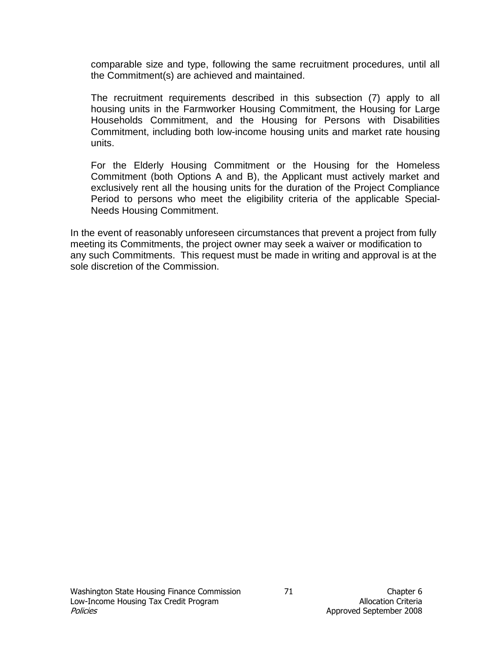comparable size and type, following the same recruitment procedures, until all the Commitment(s) are achieved and maintained.

The recruitment requirements described in this subsection (7) apply to all housing units in the Farmworker Housing Commitment, the Housing for Large Households Commitment, and the Housing for Persons with Disabilities Commitment, including both low-income housing units and market rate housing units.

For the Elderly Housing Commitment or the Housing for the Homeless Commitment (both Options A and B), the Applicant must actively market and exclusively rent all the housing units for the duration of the Project Compliance Period to persons who meet the eligibility criteria of the applicable Special-Needs Housing Commitment.

In the event of reasonably unforeseen circumstances that prevent a project from fully meeting its Commitments, the project owner may seek a waiver or modification to any such Commitments. This request must be made in writing and approval is at the sole discretion of the Commission.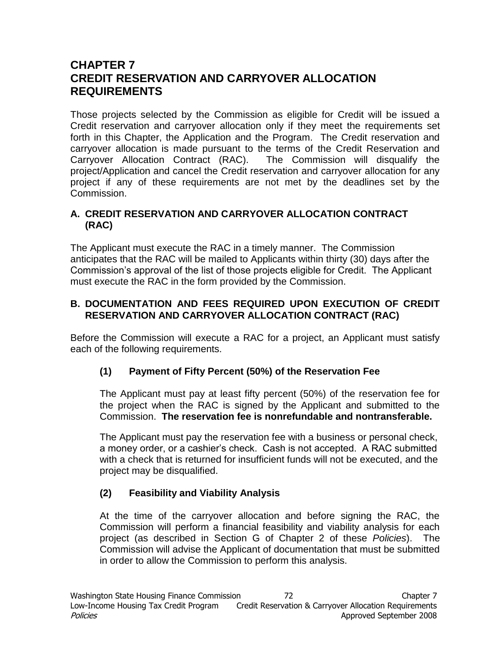# **CHAPTER 7 CREDIT RESERVATION AND CARRYOVER ALLOCATION REQUIREMENTS**

Those projects selected by the Commission as eligible for Credit will be issued a Credit reservation and carryover allocation only if they meet the requirements set forth in this Chapter, the Application and the Program. The Credit reservation and carryover allocation is made pursuant to the terms of the Credit Reservation and Carryover Allocation Contract (RAC). The Commission will disqualify the project/Application and cancel the Credit reservation and carryover allocation for any project if any of these requirements are not met by the deadlines set by the Commission.

#### **A. CREDIT RESERVATION AND CARRYOVER ALLOCATION CONTRACT (RAC)**

The Applicant must execute the RAC in a timely manner. The Commission anticipates that the RAC will be mailed to Applicants within thirty (30) days after the Commission's approval of the list of those projects eligible for Credit. The Applicant must execute the RAC in the form provided by the Commission.

#### **B. DOCUMENTATION AND FEES REQUIRED UPON EXECUTION OF CREDIT RESERVATION AND CARRYOVER ALLOCATION CONTRACT (RAC)**

Before the Commission will execute a RAC for a project, an Applicant must satisfy each of the following requirements.

## **(1) Payment of Fifty Percent (50%) of the Reservation Fee**

The Applicant must pay at least fifty percent (50%) of the reservation fee for the project when the RAC is signed by the Applicant and submitted to the Commission. **The reservation fee is nonrefundable and nontransferable.**

The Applicant must pay the reservation fee with a business or personal check, a money order, or a cashier's check. Cash is not accepted. A RAC submitted with a check that is returned for insufficient funds will not be executed, and the project may be disqualified.

## **(2) Feasibility and Viability Analysis**

At the time of the carryover allocation and before signing the RAC, the Commission will perform a financial feasibility and viability analysis for each project (as described in Section G of Chapter 2 of these *Policies*). The Commission will advise the Applicant of documentation that must be submitted in order to allow the Commission to perform this analysis.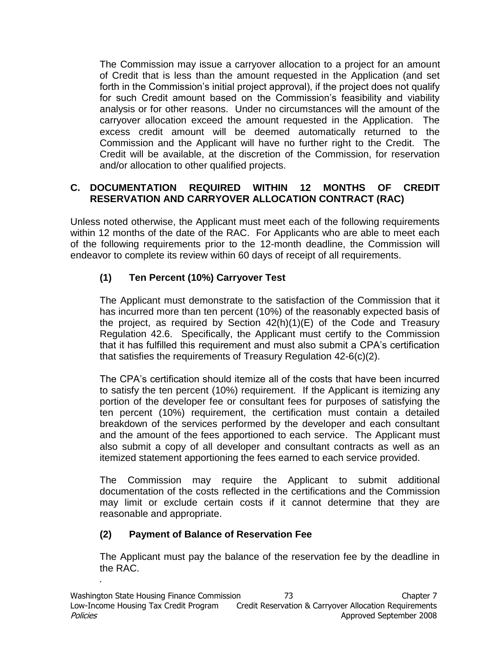The Commission may issue a carryover allocation to a project for an amount of Credit that is less than the amount requested in the Application (and set forth in the Commission's initial project approval), if the project does not qualify for such Credit amount based on the Commission's feasibility and viability analysis or for other reasons. Under no circumstances will the amount of the carryover allocation exceed the amount requested in the Application. The excess credit amount will be deemed automatically returned to the Commission and the Applicant will have no further right to the Credit. The Credit will be available, at the discretion of the Commission, for reservation and/or allocation to other qualified projects.

### **C. DOCUMENTATION REQUIRED WITHIN 12 MONTHS OF CREDIT RESERVATION AND CARRYOVER ALLOCATION CONTRACT (RAC)**

Unless noted otherwise, the Applicant must meet each of the following requirements within 12 months of the date of the RAC. For Applicants who are able to meet each of the following requirements prior to the 12-month deadline, the Commission will endeavor to complete its review within 60 days of receipt of all requirements.

# **(1) Ten Percent (10%) Carryover Test**

The Applicant must demonstrate to the satisfaction of the Commission that it has incurred more than ten percent (10%) of the reasonably expected basis of the project, as required by Section  $42(h)(1)(E)$  of the Code and Treasury Regulation 42.6. Specifically, the Applicant must certify to the Commission that it has fulfilled this requirement and must also submit a CPA's certification that satisfies the requirements of Treasury Regulation 42-6(c)(2).

The CPA's certification should itemize all of the costs that have been incurred to satisfy the ten percent (10%) requirement. If the Applicant is itemizing any portion of the developer fee or consultant fees for purposes of satisfying the ten percent (10%) requirement, the certification must contain a detailed breakdown of the services performed by the developer and each consultant and the amount of the fees apportioned to each service. The Applicant must also submit a copy of all developer and consultant contracts as well as an itemized statement apportioning the fees earned to each service provided.

The Commission may require the Applicant to submit additional documentation of the costs reflected in the certifications and the Commission may limit or exclude certain costs if it cannot determine that they are reasonable and appropriate.

## **(2) Payment of Balance of Reservation Fee**

*.*

The Applicant must pay the balance of the reservation fee by the deadline in the RAC.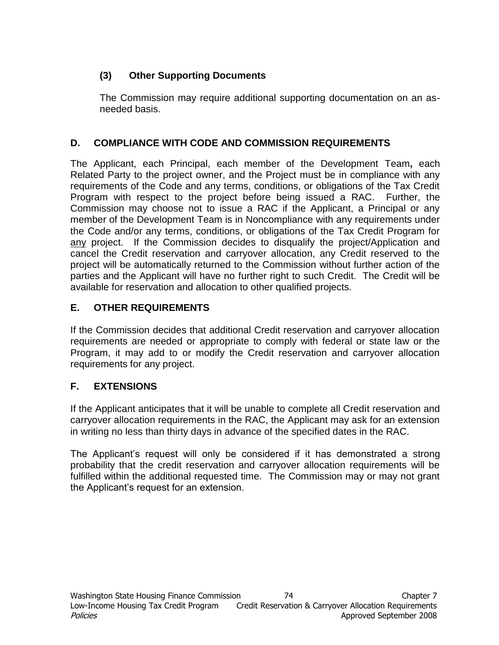# **(3) Other Supporting Documents**

The Commission may require additional supporting documentation on an asneeded basis.

## **D. COMPLIANCE WITH CODE AND COMMISSION REQUIREMENTS**

The Applicant, each Principal, each member of the Development Team**,** each Related Party to the project owner, and the Project must be in compliance with any requirements of the Code and any terms, conditions, or obligations of the Tax Credit Program with respect to the project before being issued a RAC. Further, the Commission may choose not to issue a RAC if the Applicant, a Principal or any member of the Development Team is in Noncompliance with any requirements under the Code and/or any terms, conditions, or obligations of the Tax Credit Program for any project. If the Commission decides to disqualify the project/Application and cancel the Credit reservation and carryover allocation, any Credit reserved to the project will be automatically returned to the Commission without further action of the parties and the Applicant will have no further right to such Credit. The Credit will be available for reservation and allocation to other qualified projects.

# **E. OTHER REQUIREMENTS**

If the Commission decides that additional Credit reservation and carryover allocation requirements are needed or appropriate to comply with federal or state law or the Program, it may add to or modify the Credit reservation and carryover allocation requirements for any project.

# **F. EXTENSIONS**

If the Applicant anticipates that it will be unable to complete all Credit reservation and carryover allocation requirements in the RAC, the Applicant may ask for an extension in writing no less than thirty days in advance of the specified dates in the RAC.

The Applicant's request will only be considered if it has demonstrated a strong probability that the credit reservation and carryover allocation requirements will be fulfilled within the additional requested time. The Commission may or may not grant the Applicant's request for an extension.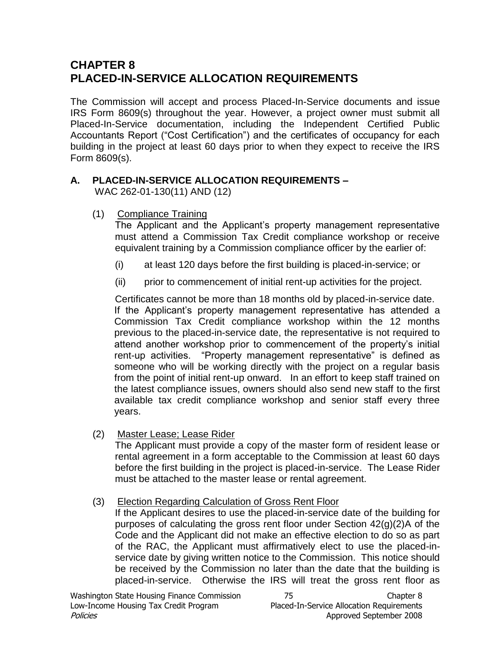# **CHAPTER 8 PLACED-IN-SERVICE ALLOCATION REQUIREMENTS**

The Commission will accept and process Placed-In-Service documents and issue IRS Form 8609(s) throughout the year. However, a project owner must submit all Placed-In-Service documentation, including the Independent Certified Public Accountants Report ("Cost Certification") and the certificates of occupancy for each building in the project at least 60 days prior to when they expect to receive the IRS Form 8609(s).

# **A. PLACED-IN-SERVICE ALLOCATION REQUIREMENTS –**

WAC 262-01-130(11) AND (12)

(1) Compliance Training

The Applicant and the Applicant's property management representative must attend a Commission Tax Credit compliance workshop or receive equivalent training by a Commission compliance officer by the earlier of:

- (i) at least 120 days before the first building is placed-in-service; or
- (ii) prior to commencement of initial rent-up activities for the project.

Certificates cannot be more than 18 months old by placed-in-service date. If the Applicant's property management representative has attended a Commission Tax Credit compliance workshop within the 12 months previous to the placed-in-service date, the representative is not required to attend another workshop prior to commencement of the property's initial rent-up activities. "Property management representative" is defined as someone who will be working directly with the project on a regular basis from the point of initial rent-up onward. In an effort to keep staff trained on the latest compliance issues, owners should also send new staff to the first available tax credit compliance workshop and senior staff every three years.

(2) Master Lease; Lease Rider

The Applicant must provide a copy of the master form of resident lease or rental agreement in a form acceptable to the Commission at least 60 days before the first building in the project is placed-in-service. The Lease Rider must be attached to the master lease or rental agreement.

#### (3) Election Regarding Calculation of Gross Rent Floor

If the Applicant desires to use the placed-in-service date of the building for purposes of calculating the gross rent floor under Section 42(g)(2)A of the Code and the Applicant did not make an effective election to do so as part of the RAC, the Applicant must affirmatively elect to use the placed-inservice date by giving written notice to the Commission. This notice should be received by the Commission no later than the date that the building is placed-in-service. Otherwise the IRS will treat the gross rent floor as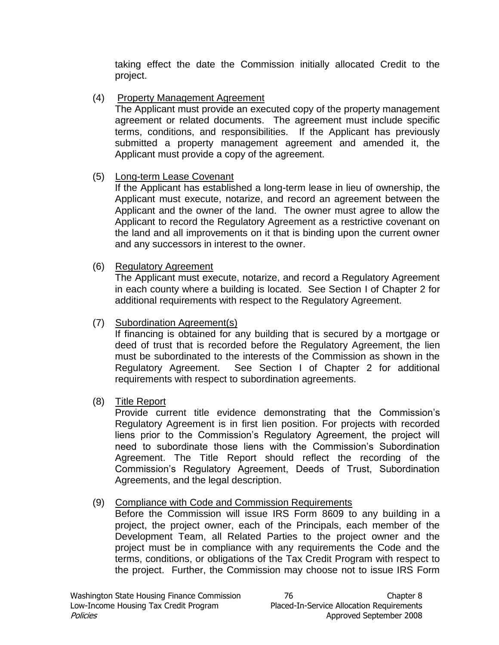taking effect the date the Commission initially allocated Credit to the project.

### (4) Property Management Agreement

The Applicant must provide an executed copy of the property management agreement or related documents. The agreement must include specific terms, conditions, and responsibilities. If the Applicant has previously submitted a property management agreement and amended it, the Applicant must provide a copy of the agreement.

#### (5) Long-term Lease Covenant

If the Applicant has established a long-term lease in lieu of ownership, the Applicant must execute, notarize, and record an agreement between the Applicant and the owner of the land. The owner must agree to allow the Applicant to record the Regulatory Agreement as a restrictive covenant on the land and all improvements on it that is binding upon the current owner and any successors in interest to the owner.

#### (6) Regulatory Agreement

The Applicant must execute, notarize, and record a Regulatory Agreement in each county where a building is located. See Section I of Chapter 2 for additional requirements with respect to the Regulatory Agreement.

#### (7) Subordination Agreement(s)

If financing is obtained for any building that is secured by a mortgage or deed of trust that is recorded before the Regulatory Agreement, the lien must be subordinated to the interests of the Commission as shown in the Regulatory Agreement. See Section I of Chapter 2 for additional requirements with respect to subordination agreements.

#### (8) Title Report

Provide current title evidence demonstrating that the Commission's Regulatory Agreement is in first lien position. For projects with recorded liens prior to the Commission's Regulatory Agreement, the project will need to subordinate those liens with the Commission's Subordination Agreement. The Title Report should reflect the recording of the Commission's Regulatory Agreement, Deeds of Trust, Subordination Agreements, and the legal description.

#### (9) Compliance with Code and Commission Requirements

Before the Commission will issue IRS Form 8609 to any building in a project, the project owner, each of the Principals, each member of the Development Team, all Related Parties to the project owner and the project must be in compliance with any requirements the Code and the terms, conditions, or obligations of the Tax Credit Program with respect to the project. Further, the Commission may choose not to issue IRS Form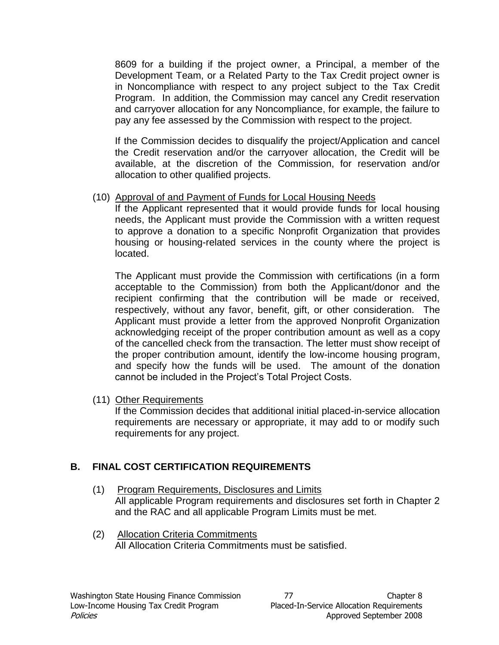8609 for a building if the project owner, a Principal, a member of the Development Team, or a Related Party to the Tax Credit project owner is in Noncompliance with respect to any project subject to the Tax Credit Program. In addition, the Commission may cancel any Credit reservation and carryover allocation for any Noncompliance, for example, the failure to pay any fee assessed by the Commission with respect to the project.

If the Commission decides to disqualify the project/Application and cancel the Credit reservation and/or the carryover allocation, the Credit will be available, at the discretion of the Commission, for reservation and/or allocation to other qualified projects.

#### (10) Approval of and Payment of Funds for Local Housing Needs

If the Applicant represented that it would provide funds for local housing needs, the Applicant must provide the Commission with a written request to approve a donation to a specific Nonprofit Organization that provides housing or housing-related services in the county where the project is located.

The Applicant must provide the Commission with certifications (in a form acceptable to the Commission) from both the Applicant/donor and the recipient confirming that the contribution will be made or received, respectively, without any favor, benefit, gift, or other consideration. The Applicant must provide a letter from the approved Nonprofit Organization acknowledging receipt of the proper contribution amount as well as a copy of the cancelled check from the transaction. The letter must show receipt of the proper contribution amount, identify the low-income housing program, and specify how the funds will be used. The amount of the donation cannot be included in the Project's Total Project Costs.

(11) Other Requirements

If the Commission decides that additional initial placed-in-service allocation requirements are necessary or appropriate, it may add to or modify such requirements for any project.

## **B. FINAL COST CERTIFICATION REQUIREMENTS**

- (1) Program Requirements, Disclosures and Limits All applicable Program requirements and disclosures set forth in Chapter 2 and the RAC and all applicable Program Limits must be met.
- (2) Allocation Criteria Commitments All Allocation Criteria Commitments must be satisfied.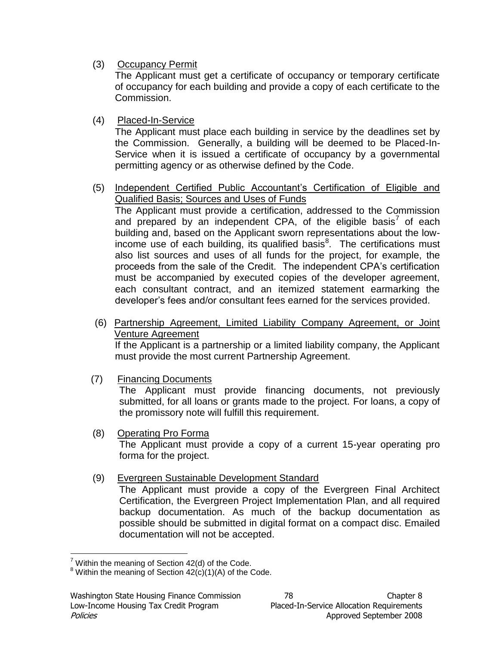(3) Occupancy Permit

The Applicant must get a certificate of occupancy or temporary certificate of occupancy for each building and provide a copy of each certificate to the Commission.

(4) Placed-In-Service

The Applicant must place each building in service by the deadlines set by the Commission. Generally, a building will be deemed to be Placed-In-Service when it is issued a certificate of occupancy by a governmental permitting agency or as otherwise defined by the Code.

- (5) Independent Certified Public Accountant's Certification of Eligible and Qualified Basis; Sources and Uses of Funds The Applicant must provide a certification, addressed to the Commission and prepared by an independent CPA, of the eligible basis<sup>7</sup> of each building and, based on the Applicant sworn representations about the lowincome use of each building, its qualified basis $8$ . The certifications must also list sources and uses of all funds for the project, for example, the proceeds from the sale of the Credit. The independent CPA's certification must be accompanied by executed copies of the developer agreement, each consultant contract, and an itemized statement earmarking the developer's fees and/or consultant fees earned for the services provided.
- (6) Partnership Agreement, Limited Liability Company Agreement, or Joint Venture Agreement

If the Applicant is a partnership or a limited liability company, the Applicant must provide the most current Partnership Agreement.

(7) Financing Documents

The Applicant must provide financing documents, not previously submitted, for all loans or grants made to the project. For loans, a copy of the promissory note will fulfill this requirement.

- (8) Operating Pro Forma The Applicant must provide a copy of a current 15-year operating pro forma for the project.
- (9) Evergreen Sustainable Development Standard

The Applicant must provide a copy of the Evergreen Final Architect Certification, the Evergreen Project Implementation Plan, and all required backup documentation. As much of the backup documentation as possible should be submitted in digital format on a compact disc. Emailed documentation will not be accepted.

 $\overline{a}$ 

 $7$  Within the meaning of Section 42(d) of the Code.

 $8$  Within the meaning of Section  $42(c)(1)(A)$  of the Code.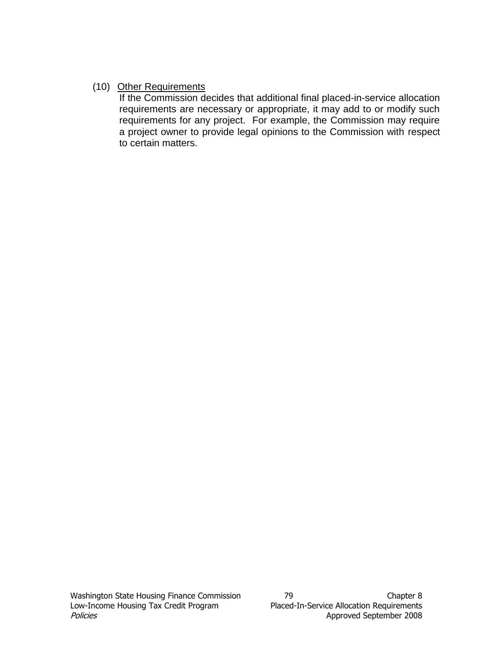### (10) Other Requirements

If the Commission decides that additional final placed-in-service allocation requirements are necessary or appropriate, it may add to or modify such requirements for any project. For example, the Commission may require a project owner to provide legal opinions to the Commission with respect to certain matters.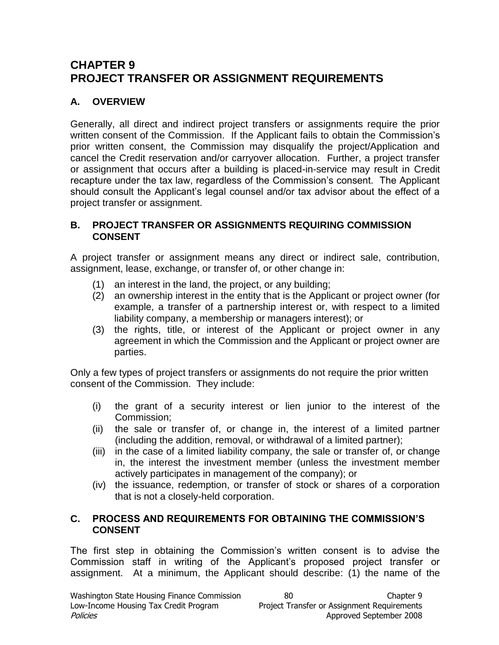# **CHAPTER 9 PROJECT TRANSFER OR ASSIGNMENT REQUIREMENTS**

## **A. OVERVIEW**

Generally, all direct and indirect project transfers or assignments require the prior written consent of the Commission. If the Applicant fails to obtain the Commission's prior written consent, the Commission may disqualify the project/Application and cancel the Credit reservation and/or carryover allocation. Further, a project transfer or assignment that occurs after a building is placed-in-service may result in Credit recapture under the tax law, regardless of the Commission's consent. The Applicant should consult the Applicant's legal counsel and/or tax advisor about the effect of a project transfer or assignment.

#### **B. PROJECT TRANSFER OR ASSIGNMENTS REQUIRING COMMISSION CONSENT**

A project transfer or assignment means any direct or indirect sale, contribution, assignment, lease, exchange, or transfer of, or other change in:

- (1) an interest in the land, the project, or any building;
- (2) an ownership interest in the entity that is the Applicant or project owner (for example, a transfer of a partnership interest or, with respect to a limited liability company, a membership or managers interest); or
- (3) the rights, title, or interest of the Applicant or project owner in any agreement in which the Commission and the Applicant or project owner are parties.

Only a few types of project transfers or assignments do not require the prior written consent of the Commission. They include:

- (i) the grant of a security interest or lien junior to the interest of the Commission;
- (ii) the sale or transfer of, or change in, the interest of a limited partner (including the addition, removal, or withdrawal of a limited partner);
- (iii) in the case of a limited liability company, the sale or transfer of, or change in, the interest the investment member (unless the investment member actively participates in management of the company); or
- (iv) the issuance, redemption, or transfer of stock or shares of a corporation that is not a closely-held corporation.

#### **C. PROCESS AND REQUIREMENTS FOR OBTAINING THE COMMISSION'S CONSENT**

The first step in obtaining the Commission's written consent is to advise the Commission staff in writing of the Applicant's proposed project transfer or assignment. At a minimum, the Applicant should describe: (1) the name of the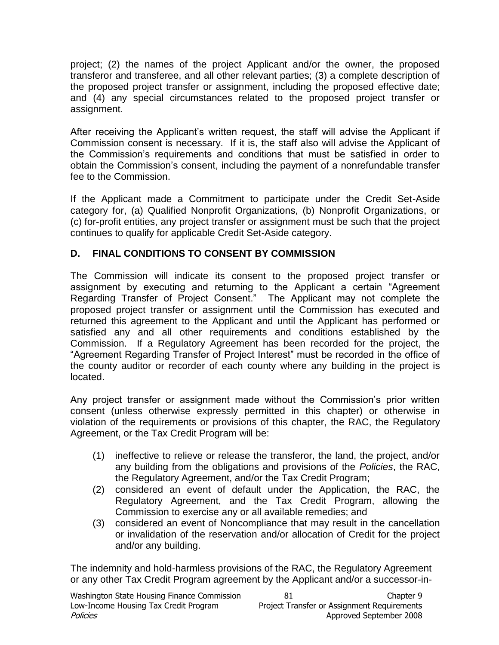project; (2) the names of the project Applicant and/or the owner, the proposed transferor and transferee, and all other relevant parties; (3) a complete description of the proposed project transfer or assignment, including the proposed effective date; and (4) any special circumstances related to the proposed project transfer or assignment.

After receiving the Applicant's written request, the staff will advise the Applicant if Commission consent is necessary. If it is, the staff also will advise the Applicant of the Commission's requirements and conditions that must be satisfied in order to obtain the Commission's consent, including the payment of a nonrefundable transfer fee to the Commission.

If the Applicant made a Commitment to participate under the Credit Set-Aside category for, (a) Qualified Nonprofit Organizations, (b) Nonprofit Organizations, or (c) for-profit entities, any project transfer or assignment must be such that the project continues to qualify for applicable Credit Set-Aside category.

# **D. FINAL CONDITIONS TO CONSENT BY COMMISSION**

The Commission will indicate its consent to the proposed project transfer or assignment by executing and returning to the Applicant a certain "Agreement Regarding Transfer of Project Consent." The Applicant may not complete the proposed project transfer or assignment until the Commission has executed and returned this agreement to the Applicant and until the Applicant has performed or satisfied any and all other requirements and conditions established by the Commission. If a Regulatory Agreement has been recorded for the project, the "Agreement Regarding Transfer of Project Interest" must be recorded in the office of the county auditor or recorder of each county where any building in the project is located.

Any project transfer or assignment made without the Commission's prior written consent (unless otherwise expressly permitted in this chapter) or otherwise in violation of the requirements or provisions of this chapter, the RAC, the Regulatory Agreement, or the Tax Credit Program will be:

- (1) ineffective to relieve or release the transferor, the land, the project, and/or any building from the obligations and provisions of the *Policies*, the RAC, the Regulatory Agreement, and/or the Tax Credit Program;
- (2) considered an event of default under the Application, the RAC, the Regulatory Agreement, and the Tax Credit Program, allowing the Commission to exercise any or all available remedies; and
- (3) considered an event of Noncompliance that may result in the cancellation or invalidation of the reservation and/or allocation of Credit for the project and/or any building.

The indemnity and hold-harmless provisions of the RAC, the Regulatory Agreement or any other Tax Credit Program agreement by the Applicant and/or a successor-in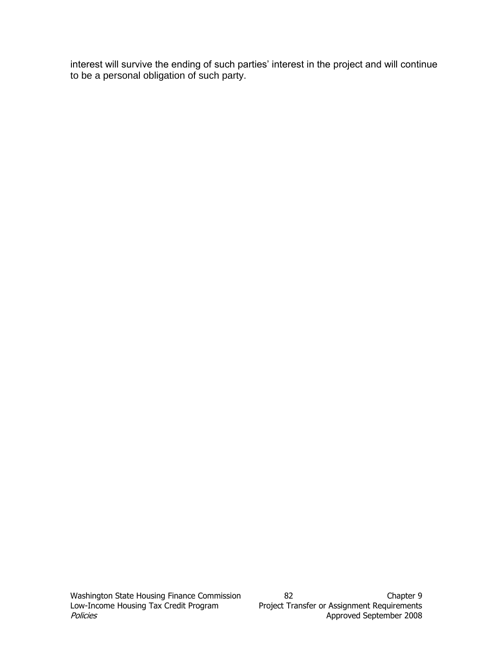interest will survive the ending of such parties' interest in the project and will continue to be a personal obligation of such party.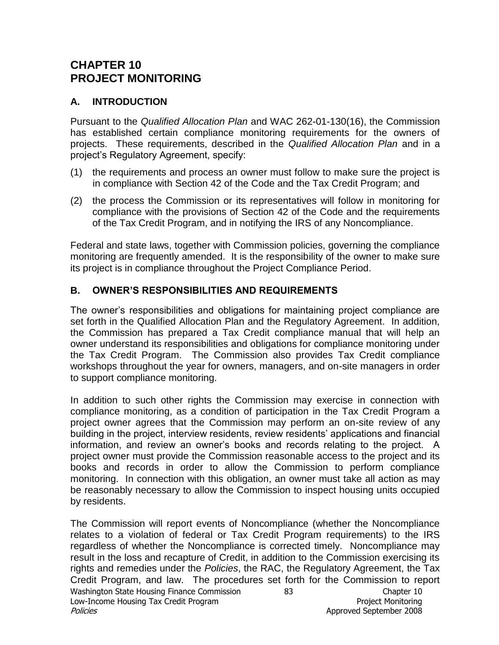# **CHAPTER 10 PROJECT MONITORING**

#### **A. INTRODUCTION**

Pursuant to the *Qualified Allocation Plan* and WAC 262-01-130(16), the Commission has established certain compliance monitoring requirements for the owners of projects. These requirements, described in the *Qualified Allocation Plan* and in a project's Regulatory Agreement, specify:

- (1) the requirements and process an owner must follow to make sure the project is in compliance with Section 42 of the Code and the Tax Credit Program; and
- (2) the process the Commission or its representatives will follow in monitoring for compliance with the provisions of Section 42 of the Code and the requirements of the Tax Credit Program, and in notifying the IRS of any Noncompliance.

Federal and state laws, together with Commission policies, governing the compliance monitoring are frequently amended. It is the responsibility of the owner to make sure its project is in compliance throughout the Project Compliance Period.

#### **B. OWNER'S RESPONSIBILITIES AND REQUIREMENTS**

The owner's responsibilities and obligations for maintaining project compliance are set forth in the Qualified Allocation Plan and the Regulatory Agreement. In addition, the Commission has prepared a Tax Credit compliance manual that will help an owner understand its responsibilities and obligations for compliance monitoring under the Tax Credit Program. The Commission also provides Tax Credit compliance workshops throughout the year for owners, managers, and on-site managers in order to support compliance monitoring.

In addition to such other rights the Commission may exercise in connection with compliance monitoring, as a condition of participation in the Tax Credit Program a project owner agrees that the Commission may perform an on-site review of any building in the project, interview residents, review residents' applications and financial information, and review an owner's books and records relating to the project. A project owner must provide the Commission reasonable access to the project and its books and records in order to allow the Commission to perform compliance monitoring. In connection with this obligation, an owner must take all action as may be reasonably necessary to allow the Commission to inspect housing units occupied by residents.

Washington State Housing Finance Commission 83 688 Chapter 10 Low-Income Housing Tax Credit Program **Project Monitoring** Project Monitoring Policies Approved September 2008 The Commission will report events of Noncompliance (whether the Noncompliance relates to a violation of federal or Tax Credit Program requirements) to the IRS regardless of whether the Noncompliance is corrected timely. Noncompliance may result in the loss and recapture of Credit, in addition to the Commission exercising its rights and remedies under the *Policies*, the RAC, the Regulatory Agreement, the Tax Credit Program, and law. The procedures set forth for the Commission to report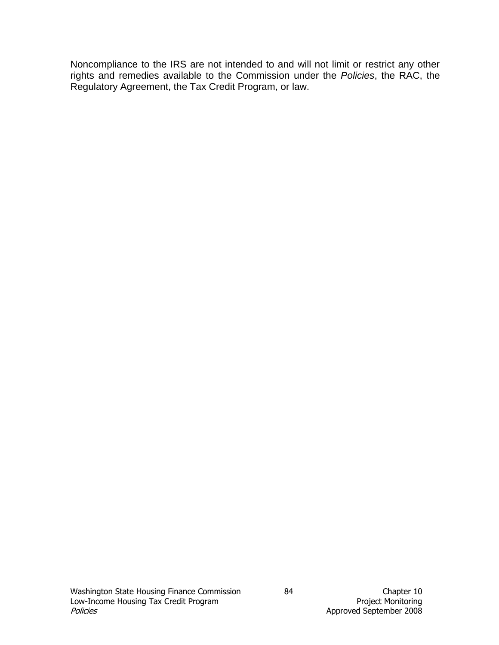Noncompliance to the IRS are not intended to and will not limit or restrict any other rights and remedies available to the Commission under the *Policies*, the RAC, the Regulatory Agreement, the Tax Credit Program, or law.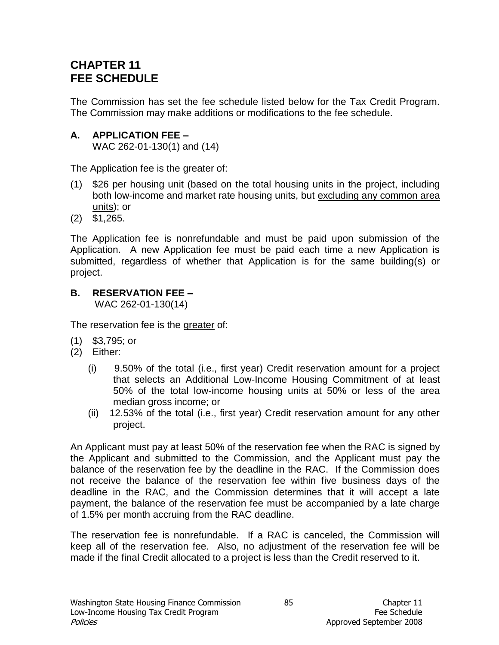# **CHAPTER 11 FEE SCHEDULE**

The Commission has set the fee schedule listed below for the Tax Credit Program. The Commission may make additions or modifications to the fee schedule.

### **A. APPLICATION FEE –**

WAC 262-01-130(1) and (14)

The Application fee is the greater of:

- (1) \$26 per housing unit (based on the total housing units in the project, including both low-income and market rate housing units, but excluding any common area units); or
- (2) \$1,265.

The Application fee is nonrefundable and must be paid upon submission of the Application. A new Application fee must be paid each time a new Application is submitted, regardless of whether that Application is for the same building(s) or project.

# **B. RESERVATION FEE –**

WAC 262-01-130(14)

The reservation fee is the greater of:

- (1) \$3,795; or
- (2) Either:
	- (i) 9.50% of the total (i.e., first year) Credit reservation amount for a project that selects an Additional Low-Income Housing Commitment of at least 50% of the total low-income housing units at 50% or less of the area median gross income; or
	- (ii) 12.53% of the total (i.e., first year) Credit reservation amount for any other project.

An Applicant must pay at least 50% of the reservation fee when the RAC is signed by the Applicant and submitted to the Commission, and the Applicant must pay the balance of the reservation fee by the deadline in the RAC. If the Commission does not receive the balance of the reservation fee within five business days of the deadline in the RAC, and the Commission determines that it will accept a late payment, the balance of the reservation fee must be accompanied by a late charge of 1.5% per month accruing from the RAC deadline.

The reservation fee is nonrefundable. If a RAC is canceled, the Commission will keep all of the reservation fee. Also, no adjustment of the reservation fee will be made if the final Credit allocated to a project is less than the Credit reserved to it.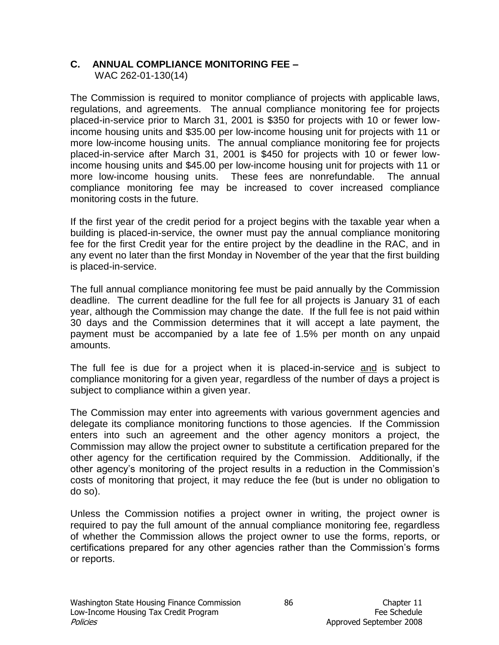# **C. ANNUAL COMPLIANCE MONITORING FEE –**

WAC 262-01-130(14)

The Commission is required to monitor compliance of projects with applicable laws, regulations, and agreements. The annual compliance monitoring fee for projects placed-in-service prior to March 31, 2001 is \$350 for projects with 10 or fewer lowincome housing units and \$35.00 per low-income housing unit for projects with 11 or more low-income housing units. The annual compliance monitoring fee for projects placed-in-service after March 31, 2001 is \$450 for projects with 10 or fewer lowincome housing units and \$45.00 per low-income housing unit for projects with 11 or more low-income housing units. These fees are nonrefundable. The annual compliance monitoring fee may be increased to cover increased compliance monitoring costs in the future.

If the first year of the credit period for a project begins with the taxable year when a building is placed-in-service, the owner must pay the annual compliance monitoring fee for the first Credit year for the entire project by the deadline in the RAC, and in any event no later than the first Monday in November of the year that the first building is placed-in-service.

The full annual compliance monitoring fee must be paid annually by the Commission deadline. The current deadline for the full fee for all projects is January 31 of each year, although the Commission may change the date. If the full fee is not paid within 30 days and the Commission determines that it will accept a late payment, the payment must be accompanied by a late fee of 1.5% per month on any unpaid amounts.

The full fee is due for a project when it is placed-in-service and is subject to compliance monitoring for a given year, regardless of the number of days a project is subject to compliance within a given year.

The Commission may enter into agreements with various government agencies and delegate its compliance monitoring functions to those agencies. If the Commission enters into such an agreement and the other agency monitors a project, the Commission may allow the project owner to substitute a certification prepared for the other agency for the certification required by the Commission. Additionally, if the other agency's monitoring of the project results in a reduction in the Commission's costs of monitoring that project, it may reduce the fee (but is under no obligation to do so).

Unless the Commission notifies a project owner in writing, the project owner is required to pay the full amount of the annual compliance monitoring fee, regardless of whether the Commission allows the project owner to use the forms, reports, or certifications prepared for any other agencies rather than the Commission's forms or reports.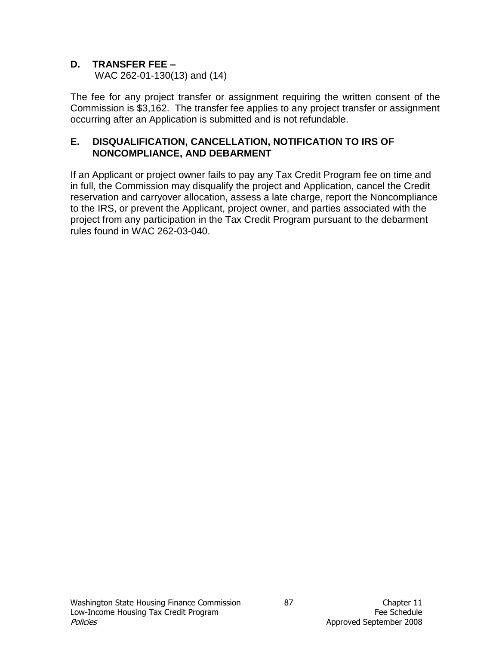### **D. TRANSFER FEE –**

WAC 262-01-130(13) and (14)

The fee for any project transfer or assignment requiring the written consent of the Commission is \$3,162. The transfer fee applies to any project transfer or assignment occurring after an Application is submitted and is not refundable.

#### **E. DISQUALIFICATION, CANCELLATION, NOTIFICATION TO IRS OF NONCOMPLIANCE, AND DEBARMENT**

If an Applicant or project owner fails to pay any Tax Credit Program fee on time and in full, the Commission may disqualify the project and Application, cancel the Credit reservation and carryover allocation, assess a late charge, report the Noncompliance to the IRS, or prevent the Applicant, project owner, and parties associated with the project from any participation in the Tax Credit Program pursuant to the debarment rules found in WAC 262-03-040.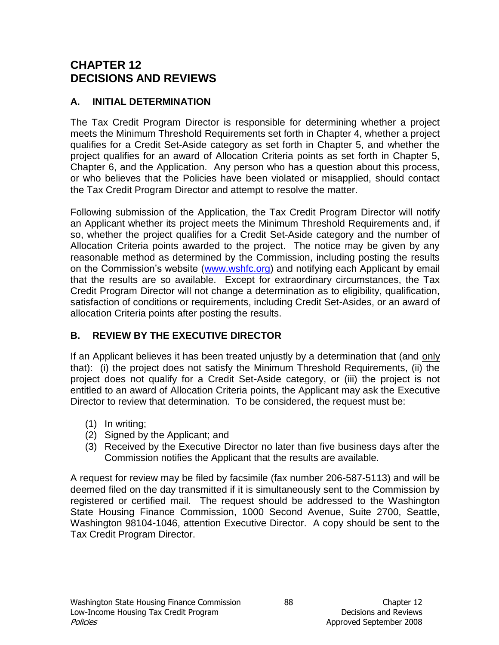# **CHAPTER 12 DECISIONS AND REVIEWS**

# **A. INITIAL DETERMINATION**

The Tax Credit Program Director is responsible for determining whether a project meets the Minimum Threshold Requirements set forth in Chapter 4, whether a project qualifies for a Credit Set-Aside category as set forth in Chapter 5, and whether the project qualifies for an award of Allocation Criteria points as set forth in Chapter 5, Chapter 6, and the Application. Any person who has a question about this process, or who believes that the Policies have been violated or misapplied, should contact the Tax Credit Program Director and attempt to resolve the matter.

Following submission of the Application, the Tax Credit Program Director will notify an Applicant whether its project meets the Minimum Threshold Requirements and, if so, whether the project qualifies for a Credit Set-Aside category and the number of Allocation Criteria points awarded to the project. The notice may be given by any reasonable method as determined by the Commission, including posting the results on the Commission's website [\(www.wshfc.org\)](http://www.wshfc.org/) and notifying each Applicant by email that the results are so available. Except for extraordinary circumstances, the Tax Credit Program Director will not change a determination as to eligibility, qualification, satisfaction of conditions or requirements, including Credit Set-Asides, or an award of allocation Criteria points after posting the results.

# **B. REVIEW BY THE EXECUTIVE DIRECTOR**

If an Applicant believes it has been treated unjustly by a determination that (and only that): (i) the project does not satisfy the Minimum Threshold Requirements, (ii) the project does not qualify for a Credit Set-Aside category, or (iii) the project is not entitled to an award of Allocation Criteria points, the Applicant may ask the Executive Director to review that determination. To be considered, the request must be:

- (1) In writing;
- (2) Signed by the Applicant; and
- (3) Received by the Executive Director no later than five business days after the Commission notifies the Applicant that the results are available.

A request for review may be filed by facsimile (fax number 206-587-5113) and will be deemed filed on the day transmitted if it is simultaneously sent to the Commission by registered or certified mail. The request should be addressed to the Washington State Housing Finance Commission, 1000 Second Avenue, Suite 2700, Seattle, Washington 98104-1046, attention Executive Director. A copy should be sent to the Tax Credit Program Director.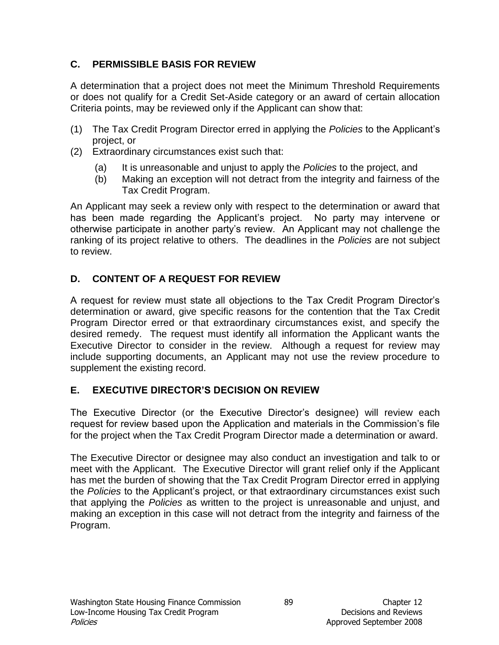# **C. PERMISSIBLE BASIS FOR REVIEW**

A determination that a project does not meet the Minimum Threshold Requirements or does not qualify for a Credit Set-Aside category or an award of certain allocation Criteria points, may be reviewed only if the Applicant can show that:

- (1) The Tax Credit Program Director erred in applying the *Policies* to the Applicant's project, or
- (2) Extraordinary circumstances exist such that:
	- (a) It is unreasonable and unjust to apply the *Policies* to the project, and
	- (b) Making an exception will not detract from the integrity and fairness of the Tax Credit Program.

An Applicant may seek a review only with respect to the determination or award that has been made regarding the Applicant's project. No party may intervene or otherwise participate in another party's review. An Applicant may not challenge the ranking of its project relative to others. The deadlines in the *Policies* are not subject to review.

# **D. CONTENT OF A REQUEST FOR REVIEW**

A request for review must state all objections to the Tax Credit Program Director's determination or award, give specific reasons for the contention that the Tax Credit Program Director erred or that extraordinary circumstances exist, and specify the desired remedy. The request must identify all information the Applicant wants the Executive Director to consider in the review. Although a request for review may include supporting documents, an Applicant may not use the review procedure to supplement the existing record.

# **E. EXECUTIVE DIRECTOR'S DECISION ON REVIEW**

The Executive Director (or the Executive Director's designee) will review each request for review based upon the Application and materials in the Commission's file for the project when the Tax Credit Program Director made a determination or award.

The Executive Director or designee may also conduct an investigation and talk to or meet with the Applicant. The Executive Director will grant relief only if the Applicant has met the burden of showing that the Tax Credit Program Director erred in applying the *Policies* to the Applicant's project, or that extraordinary circumstances exist such that applying the *Policies* as written to the project is unreasonable and unjust, and making an exception in this case will not detract from the integrity and fairness of the Program.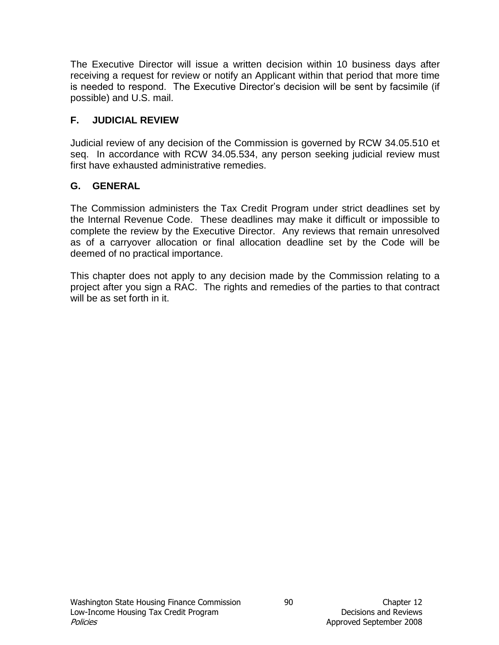The Executive Director will issue a written decision within 10 business days after receiving a request for review or notify an Applicant within that period that more time is needed to respond. The Executive Director's decision will be sent by facsimile (if possible) and U.S. mail.

# **F. JUDICIAL REVIEW**

Judicial review of any decision of the Commission is governed by RCW 34.05.510 et seq. In accordance with RCW 34.05.534, any person seeking judicial review must first have exhausted administrative remedies.

# **G. GENERAL**

The Commission administers the Tax Credit Program under strict deadlines set by the Internal Revenue Code. These deadlines may make it difficult or impossible to complete the review by the Executive Director. Any reviews that remain unresolved as of a carryover allocation or final allocation deadline set by the Code will be deemed of no practical importance.

This chapter does not apply to any decision made by the Commission relating to a project after you sign a RAC. The rights and remedies of the parties to that contract will be as set forth in it.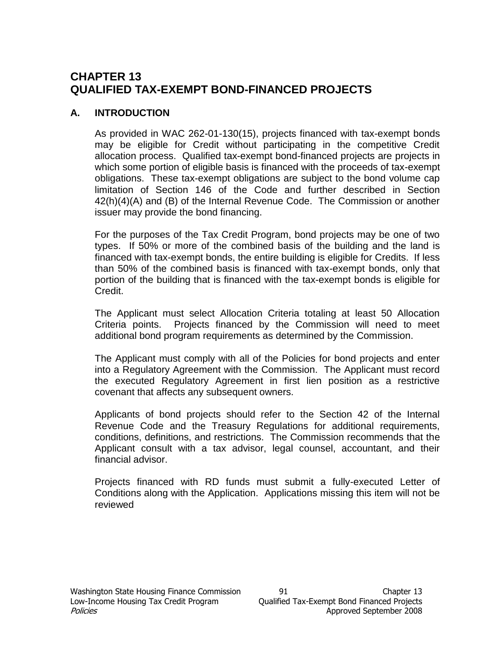# **CHAPTER 13 QUALIFIED TAX-EXEMPT BOND-FINANCED PROJECTS**

#### **A. INTRODUCTION**

As provided in WAC 262-01-130(15), projects financed with tax-exempt bonds may be eligible for Credit without participating in the competitive Credit allocation process. Qualified tax-exempt bond-financed projects are projects in which some portion of eligible basis is financed with the proceeds of tax-exempt obligations. These tax-exempt obligations are subject to the bond volume cap limitation of Section 146 of the Code and further described in Section 42(h)(4)(A) and (B) of the Internal Revenue Code. The Commission or another issuer may provide the bond financing.

For the purposes of the Tax Credit Program, bond projects may be one of two types. If 50% or more of the combined basis of the building and the land is financed with tax-exempt bonds, the entire building is eligible for Credits. If less than 50% of the combined basis is financed with tax-exempt bonds, only that portion of the building that is financed with the tax-exempt bonds is eligible for Credit.

The Applicant must select Allocation Criteria totaling at least 50 Allocation Criteria points. Projects financed by the Commission will need to meet additional bond program requirements as determined by the Commission.

The Applicant must comply with all of the Policies for bond projects and enter into a Regulatory Agreement with the Commission. The Applicant must record the executed Regulatory Agreement in first lien position as a restrictive covenant that affects any subsequent owners.

Applicants of bond projects should refer to the Section 42 of the Internal Revenue Code and the Treasury Regulations for additional requirements, conditions, definitions, and restrictions. The Commission recommends that the Applicant consult with a tax advisor, legal counsel, accountant, and their financial advisor.

Projects financed with RD funds must submit a fully-executed Letter of Conditions along with the Application. Applications missing this item will not be reviewed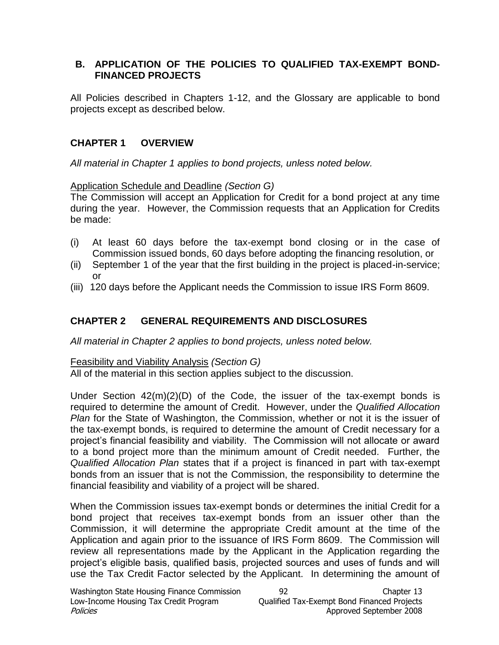#### **B. APPLICATION OF THE POLICIES TO QUALIFIED TAX-EXEMPT BOND-FINANCED PROJECTS**

All Policies described in Chapters 1-12, and the Glossary are applicable to bond projects except as described below.

### **CHAPTER 1 OVERVIEW**

*All material in Chapter 1 applies to bond projects, unless noted below.*

#### Application Schedule and Deadline *(Section G)*

The Commission will accept an Application for Credit for a bond project at any time during the year. However, the Commission requests that an Application for Credits be made:

- (i) At least 60 days before the tax-exempt bond closing or in the case of Commission issued bonds, 60 days before adopting the financing resolution, or
- (ii) September 1 of the year that the first building in the project is placed-in-service; or
- (iii) 120 days before the Applicant needs the Commission to issue IRS Form 8609.

### **CHAPTER 2 GENERAL REQUIREMENTS AND DISCLOSURES**

*All material in Chapter 2 applies to bond projects, unless noted below.*

Feasibility and Viability Analysis *(Section G)*

All of the material in this section applies subject to the discussion.

Under Section 42(m)(2)(D) of the Code, the issuer of the tax-exempt bonds is required to determine the amount of Credit. However, under the *Qualified Allocation Plan* for the State of Washington, the Commission, whether or not it is the issuer of the tax-exempt bonds, is required to determine the amount of Credit necessary for a project's financial feasibility and viability. The Commission will not allocate or award to a bond project more than the minimum amount of Credit needed. Further, the *Qualified Allocation Plan* states that if a project is financed in part with tax-exempt bonds from an issuer that is not the Commission, the responsibility to determine the financial feasibility and viability of a project will be shared.

When the Commission issues tax-exempt bonds or determines the initial Credit for a bond project that receives tax-exempt bonds from an issuer other than the Commission, it will determine the appropriate Credit amount at the time of the Application and again prior to the issuance of IRS Form 8609. The Commission will review all representations made by the Applicant in the Application regarding the project's eligible basis, qualified basis, projected sources and uses of funds and will use the Tax Credit Factor selected by the Applicant. In determining the amount of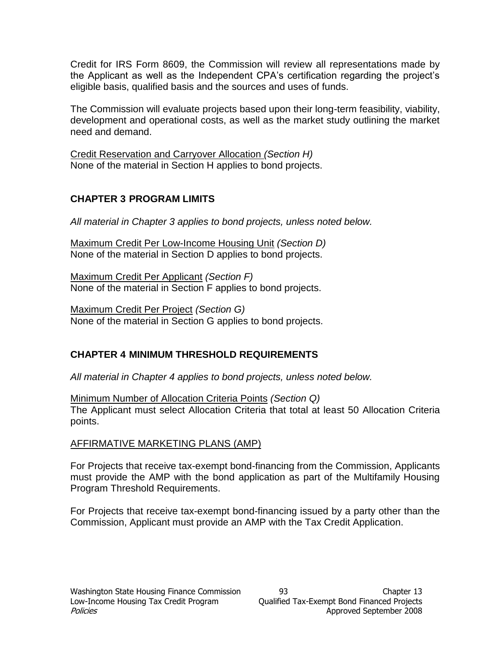Credit for IRS Form 8609, the Commission will review all representations made by the Applicant as well as the Independent CPA's certification regarding the project's eligible basis, qualified basis and the sources and uses of funds.

The Commission will evaluate projects based upon their long-term feasibility, viability, development and operational costs, as well as the market study outlining the market need and demand.

Credit Reservation and Carryover Allocation *(Section H)* None of the material in Section H applies to bond projects.

# **CHAPTER 3 PROGRAM LIMITS**

*All material in Chapter 3 applies to bond projects, unless noted below.*

Maximum Credit Per Low-Income Housing Unit *(Section D)* None of the material in Section D applies to bond projects.

Maximum Credit Per Applicant *(Section F)* None of the material in Section F applies to bond projects.

Maximum Credit Per Project *(Section G)* None of the material in Section G applies to bond projects.

# **CHAPTER 4 MINIMUM THRESHOLD REQUIREMENTS**

*All material in Chapter 4 applies to bond projects, unless noted below.*

Minimum Number of Allocation Criteria Points *(Section Q)* The Applicant must select Allocation Criteria that total at least 50 Allocation Criteria points.

#### AFFIRMATIVE MARKETING PLANS (AMP)

For Projects that receive tax-exempt bond-financing from the Commission, Applicants must provide the AMP with the bond application as part of the Multifamily Housing Program Threshold Requirements.

For Projects that receive tax-exempt bond-financing issued by a party other than the Commission, Applicant must provide an AMP with the Tax Credit Application.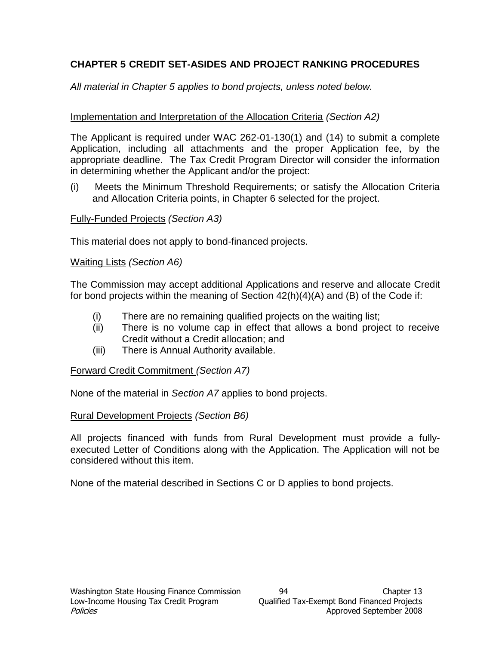# **CHAPTER 5 CREDIT SET-ASIDES AND PROJECT RANKING PROCEDURES**

*All material in Chapter 5 applies to bond projects, unless noted below.* 

### Implementation and Interpretation of the Allocation Criteria *(Section A2)*

The Applicant is required under WAC 262-01-130(1) and (14) to submit a complete Application, including all attachments and the proper Application fee, by the appropriate deadline. The Tax Credit Program Director will consider the information in determining whether the Applicant and/or the project:

(i) Meets the Minimum Threshold Requirements; or satisfy the Allocation Criteria and Allocation Criteria points, in Chapter 6 selected for the project.

#### Fully-Funded Projects *(Section A3)*

This material does not apply to bond-financed projects.

#### Waiting Lists *(Section A6)*

The Commission may accept additional Applications and reserve and allocate Credit for bond projects within the meaning of Section 42(h)(4)(A) and (B) of the Code if:

- (i) There are no remaining qualified projects on the waiting list;
- (ii) There is no volume cap in effect that allows a bond project to receive Credit without a Credit allocation; and
- (iii) There is Annual Authority available.

#### Forward Credit Commitment *(Section A7)*

None of the material in *Section A7* applies to bond projects.

#### Rural Development Projects *(Section B6)*

All projects financed with funds from Rural Development must provide a fullyexecuted Letter of Conditions along with the Application. The Application will not be considered without this item.

None of the material described in Sections C or D applies to bond projects.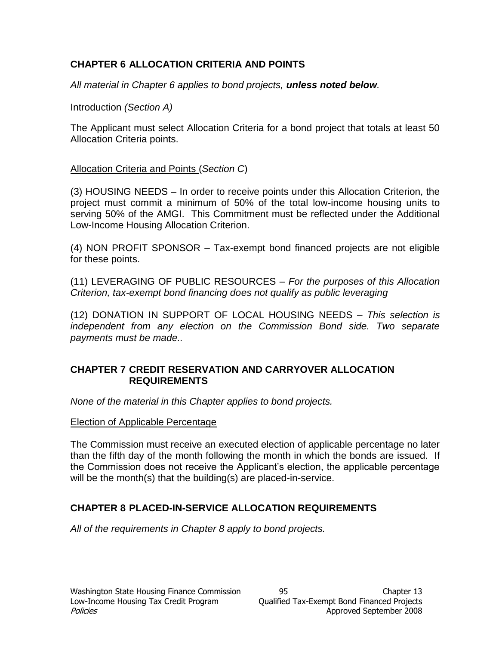## **CHAPTER 6 ALLOCATION CRITERIA AND POINTS**

*All material in Chapter 6 applies to bond projects, unless noted below.*

#### Introduction *(Section A)*

The Applicant must select Allocation Criteria for a bond project that totals at least 50 Allocation Criteria points.

#### Allocation Criteria and Points (*Section C*)

(3) HOUSING NEEDS – In order to receive points under this Allocation Criterion, the project must commit a minimum of 50% of the total low-income housing units to serving 50% of the AMGI. This Commitment must be reflected under the Additional Low-Income Housing Allocation Criterion.

(4) NON PROFIT SPONSOR – Tax-exempt bond financed projects are not eligible for these points.

(11) LEVERAGING OF PUBLIC RESOURCES – *For the purposes of this Allocation Criterion, tax-exempt bond financing does not qualify as public leveraging*

(12) DONATION IN SUPPORT OF LOCAL HOUSING NEEDS – *This selection is independent from any election on the Commission Bond side. Two separate payments must be made..*

#### **CHAPTER 7 CREDIT RESERVATION AND CARRYOVER ALLOCATION REQUIREMENTS**

*None of the material in this Chapter applies to bond projects.*

Election of Applicable Percentage

The Commission must receive an executed election of applicable percentage no later than the fifth day of the month following the month in which the bonds are issued. If the Commission does not receive the Applicant's election, the applicable percentage will be the month(s) that the building(s) are placed-in-service.

## **CHAPTER 8 PLACED-IN-SERVICE ALLOCATION REQUIREMENTS**

*All of the requirements in Chapter 8 apply to bond projects.*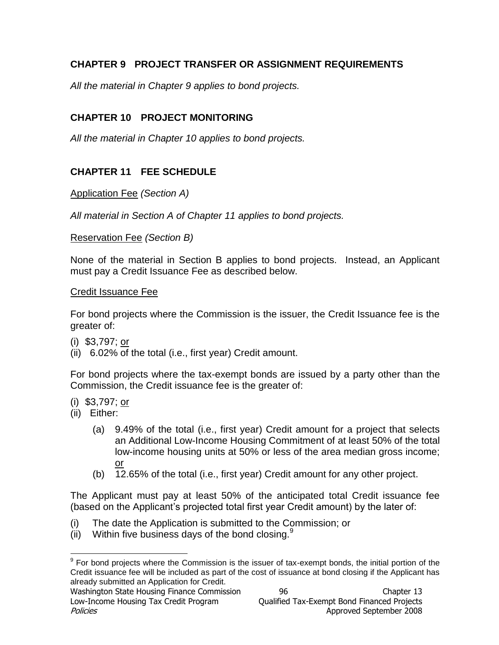# **CHAPTER 9 PROJECT TRANSFER OR ASSIGNMENT REQUIREMENTS**

*All the material in Chapter 9 applies to bond projects.*

# **CHAPTER 10 PROJECT MONITORING**

*All the material in Chapter 10 applies to bond projects.*

# **CHAPTER 11 FEE SCHEDULE**

Application Fee *(Section A)*

*All material in Section A of Chapter 11 applies to bond projects.*

Reservation Fee *(Section B)*

None of the material in Section B applies to bond projects. Instead, an Applicant must pay a Credit Issuance Fee as described below.

#### Credit Issuance Fee

For bond projects where the Commission is the issuer, the Credit Issuance fee is the greater of:

(i) \$3,797; or

(ii) 6.02% of the total (i.e., first year) Credit amount.

For bond projects where the tax-exempt bonds are issued by a party other than the Commission, the Credit issuance fee is the greater of:

- (i) \$3,797; or
- (ii) Either:

 $\overline{a}$ 

- (a) 9.49% of the total (i.e., first year) Credit amount for a project that selects an Additional Low-Income Housing Commitment of at least 50% of the total low-income housing units at 50% or less of the area median gross income; or
- (b) 12.65% of the total (i.e., first year) Credit amount for any other project.

The Applicant must pay at least 50% of the anticipated total Credit issuance fee (based on the Applicant's projected total first year Credit amount) by the later of:

- (i) The date the Application is submitted to the Commission; or
- (ii) Within five business days of the bond closing.  $9^9$

Washington State Housing Finance Commission and 96 Chapter 13 Low-Income Housing Tax Credit Program Qualified Tax-Exempt Bond Financed Projects Policies Approved September 2008

<sup>&</sup>lt;sup>9</sup> For bond projects where the Commission is the issuer of tax-exempt bonds, the initial portion of the Credit issuance fee will be included as part of the cost of issuance at bond closing if the Applicant has already submitted an Application for Credit.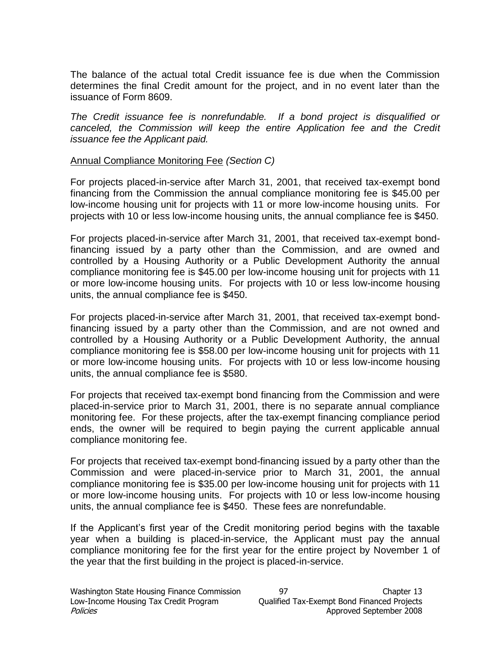The balance of the actual total Credit issuance fee is due when the Commission determines the final Credit amount for the project, and in no event later than the issuance of Form 8609.

*The Credit issuance fee is nonrefundable. If a bond project is disqualified or canceled, the Commission will keep the entire Application fee and the Credit issuance fee the Applicant paid.*

#### Annual Compliance Monitoring Fee *(Section C)*

For projects placed-in-service after March 31, 2001, that received tax-exempt bond financing from the Commission the annual compliance monitoring fee is \$45.00 per low-income housing unit for projects with 11 or more low-income housing units. For projects with 10 or less low-income housing units, the annual compliance fee is \$450.

For projects placed-in-service after March 31, 2001, that received tax-exempt bondfinancing issued by a party other than the Commission, and are owned and controlled by a Housing Authority or a Public Development Authority the annual compliance monitoring fee is \$45.00 per low-income housing unit for projects with 11 or more low-income housing units. For projects with 10 or less low-income housing units, the annual compliance fee is \$450.

For projects placed-in-service after March 31, 2001, that received tax-exempt bondfinancing issued by a party other than the Commission, and are not owned and controlled by a Housing Authority or a Public Development Authority, the annual compliance monitoring fee is \$58.00 per low-income housing unit for projects with 11 or more low-income housing units. For projects with 10 or less low-income housing units, the annual compliance fee is \$580.

For projects that received tax-exempt bond financing from the Commission and were placed-in-service prior to March 31, 2001, there is no separate annual compliance monitoring fee. For these projects, after the tax-exempt financing compliance period ends, the owner will be required to begin paying the current applicable annual compliance monitoring fee.

For projects that received tax-exempt bond-financing issued by a party other than the Commission and were placed-in-service prior to March 31, 2001, the annual compliance monitoring fee is \$35.00 per low-income housing unit for projects with 11 or more low-income housing units. For projects with 10 or less low-income housing units, the annual compliance fee is \$450. These fees are nonrefundable.

If the Applicant's first year of the Credit monitoring period begins with the taxable year when a building is placed-in-service, the Applicant must pay the annual compliance monitoring fee for the first year for the entire project by November 1 of the year that the first building in the project is placed-in-service.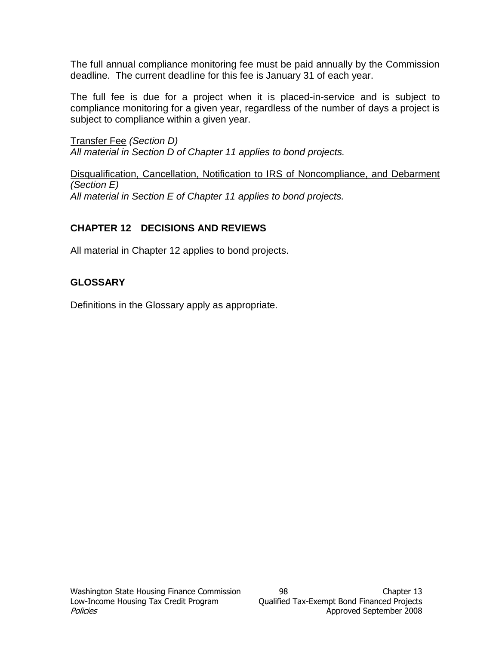The full annual compliance monitoring fee must be paid annually by the Commission deadline. The current deadline for this fee is January 31 of each year.

The full fee is due for a project when it is placed-in-service and is subject to compliance monitoring for a given year, regardless of the number of days a project is subject to compliance within a given year.

Transfer Fee *(Section D) All material in Section D of Chapter 11 applies to bond projects.*

Disqualification, Cancellation, Notification to IRS of Noncompliance, and Debarment *(Section E) All material in Section E of Chapter 11 applies to bond projects.*

# **CHAPTER 12 DECISIONS AND REVIEWS**

All material in Chapter 12 applies to bond projects.

## **GLOSSARY**

Definitions in the Glossary apply as appropriate.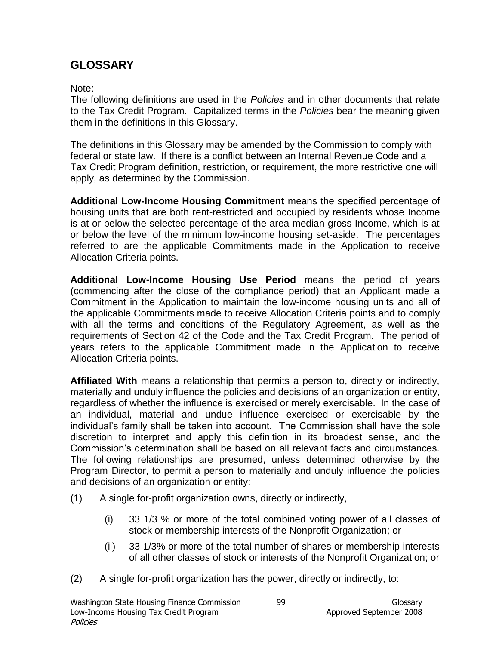# **GLOSSARY**

Note:

The following definitions are used in the *Policies* and in other documents that relate to the Tax Credit Program. Capitalized terms in the *Policies* bear the meaning given them in the definitions in this Glossary.

The definitions in this Glossary may be amended by the Commission to comply with federal or state law. If there is a conflict between an Internal Revenue Code and a Tax Credit Program definition, restriction, or requirement, the more restrictive one will apply, as determined by the Commission.

**Additional Low-Income Housing Commitment** means the specified percentage of housing units that are both rent-restricted and occupied by residents whose Income is at or below the selected percentage of the area median gross Income, which is at or below the level of the minimum low-income housing set-aside. The percentages referred to are the applicable Commitments made in the Application to receive Allocation Criteria points.

**Additional Low-Income Housing Use Period** means the period of years (commencing after the close of the compliance period) that an Applicant made a Commitment in the Application to maintain the low-income housing units and all of the applicable Commitments made to receive Allocation Criteria points and to comply with all the terms and conditions of the Regulatory Agreement, as well as the requirements of Section 42 of the Code and the Tax Credit Program. The period of years refers to the applicable Commitment made in the Application to receive Allocation Criteria points.

**Affiliated With** means a relationship that permits a person to, directly or indirectly, materially and unduly influence the policies and decisions of an organization or entity, regardless of whether the influence is exercised or merely exercisable. In the case of an individual, material and undue influence exercised or exercisable by the individual's family shall be taken into account. The Commission shall have the sole discretion to interpret and apply this definition in its broadest sense, and the Commission's determination shall be based on all relevant facts and circumstances. The following relationships are presumed, unless determined otherwise by the Program Director, to permit a person to materially and unduly influence the policies and decisions of an organization or entity:

- (1) A single for-profit organization owns, directly or indirectly,
	- (i) 33 1/3 % or more of the total combined voting power of all classes of stock or membership interests of the Nonprofit Organization; or
	- (ii) 33 1/3% or more of the total number of shares or membership interests of all other classes of stock or interests of the Nonprofit Organization; or
- (2) A single for-profit organization has the power, directly or indirectly, to:

Washington State Housing Finance Commission 59 Mass 199 Glossary Low-Income Housing Tax Credit Program Approved September 2008 Policies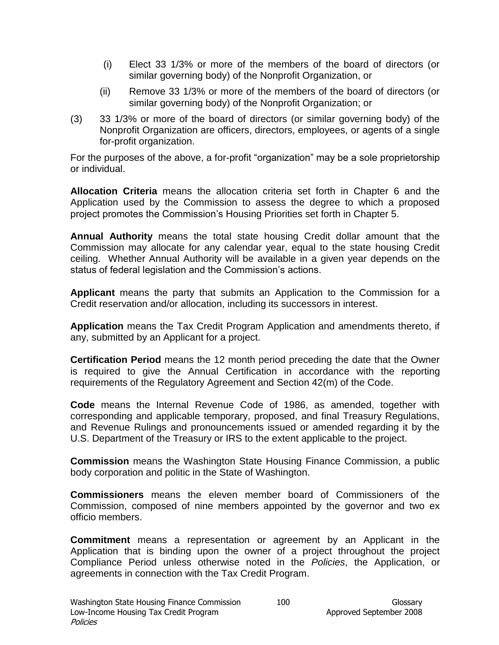- (i) Elect 33 1/3% or more of the members of the board of directors (or similar governing body) of the Nonprofit Organization, or
- (ii) Remove 33 1/3% or more of the members of the board of directors (or similar governing body) of the Nonprofit Organization; or
- (3) 33 1/3% or more of the board of directors (or similar governing body) of the Nonprofit Organization are officers, directors, employees, or agents of a single for-profit organization.

For the purposes of the above, a for-profit "organization" may be a sole proprietorship or individual.

**Allocation Criteria** means the allocation criteria set forth in Chapter 6 and the Application used by the Commission to assess the degree to which a proposed project promotes the Commission's Housing Priorities set forth in Chapter 5.

**Annual Authority** means the total state housing Credit dollar amount that the Commission may allocate for any calendar year, equal to the state housing Credit ceiling. Whether Annual Authority will be available in a given year depends on the status of federal legislation and the Commission's actions.

**Applicant** means the party that submits an Application to the Commission for a Credit reservation and/or allocation, including its successors in interest.

**Application** means the Tax Credit Program Application and amendments thereto, if any, submitted by an Applicant for a project.

**Certification Period** means the 12 month period preceding the date that the Owner is required to give the Annual Certification in accordance with the reporting requirements of the Regulatory Agreement and Section 42(m) of the Code.

**Code** means the Internal Revenue Code of 1986, as amended, together with corresponding and applicable temporary, proposed, and final Treasury Regulations, and Revenue Rulings and pronouncements issued or amended regarding it by the U.S. Department of the Treasury or IRS to the extent applicable to the project.

**Commission** means the Washington State Housing Finance Commission, a public body corporation and politic in the State of Washington.

**Commissioners** means the eleven member board of Commissioners of the Commission, composed of nine members appointed by the governor and two ex officio members.

**Commitment** means a representation or agreement by an Applicant in the Application that is binding upon the owner of a project throughout the project Compliance Period unless otherwise noted in the *Policies*, the Application, or agreements in connection with the Tax Credit Program.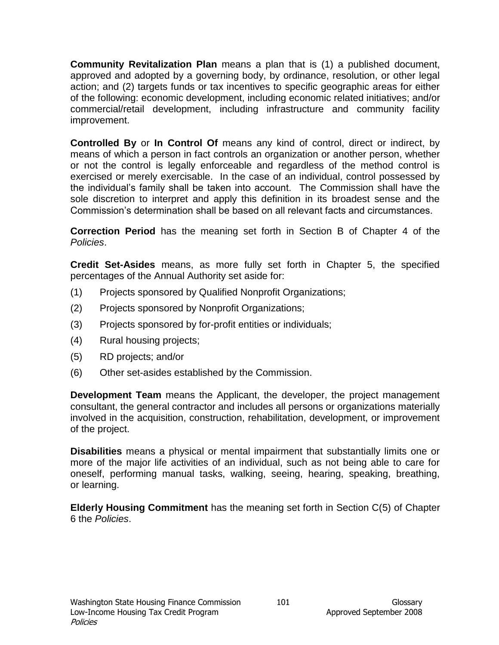**Community Revitalization Plan** means a plan that is (1) a published document, approved and adopted by a governing body, by ordinance, resolution, or other legal action; and (2) targets funds or tax incentives to specific geographic areas for either of the following: economic development, including economic related initiatives; and/or commercial/retail development, including infrastructure and community facility improvement.

**Controlled By** or **In Control Of** means any kind of control, direct or indirect, by means of which a person in fact controls an organization or another person, whether or not the control is legally enforceable and regardless of the method control is exercised or merely exercisable. In the case of an individual, control possessed by the individual's family shall be taken into account. The Commission shall have the sole discretion to interpret and apply this definition in its broadest sense and the Commission's determination shall be based on all relevant facts and circumstances.

**Correction Period** has the meaning set forth in Section B of Chapter 4 of the *Policies*.

**Credit Set-Asides** means, as more fully set forth in Chapter 5, the specified percentages of the Annual Authority set aside for:

- (1) Projects sponsored by Qualified Nonprofit Organizations;
- (2) Projects sponsored by Nonprofit Organizations;
- (3) Projects sponsored by for-profit entities or individuals;
- (4) Rural housing projects;
- (5) RD projects; and/or
- (6) Other set-asides established by the Commission.

**Development Team** means the Applicant, the developer, the project management consultant, the general contractor and includes all persons or organizations materially involved in the acquisition, construction, rehabilitation, development, or improvement of the project.

**Disabilities** means a physical or mental impairment that substantially limits one or more of the major life activities of an individual, such as not being able to care for oneself, performing manual tasks, walking, seeing, hearing, speaking, breathing, or learning.

**Elderly Housing Commitment** has the meaning set forth in Section C(5) of Chapter 6 the *Policies*.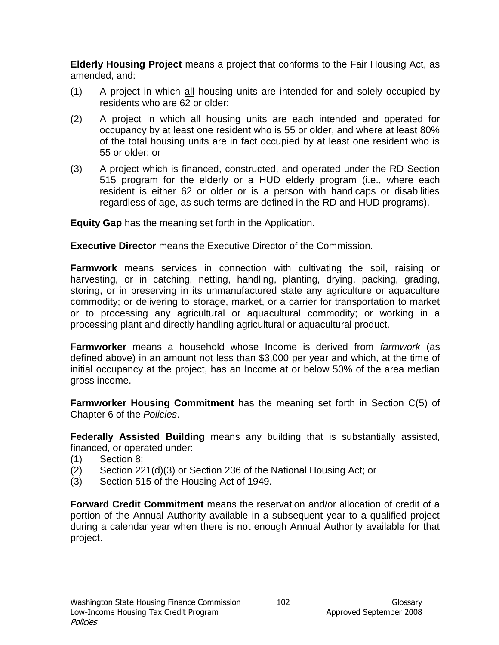**Elderly Housing Project** means a project that conforms to the Fair Housing Act, as amended, and:

- (1) A project in which all housing units are intended for and solely occupied by residents who are 62 or older;
- (2) A project in which all housing units are each intended and operated for occupancy by at least one resident who is 55 or older, and where at least 80% of the total housing units are in fact occupied by at least one resident who is 55 or older; or
- (3) A project which is financed, constructed, and operated under the RD Section 515 program for the elderly or a HUD elderly program (i.e., where each resident is either 62 or older or is a person with handicaps or disabilities regardless of age, as such terms are defined in the RD and HUD programs).

**Equity Gap** has the meaning set forth in the Application.

**Executive Director** means the Executive Director of the Commission.

**Farmwork** means services in connection with cultivating the soil, raising or harvesting, or in catching, netting, handling, planting, drying, packing, grading, storing, or in preserving in its unmanufactured state any agriculture or aquaculture commodity; or delivering to storage, market, or a carrier for transportation to market or to processing any agricultural or aquacultural commodity; or working in a processing plant and directly handling agricultural or aquacultural product.

**Farmworker** means a household whose Income is derived from *farmwork* (as defined above) in an amount not less than \$3,000 per year and which, at the time of initial occupancy at the project, has an Income at or below 50% of the area median gross income.

**Farmworker Housing Commitment** has the meaning set forth in Section C(5) of Chapter 6 of the *Policies*.

**Federally Assisted Building** means any building that is substantially assisted, financed, or operated under:

- (1) Section 8;
- (2) Section 221(d)(3) or Section 236 of the National Housing Act; or
- (3) Section 515 of the Housing Act of 1949.

**Forward Credit Commitment** means the reservation and/or allocation of credit of a portion of the Annual Authority available in a subsequent year to a qualified project during a calendar year when there is not enough Annual Authority available for that project.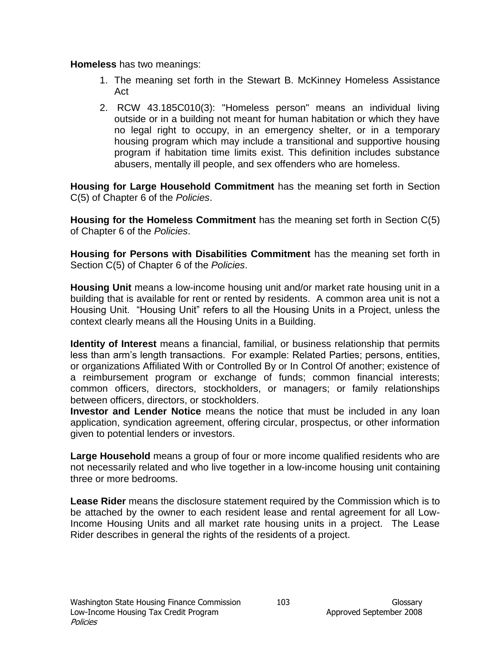**Homeless** has two meanings:

- 1. The meaning set forth in the Stewart B. McKinney Homeless Assistance Act
- 2. RCW 43.185C010(3): "Homeless person" means an individual living outside or in a building not meant for human habitation or which they have no legal right to occupy, in an emergency shelter, or in a temporary housing program which may include a transitional and supportive housing program if habitation time limits exist. This definition includes substance abusers, mentally ill people, and sex offenders who are homeless.

**Housing for Large Household Commitment** has the meaning set forth in Section C(5) of Chapter 6 of the *Policies*.

**Housing for the Homeless Commitment** has the meaning set forth in Section C(5) of Chapter 6 of the *Policies*.

**Housing for Persons with Disabilities Commitment** has the meaning set forth in Section C(5) of Chapter 6 of the *Policies*.

**Housing Unit** means a low-income housing unit and/or market rate housing unit in a building that is available for rent or rented by residents. A common area unit is not a Housing Unit. "Housing Unit" refers to all the Housing Units in a Project, unless the context clearly means all the Housing Units in a Building.

**Identity of Interest** means a financial, familial, or business relationship that permits less than arm's length transactions. For example: Related Parties; persons, entities, or organizations Affiliated With or Controlled By or In Control Of another; existence of a reimbursement program or exchange of funds; common financial interests; common officers, directors, stockholders, or managers; or family relationships between officers, directors, or stockholders.

**Investor and Lender Notice** means the notice that must be included in any loan application, syndication agreement, offering circular, prospectus, or other information given to potential lenders or investors.

**Large Household** means a group of four or more income qualified residents who are not necessarily related and who live together in a low-income housing unit containing three or more bedrooms.

**Lease Rider** means the disclosure statement required by the Commission which is to be attached by the owner to each resident lease and rental agreement for all Low-Income Housing Units and all market rate housing units in a project. The Lease Rider describes in general the rights of the residents of a project.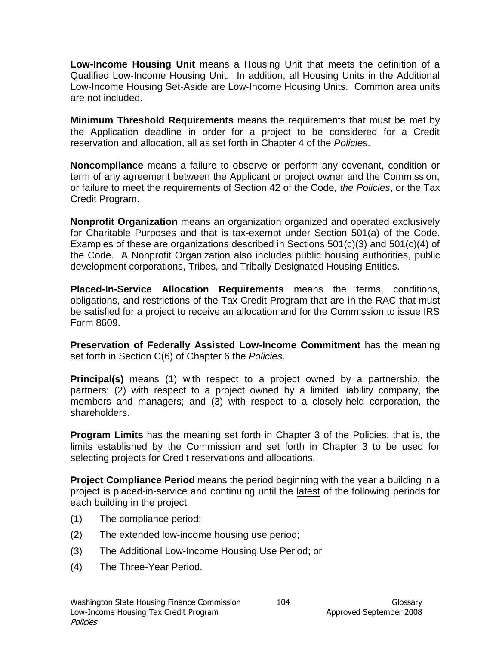**Low-Income Housing Unit** means a Housing Unit that meets the definition of a Qualified Low-Income Housing Unit. In addition, all Housing Units in the Additional Low-Income Housing Set-Aside are Low-Income Housing Units. Common area units are not included.

**Minimum Threshold Requirements** means the requirements that must be met by the Application deadline in order for a project to be considered for a Credit reservation and allocation, all as set forth in Chapter 4 of the *Policies*.

**Noncompliance** means a failure to observe or perform any covenant, condition or term of any agreement between the Applicant or project owner and the Commission, or failure to meet the requirements of Section 42 of the Code, *the Policies*, or the Tax Credit Program.

**Nonprofit Organization** means an organization organized and operated exclusively for Charitable Purposes and that is tax-exempt under Section 501(a) of the Code. Examples of these are organizations described in Sections 501(c)(3) and 501(c)(4) of the Code. A Nonprofit Organization also includes public housing authorities, public development corporations, Tribes, and Tribally Designated Housing Entities.

**Placed-In-Service Allocation Requirements** means the terms, conditions, obligations, and restrictions of the Tax Credit Program that are in the RAC that must be satisfied for a project to receive an allocation and for the Commission to issue IRS Form 8609.

**Preservation of Federally Assisted Low-Income Commitment** has the meaning set forth in Section C(6) of Chapter 6 the *Policies*.

**Principal(s)** means (1) with respect to a project owned by a partnership, the partners; (2) with respect to a project owned by a limited liability company, the members and managers; and (3) with respect to a closely-held corporation, the shareholders.

**Program Limits** has the meaning set forth in Chapter 3 of the Policies, that is, the limits established by the Commission and set forth in Chapter 3 to be used for selecting projects for Credit reservations and allocations.

**Project Compliance Period** means the period beginning with the year a building in a project is placed-in-service and continuing until the latest of the following periods for each building in the project:

- (1) The compliance period;
- (2) The extended low-income housing use period;
- (3) The Additional Low-Income Housing Use Period; or
- (4) The Three-Year Period.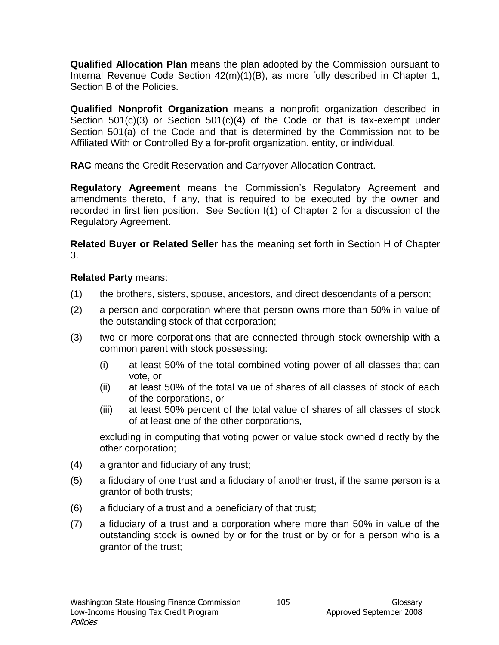**Qualified Allocation Plan** means the plan adopted by the Commission pursuant to Internal Revenue Code Section 42(m)(1)(B), as more fully described in Chapter 1, Section B of the Policies.

**Qualified Nonprofit Organization** means a nonprofit organization described in Section 501(c)(3) or Section 501(c)(4) of the Code or that is tax-exempt under Section 501(a) of the Code and that is determined by the Commission not to be Affiliated With or Controlled By a for-profit organization, entity, or individual.

**RAC** means the Credit Reservation and Carryover Allocation Contract.

**Regulatory Agreement** means the Commission's Regulatory Agreement and amendments thereto, if any, that is required to be executed by the owner and recorded in first lien position. See Section I(1) of Chapter 2 for a discussion of the Regulatory Agreement.

**Related Buyer or Related Seller** has the meaning set forth in Section H of Chapter 3.

## **Related Party** means:

- (1) the brothers, sisters, spouse, ancestors, and direct descendants of a person;
- (2) a person and corporation where that person owns more than 50% in value of the outstanding stock of that corporation;
- (3) two or more corporations that are connected through stock ownership with a common parent with stock possessing:
	- (i) at least 50% of the total combined voting power of all classes that can vote, or
	- (ii) at least 50% of the total value of shares of all classes of stock of each of the corporations, or
	- (iii) at least 50% percent of the total value of shares of all classes of stock of at least one of the other corporations,

excluding in computing that voting power or value stock owned directly by the other corporation;

- (4) a grantor and fiduciary of any trust;
- (5) a fiduciary of one trust and a fiduciary of another trust, if the same person is a grantor of both trusts;
- (6) a fiduciary of a trust and a beneficiary of that trust;
- (7) a fiduciary of a trust and a corporation where more than 50% in value of the outstanding stock is owned by or for the trust or by or for a person who is a grantor of the trust;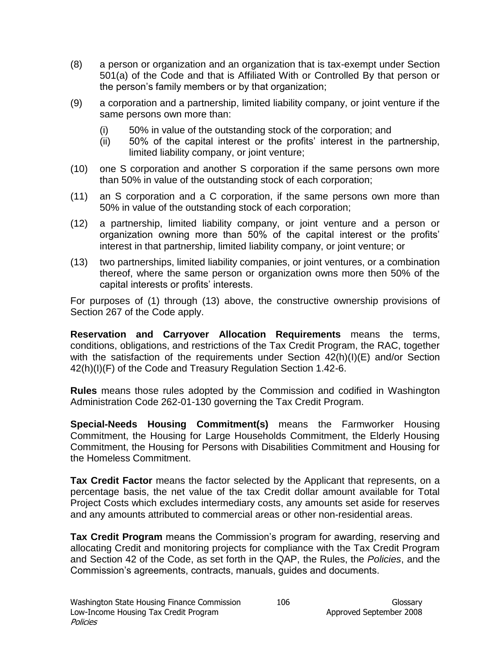- (8) a person or organization and an organization that is tax-exempt under Section 501(a) of the Code and that is Affiliated With or Controlled By that person or the person's family members or by that organization;
- (9) a corporation and a partnership, limited liability company, or joint venture if the same persons own more than:
	- (i) 50% in value of the outstanding stock of the corporation; and
	- (ii) 50% of the capital interest or the profits' interest in the partnership, limited liability company, or joint venture;
- (10) one S corporation and another S corporation if the same persons own more than 50% in value of the outstanding stock of each corporation;
- (11) an S corporation and a C corporation, if the same persons own more than 50% in value of the outstanding stock of each corporation;
- (12) a partnership, limited liability company, or joint venture and a person or organization owning more than 50% of the capital interest or the profits' interest in that partnership, limited liability company, or joint venture; or
- (13) two partnerships, limited liability companies, or joint ventures, or a combination thereof, where the same person or organization owns more then 50% of the capital interests or profits' interests.

For purposes of (1) through (13) above, the constructive ownership provisions of Section 267 of the Code apply.

**Reservation and Carryover Allocation Requirements** means the terms, conditions, obligations, and restrictions of the Tax Credit Program, the RAC, together with the satisfaction of the requirements under Section 42(h)(I)(E) and/or Section 42(h)(I)(F) of the Code and Treasury Regulation Section 1.42-6.

**Rules** means those rules adopted by the Commission and codified in Washington Administration Code 262-01-130 governing the Tax Credit Program.

**Special-Needs Housing Commitment(s)** means the Farmworker Housing Commitment, the Housing for Large Households Commitment, the Elderly Housing Commitment, the Housing for Persons with Disabilities Commitment and Housing for the Homeless Commitment.

**Tax Credit Factor** means the factor selected by the Applicant that represents, on a percentage basis, the net value of the tax Credit dollar amount available for Total Project Costs which excludes intermediary costs, any amounts set aside for reserves and any amounts attributed to commercial areas or other non-residential areas.

**Tax Credit Program** means the Commission's program for awarding, reserving and allocating Credit and monitoring projects for compliance with the Tax Credit Program and Section 42 of the Code, as set forth in the QAP, the Rules, the *Policies*, and the Commission's agreements, contracts, manuals, guides and documents.